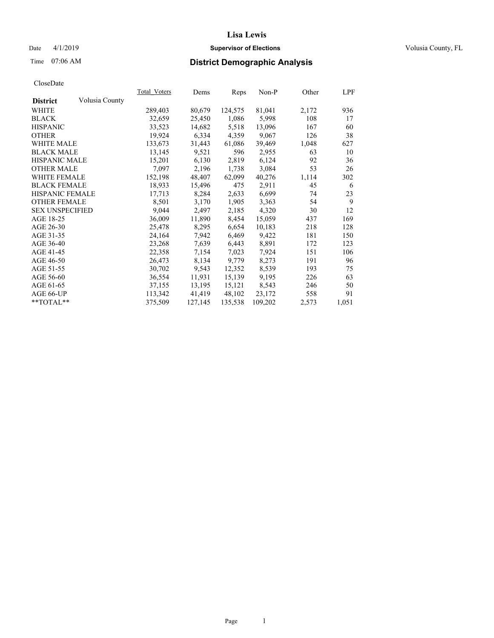#### Date 4/1/2019 **Supervisor of Elections Supervisor of Elections** Volusia County, FL

# Time 07:06 AM **District Demographic Analysis**

|                        |                | Total Voters | Dems    | Reps    | $Non-P$ | Other | <u>LPF</u> |
|------------------------|----------------|--------------|---------|---------|---------|-------|------------|
| <b>District</b>        | Volusia County |              |         |         |         |       |            |
| WHITE                  |                | 289,403      | 80,679  | 124,575 | 81,041  | 2,172 | 936        |
| <b>BLACK</b>           |                | 32,659       | 25,450  | 1,086   | 5,998   | 108   | 17         |
| <b>HISPANIC</b>        |                | 33,523       | 14,682  | 5,518   | 13,096  | 167   | 60         |
| <b>OTHER</b>           |                | 19,924       | 6,334   | 4,359   | 9,067   | 126   | 38         |
| WHITE MALE             |                | 133,673      | 31,443  | 61,086  | 39,469  | 1,048 | 627        |
| <b>BLACK MALE</b>      |                | 13,145       | 9,521   | 596     | 2,955   | 63    | 10         |
| <b>HISPANIC MALE</b>   |                | 15,201       | 6,130   | 2,819   | 6,124   | 92    | 36         |
| <b>OTHER MALE</b>      |                | 7.097        | 2,196   | 1,738   | 3,084   | 53    | 26         |
| <b>WHITE FEMALE</b>    |                | 152,198      | 48,407  | 62,099  | 40,276  | 1,114 | 302        |
| <b>BLACK FEMALE</b>    |                | 18,933       | 15,496  | 475     | 2,911   | 45    | 6          |
| HISPANIC FEMALE        |                | 17,713       | 8,284   | 2,633   | 6,699   | 74    | 23         |
| <b>OTHER FEMALE</b>    |                | 8,501        | 3,170   | 1,905   | 3,363   | 54    | 9          |
| <b>SEX UNSPECIFIED</b> |                | 9,044        | 2,497   | 2,185   | 4,320   | 30    | 12         |
| AGE 18-25              |                | 36,009       | 11,890  | 8,454   | 15,059  | 437   | 169        |
| AGE 26-30              |                | 25,478       | 8,295   | 6,654   | 10,183  | 218   | 128        |
| AGE 31-35              |                | 24,164       | 7,942   | 6,469   | 9,422   | 181   | 150        |
| AGE 36-40              |                | 23,268       | 7,639   | 6,443   | 8,891   | 172   | 123        |
| AGE 41-45              |                | 22,358       | 7,154   | 7,023   | 7,924   | 151   | 106        |
| AGE 46-50              |                | 26,473       | 8,134   | 9,779   | 8,273   | 191   | 96         |
| AGE 51-55              |                | 30,702       | 9,543   | 12,352  | 8,539   | 193   | 75         |
| AGE 56-60              |                | 36,554       | 11,931  | 15,139  | 9,195   | 226   | 63         |
| AGE 61-65              |                | 37,155       | 13,195  | 15,121  | 8,543   | 246   | 50         |
| AGE 66-UP              |                | 113,342      | 41,419  | 48,102  | 23,172  | 558   | 91         |
| $*$ $TOTAL**$          |                | 375,509      | 127,145 | 135,538 | 109,202 | 2,573 | 1,051      |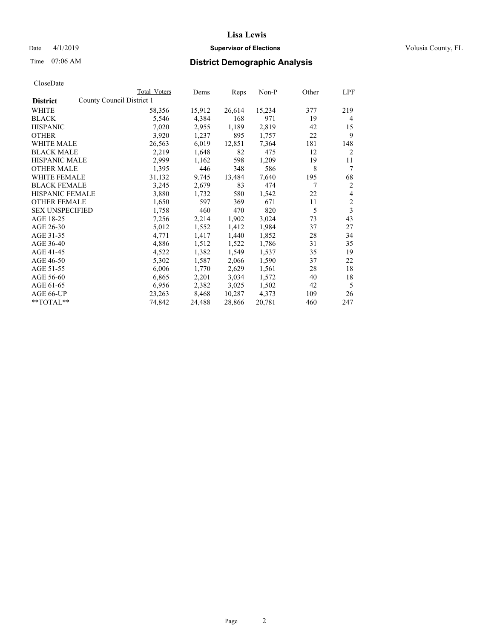## Date 4/1/2019 **Supervisor of Elections Supervisor of Elections** Volusia County, FL

| Total Voters | Dems                      | Reps   | Non-P  | Other | LPF            |
|--------------|---------------------------|--------|--------|-------|----------------|
|              |                           |        |        |       |                |
| 58,356       | 15,912                    | 26,614 | 15,234 | 377   | 219            |
| 5,546        | 4,384                     | 168    | 971    | 19    | 4              |
| 7,020        | 2,955                     | 1,189  | 2,819  | 42    | 15             |
| 3,920        | 1,237                     | 895    | 1,757  | 22    | 9              |
| 26,563       | 6,019                     | 12,851 | 7,364  | 181   | 148            |
| 2,219        | 1,648                     | 82     | 475    | 12    | 2              |
| 2,999        | 1,162                     | 598    | 1,209  | 19    | 11             |
| 1,395        | 446                       | 348    | 586    | 8     | 7              |
| 31,132       | 9,745                     | 13,484 | 7,640  | 195   | 68             |
| 3,245        | 2,679                     | 83     | 474    | 7     | $\overline{2}$ |
| 3,880        | 1,732                     | 580    | 1,542  | 22    | 4              |
| 1,650        | 597                       | 369    | 671    | 11    | $\overline{2}$ |
| 1,758        | 460                       | 470    | 820    | 5     | 3              |
| 7,256        | 2,214                     | 1,902  | 3,024  | 73    | 43             |
| 5,012        | 1,552                     | 1,412  | 1,984  | 37    | 27             |
| 4,771        | 1,417                     | 1,440  | 1,852  | 28    | 34             |
| 4,886        | 1,512                     | 1,522  | 1,786  | 31    | 35             |
| 4,522        | 1,382                     | 1,549  | 1,537  | 35    | 19             |
| 5,302        | 1,587                     | 2,066  | 1,590  | 37    | 22             |
| 6,006        | 1,770                     | 2,629  | 1,561  | 28    | 18             |
| 6,865        | 2,201                     | 3,034  | 1,572  | 40    | 18             |
| 6,956        | 2,382                     | 3,025  | 1,502  | 42    | 5              |
| 23,263       | 8,468                     | 10,287 | 4,373  | 109   | 26             |
| 74,842       | 24,488                    | 28,866 | 20,781 | 460   | 247            |
|              | County Council District 1 |        |        |       |                |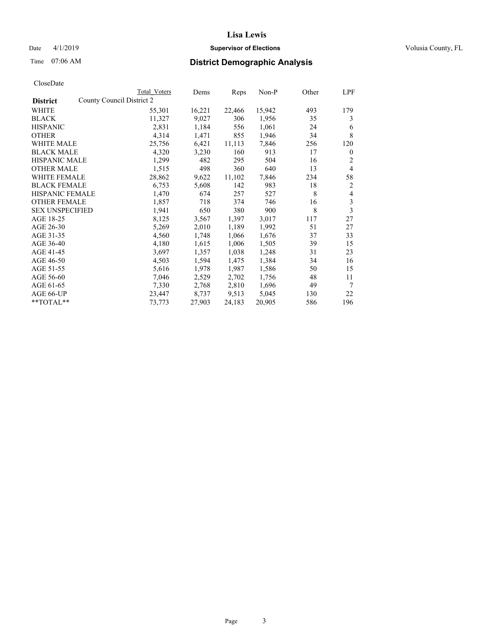## Date 4/1/2019 **Supervisor of Elections Supervisor of Elections** Volusia County, FL

| CloseDate |
|-----------|
|-----------|

|                                              | Total Voters | Dems   | Reps   | Non-P  | Other | LPF          |
|----------------------------------------------|--------------|--------|--------|--------|-------|--------------|
| County Council District 2<br><b>District</b> |              |        |        |        |       |              |
| WHITE                                        | 55,301       | 16,221 | 22,466 | 15,942 | 493   | 179          |
| <b>BLACK</b>                                 | 11,327       | 9,027  | 306    | 1,956  | 35    | 3            |
| <b>HISPANIC</b>                              | 2,831        | 1,184  | 556    | 1,061  | 24    | 6            |
| <b>OTHER</b>                                 | 4,314        | 1,471  | 855    | 1,946  | 34    | 8            |
| WHITE MALE                                   | 25,756       | 6,421  | 11,113 | 7,846  | 256   | 120          |
| <b>BLACK MALE</b>                            | 4,320        | 3,230  | 160    | 913    | 17    | $\mathbf{0}$ |
| <b>HISPANIC MALE</b>                         | 1,299        | 482    | 295    | 504    | 16    | 2            |
| <b>OTHER MALE</b>                            | 1,515        | 498    | 360    | 640    | 13    | 4            |
| <b>WHITE FEMALE</b>                          | 28,862       | 9,622  | 11,102 | 7,846  | 234   | 58           |
| <b>BLACK FEMALE</b>                          | 6,753        | 5,608  | 142    | 983    | 18    | 2            |
| HISPANIC FEMALE                              | 1,470        | 674    | 257    | 527    | 8     | 4            |
| <b>OTHER FEMALE</b>                          | 1,857        | 718    | 374    | 746    | 16    | 3            |
| <b>SEX UNSPECIFIED</b>                       | 1,941        | 650    | 380    | 900    | 8     | 3            |
| AGE 18-25                                    | 8,125        | 3,567  | 1,397  | 3,017  | 117   | 27           |
| AGE 26-30                                    | 5,269        | 2,010  | 1,189  | 1,992  | 51    | 27           |
| AGE 31-35                                    | 4,560        | 1,748  | 1,066  | 1,676  | 37    | 33           |
| AGE 36-40                                    | 4,180        | 1,615  | 1,006  | 1,505  | 39    | 15           |
| AGE 41-45                                    | 3,697        | 1,357  | 1,038  | 1,248  | 31    | 23           |
| AGE 46-50                                    | 4,503        | 1,594  | 1,475  | 1,384  | 34    | 16           |
| AGE 51-55                                    | 5,616        | 1,978  | 1,987  | 1,586  | 50    | 15           |
| AGE 56-60                                    | 7,046        | 2,529  | 2,702  | 1,756  | 48    | 11           |
| AGE 61-65                                    | 7,330        | 2,768  | 2,810  | 1,696  | 49    | 7            |
| AGE 66-UP                                    | 23,447       | 8,737  | 9,513  | 5,045  | 130   | 22           |
| **TOTAL**                                    | 73,773       | 27,903 | 24,183 | 20,905 | 586   | 196          |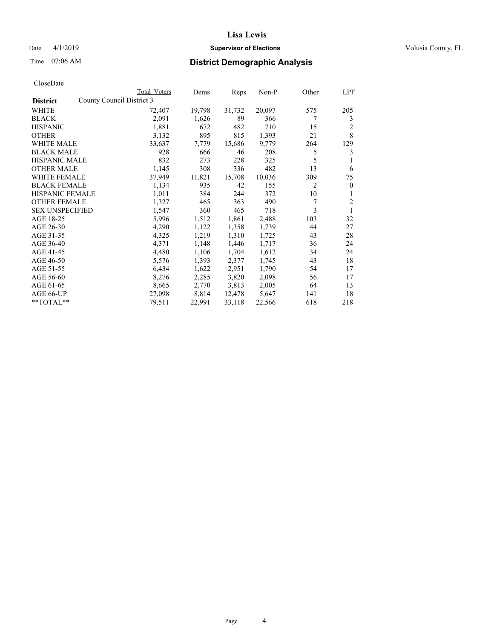## Date 4/1/2019 **Supervisor of Elections Supervisor of Elections** Volusia County, FL

| Total Voters | Dems                      | Reps   | $Non-P$ | Other          | <b>LPF</b>     |
|--------------|---------------------------|--------|---------|----------------|----------------|
|              |                           |        |         |                |                |
| 72,407       | 19,798                    | 31,732 | 20,097  | 575            | 205            |
| 2,091        | 1,626                     | 89     | 366     | 7              | 3              |
| 1,881        | 672                       | 482    | 710     | 15             | 2              |
| 3,132        | 895                       | 815    | 1,393   | 21             | 8              |
| 33,637       | 7,779                     | 15,686 | 9,779   | 264            | 129            |
| 928          | 666                       | 46     | 208     | 5              | 3              |
| 832          | 273                       | 228    | 325     | 5              |                |
| 1,145        | 308                       | 336    | 482     | 13             | 6              |
| 37,949       | 11,821                    | 15,708 | 10,036  | 309            | 75             |
| 1,134        | 935                       | 42     | 155     | $\overline{c}$ | $\overline{0}$ |
| 1,011        | 384                       | 244    | 372     | 10             | 1              |
| 1,327        | 465                       | 363    | 490     | 7              | $\overline{2}$ |
| 1,547        | 360                       | 465    | 718     | 3              |                |
| 5,996        | 1,512                     | 1,861  | 2,488   | 103            | 32             |
| 4,290        | 1,122                     | 1,358  | 1,739   | 44             | 27             |
| 4,325        | 1,219                     | 1,310  | 1,725   | 43             | 28             |
| 4,371        | 1,148                     | 1,446  | 1,717   | 36             | 24             |
| 4,480        | 1,106                     | 1,704  | 1,612   | 34             | 24             |
| 5,576        | 1,393                     | 2,377  | 1,745   | 43             | 18             |
| 6,434        | 1,622                     | 2,951  | 1,790   | 54             | 17             |
| 8,276        | 2,285                     | 3,820  | 2,098   | 56             | 17             |
| 8,665        | 2,770                     | 3,813  | 2,005   | 64             | 13             |
| 27,098       | 8,814                     | 12,478 | 5,647   | 141            | 18             |
| 79,511       | 22,991                    | 33,118 | 22,566  | 618            | 218            |
|              | County Council District 3 |        |         |                |                |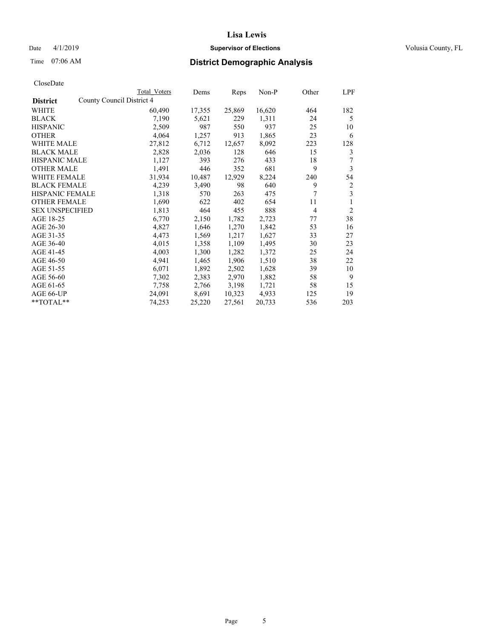## Date 4/1/2019 **Supervisor of Elections Supervisor of Elections** Volusia County, FL

|                                              | Total Voters | Dems   | Reps   | Non-P  | Other          | LPF            |
|----------------------------------------------|--------------|--------|--------|--------|----------------|----------------|
| County Council District 4<br><b>District</b> |              |        |        |        |                |                |
| WHITE                                        | 60,490       | 17,355 | 25,869 | 16,620 | 464            | 182            |
| <b>BLACK</b>                                 | 7,190        | 5,621  | 229    | 1,311  | 24             | 5              |
| <b>HISPANIC</b>                              | 2,509        | 987    | 550    | 937    | 25             | 10             |
| <b>OTHER</b>                                 | 4,064        | 1,257  | 913    | 1,865  | 23             | 6              |
| WHITE MALE                                   | 27,812       | 6,712  | 12,657 | 8,092  | 223            | 128            |
| <b>BLACK MALE</b>                            | 2,828        | 2,036  | 128    | 646    | 15             | 3              |
| <b>HISPANIC MALE</b>                         | 1,127        | 393    | 276    | 433    | 18             | 7              |
| <b>OTHER MALE</b>                            | 1,491        | 446    | 352    | 681    | 9              | 3              |
| WHITE FEMALE                                 | 31,934       | 10,487 | 12,929 | 8,224  | 240            | 54             |
| <b>BLACK FEMALE</b>                          | 4,239        | 3,490  | 98     | 640    | 9              | 2              |
| <b>HISPANIC FEMALE</b>                       | 1,318        | 570    | 263    | 475    | 7              | 3              |
| <b>OTHER FEMALE</b>                          | 1,690        | 622    | 402    | 654    | 11             | 1              |
| <b>SEX UNSPECIFIED</b>                       | 1,813        | 464    | 455    | 888    | $\overline{4}$ | $\overline{2}$ |
| AGE 18-25                                    | 6,770        | 2,150  | 1,782  | 2,723  | 77             | 38             |
| AGE 26-30                                    | 4,827        | 1,646  | 1,270  | 1,842  | 53             | 16             |
| AGE 31-35                                    | 4,473        | 1,569  | 1,217  | 1,627  | 33             | 27             |
| AGE 36-40                                    | 4,015        | 1,358  | 1,109  | 1,495  | 30             | 23             |
| AGE 41-45                                    | 4,003        | 1,300  | 1,282  | 1,372  | 25             | 24             |
| AGE 46-50                                    | 4,941        | 1,465  | 1,906  | 1,510  | 38             | 22             |
| AGE 51-55                                    | 6,071        | 1,892  | 2,502  | 1,628  | 39             | 10             |
| AGE 56-60                                    | 7,302        | 2,383  | 2,970  | 1,882  | 58             | 9              |
| AGE 61-65                                    | 7,758        | 2,766  | 3,198  | 1,721  | 58             | 15             |
| AGE 66-UP                                    | 24,091       | 8,691  | 10,323 | 4,933  | 125            | 19             |
| $*$ $TOTAL**$                                | 74,253       | 25,220 | 27,561 | 20,733 | 536            | 203            |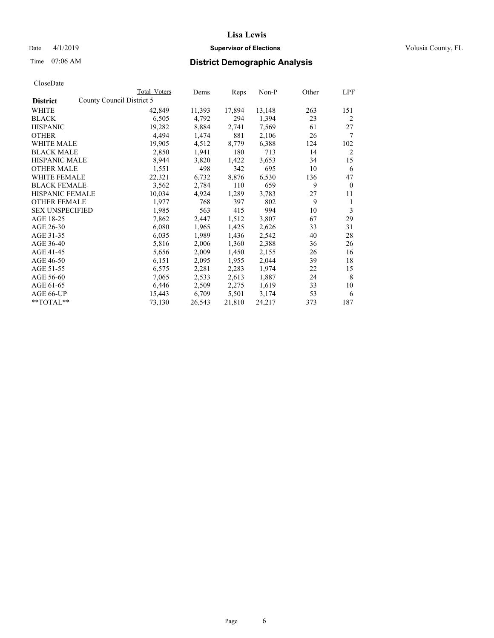## Date 4/1/2019 **Supervisor of Elections Supervisor of Elections** Volusia County, FL

|                                              | Total Voters | Dems   | Reps   | Non-P  | Other | LPF            |
|----------------------------------------------|--------------|--------|--------|--------|-------|----------------|
| County Council District 5<br><b>District</b> |              |        |        |        |       |                |
| WHITE                                        | 42,849       | 11,393 | 17,894 | 13,148 | 263   | 151            |
| <b>BLACK</b>                                 | 6,505        | 4,792  | 294    | 1,394  | 23    | $\overline{c}$ |
| <b>HISPANIC</b>                              | 19,282       | 8,884  | 2,741  | 7,569  | 61    | 27             |
| <b>OTHER</b>                                 | 4,494        | 1,474  | 881    | 2,106  | 26    | 7              |
| <b>WHITE MALE</b>                            | 19,905       | 4,512  | 8,779  | 6,388  | 124   | 102            |
| <b>BLACK MALE</b>                            | 2,850        | 1,941  | 180    | 713    | 14    | $\overline{2}$ |
| <b>HISPANIC MALE</b>                         | 8,944        | 3,820  | 1,422  | 3,653  | 34    | 15             |
| <b>OTHER MALE</b>                            | 1,551        | 498    | 342    | 695    | 10    | 6              |
| WHITE FEMALE                                 | 22,321       | 6,732  | 8,876  | 6,530  | 136   | 47             |
| <b>BLACK FEMALE</b>                          | 3,562        | 2,784  | 110    | 659    | 9     | $\mathbf{0}$   |
| <b>HISPANIC FEMALE</b>                       | 10,034       | 4,924  | 1,289  | 3,783  | 27    | 11             |
| <b>OTHER FEMALE</b>                          | 1,977        | 768    | 397    | 802    | 9     | 1              |
| <b>SEX UNSPECIFIED</b>                       | 1,985        | 563    | 415    | 994    | 10    | 3              |
| AGE 18-25                                    | 7,862        | 2,447  | 1,512  | 3,807  | 67    | 29             |
| AGE 26-30                                    | 6,080        | 1,965  | 1,425  | 2,626  | 33    | 31             |
| AGE 31-35                                    | 6,035        | 1,989  | 1,436  | 2,542  | 40    | 28             |
| AGE 36-40                                    | 5,816        | 2,006  | 1,360  | 2,388  | 36    | 26             |
| AGE 41-45                                    | 5,656        | 2,009  | 1,450  | 2,155  | 26    | 16             |
| AGE 46-50                                    | 6,151        | 2,095  | 1,955  | 2,044  | 39    | 18             |
| AGE 51-55                                    | 6,575        | 2,281  | 2,283  | 1,974  | 22    | 15             |
| AGE 56-60                                    | 7,065        | 2,533  | 2,613  | 1,887  | 24    | 8              |
| AGE 61-65                                    | 6,446        | 2,509  | 2,275  | 1,619  | 33    | 10             |
| AGE 66-UP                                    | 15,443       | 6,709  | 5,501  | 3,174  | 53    | 6              |
| **TOTAL**                                    | 73,130       | 26,543 | 21,810 | 24,217 | 373   | 187            |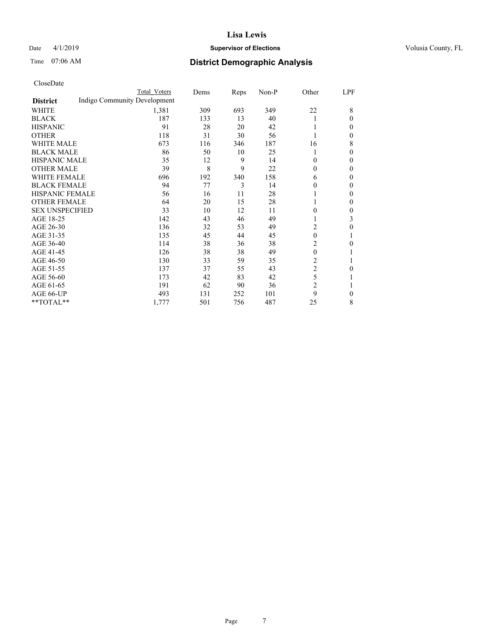## Date 4/1/2019 **Supervisor of Elections Supervisor of Elections** Volusia County, FL

# Time 07:06 AM **District Demographic Analysis**

|                        |                              | Total Voters | Dems | Reps | Non-P | Other          | LPF          |
|------------------------|------------------------------|--------------|------|------|-------|----------------|--------------|
| <b>District</b>        | Indigo Community Development |              |      |      |       |                |              |
| WHITE                  |                              | 1,381        | 309  | 693  | 349   | 22             | 8            |
| <b>BLACK</b>           |                              | 187          | 133  | 13   | 40    |                | $\theta$     |
| <b>HISPANIC</b>        |                              | 91           | 28   | 20   | 42    |                | $\theta$     |
| <b>OTHER</b>           |                              | 118          | 31   | 30   | 56    |                | $\mathbf{0}$ |
| WHITE MALE             |                              | 673          | 116  | 346  | 187   | 16             | 8            |
| <b>BLACK MALE</b>      |                              | 86           | 50   | 10   | 25    |                | $\mathbf{0}$ |
| <b>HISPANIC MALE</b>   |                              | 35           | 12   | 9    | 14    | 0              | $\mathbf{0}$ |
| <b>OTHER MALE</b>      |                              | 39           | 8    | 9    | 22    | 0              | $\mathbf{0}$ |
| <b>WHITE FEMALE</b>    |                              | 696          | 192  | 340  | 158   | 6              | $\mathbf{0}$ |
| <b>BLACK FEMALE</b>    |                              | 94           | 77   | 3    | 14    | 0              | $\mathbf{0}$ |
| <b>HISPANIC FEMALE</b> |                              | 56           | 16   | 11   | 28    |                | $\theta$     |
| <b>OTHER FEMALE</b>    |                              | 64           | 20   | 15   | 28    |                | $\mathbf{0}$ |
| <b>SEX UNSPECIFIED</b> |                              | 33           | 10   | 12   | 11    | 0              | $\mathbf{0}$ |
| AGE 18-25              |                              | 142          | 43   | 46   | 49    |                | 3            |
| AGE 26-30              |                              | 136          | 32   | 53   | 49    | 2              | $\mathbf{0}$ |
| AGE 31-35              |                              | 135          | 45   | 44   | 45    | 0              | 1            |
| AGE 36-40              |                              | 114          | 38   | 36   | 38    | 2              | 0            |
| AGE 41-45              |                              | 126          | 38   | 38   | 49    | $\theta$       |              |
| AGE 46-50              |                              | 130          | 33   | 59   | 35    | 2              | 1            |
| AGE 51-55              |                              | 137          | 37   | 55   | 43    | $\overline{2}$ | 0            |
| AGE 56-60              |                              | 173          | 42   | 83   | 42    | 5              | 1            |
| AGE 61-65              |                              | 191          | 62   | 90   | 36    | $\overline{c}$ | 1            |
| AGE 66-UP              |                              | 493          | 131  | 252  | 101   | 9              | $\mathbf{0}$ |
| **TOTAL**              |                              | 1,777        | 501  | 756  | 487   | 25             | 8            |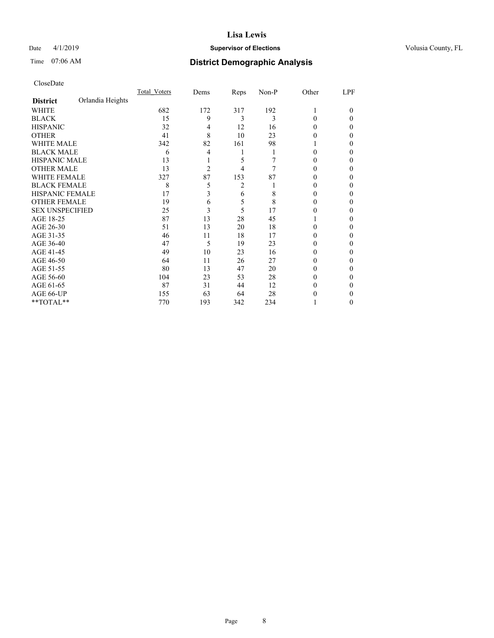### Date 4/1/2019 **Supervisor of Elections Supervisor of Elections** Volusia County, FL

# Time 07:06 AM **District Demographic Analysis**

|                        |                  | Total Voters | Dems           | Reps | Non-P | Other | LPF    |
|------------------------|------------------|--------------|----------------|------|-------|-------|--------|
| <b>District</b>        | Orlandia Heights |              |                |      |       |       |        |
| WHITE                  |                  | 682          | 172            | 317  | 192   |       | $_{0}$ |
| <b>BLACK</b>           |                  | 15           | 9              | 3    | 3     | 0     | 0      |
| <b>HISPANIC</b>        |                  | 32           | 4              | 12   | 16    | 0     | 0      |
| <b>OTHER</b>           |                  | 41           | 8              | 10   | 23    | 0     | 0      |
| WHITE MALE             |                  | 342          | 82             | 161  | 98    |       | 0      |
| <b>BLACK MALE</b>      |                  | 6            | 4              |      |       | 0     | 0      |
| <b>HISPANIC MALE</b>   |                  | 13           |                | 5    |       |       | 0      |
| <b>OTHER MALE</b>      |                  | 13           | $\overline{c}$ | 4    | 7     | 0     | 0      |
| <b>WHITE FEMALE</b>    |                  | 327          | 87             | 153  | 87    |       | 0      |
| <b>BLACK FEMALE</b>    |                  | 8            | 5              | 2    |       | 0     | 0      |
| <b>HISPANIC FEMALE</b> |                  | 17           | 3              | 6    | 8     | 0     | 0      |
| <b>OTHER FEMALE</b>    |                  | 19           | 6              | 5    | 8     | 0     | 0      |
| <b>SEX UNSPECIFIED</b> |                  | 25           | 3              | 5    | 17    |       | 0      |
| AGE 18-25              |                  | 87           | 13             | 28   | 45    |       | 0      |
| AGE 26-30              |                  | 51           | 13             | 20   | 18    | 0     | 0      |
| AGE 31-35              |                  | 46           | 11             | 18   | 17    |       | 0      |
| AGE 36-40              |                  | 47           | 5              | 19   | 23    | 0     | 0      |
| AGE 41-45              |                  | 49           | 10             | 23   | 16    |       | 0      |
| AGE 46-50              |                  | 64           | 11             | 26   | 27    | 0     | 0      |
| AGE 51-55              |                  | 80           | 13             | 47   | 20    | 0     | 0      |
| AGE 56-60              |                  | 104          | 23             | 53   | 28    | 0     | 0      |
| AGE 61-65              |                  | 87           | 31             | 44   | 12    | 0     | 0      |
| AGE 66-UP              |                  | 155          | 63             | 64   | 28    |       | 0      |
| **TOTAL**              |                  | 770          | 193            | 342  | 234   |       | 0      |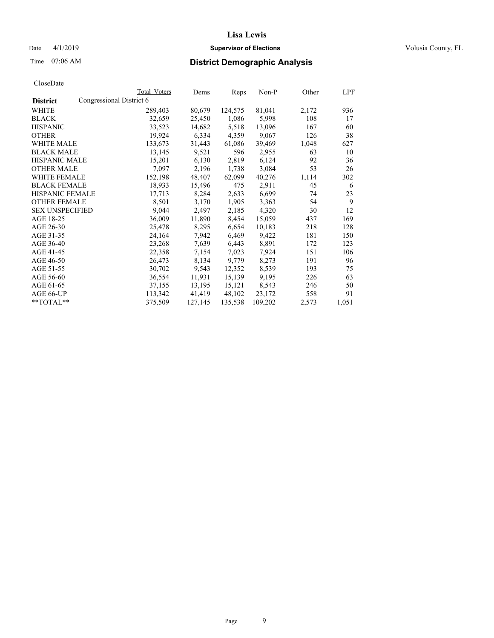## Date 4/1/2019 **Supervisor of Elections Supervisor of Elections** Volusia County, FL

# Time 07:06 AM **District Demographic Analysis**

|                        |                          | Total Voters | Dems    | Reps    | Non-P   | Other | LPF   |
|------------------------|--------------------------|--------------|---------|---------|---------|-------|-------|
| <b>District</b>        | Congressional District 6 |              |         |         |         |       |       |
| WHITE                  |                          | 289,403      | 80,679  | 124,575 | 81,041  | 2,172 | 936   |
| <b>BLACK</b>           |                          | 32,659       | 25,450  | 1,086   | 5,998   | 108   | 17    |
| <b>HISPANIC</b>        |                          | 33,523       | 14,682  | 5,518   | 13,096  | 167   | 60    |
| <b>OTHER</b>           |                          | 19,924       | 6,334   | 4,359   | 9,067   | 126   | 38    |
| WHITE MALE             |                          | 133,673      | 31,443  | 61,086  | 39,469  | 1,048 | 627   |
| <b>BLACK MALE</b>      |                          | 13,145       | 9,521   | 596     | 2,955   | 63    | 10    |
| <b>HISPANIC MALE</b>   |                          | 15,201       | 6,130   | 2,819   | 6,124   | 92    | 36    |
| <b>OTHER MALE</b>      |                          | 7,097        | 2,196   | 1,738   | 3,084   | 53    | 26    |
| <b>WHITE FEMALE</b>    |                          | 152,198      | 48,407  | 62,099  | 40,276  | 1,114 | 302   |
| <b>BLACK FEMALE</b>    |                          | 18,933       | 15,496  | 475     | 2,911   | 45    | 6     |
| <b>HISPANIC FEMALE</b> |                          | 17,713       | 8,284   | 2,633   | 6,699   | 74    | 23    |
| <b>OTHER FEMALE</b>    |                          | 8,501        | 3,170   | 1,905   | 3,363   | 54    | 9     |
| <b>SEX UNSPECIFIED</b> |                          | 9,044        | 2,497   | 2,185   | 4,320   | 30    | 12    |
| AGE 18-25              |                          | 36,009       | 11,890  | 8,454   | 15,059  | 437   | 169   |
| AGE 26-30              |                          | 25,478       | 8,295   | 6,654   | 10,183  | 218   | 128   |
| AGE 31-35              |                          | 24,164       | 7,942   | 6,469   | 9,422   | 181   | 150   |
| AGE 36-40              |                          | 23,268       | 7,639   | 6,443   | 8,891   | 172   | 123   |
| AGE 41-45              |                          | 22,358       | 7,154   | 7,023   | 7,924   | 151   | 106   |
| AGE 46-50              |                          | 26,473       | 8,134   | 9,779   | 8,273   | 191   | 96    |
| AGE 51-55              |                          | 30,702       | 9,543   | 12,352  | 8,539   | 193   | 75    |
| AGE 56-60              |                          | 36,554       | 11,931  | 15,139  | 9,195   | 226   | 63    |
| AGE 61-65              |                          | 37,155       | 13,195  | 15,121  | 8,543   | 246   | 50    |
| AGE 66-UP              |                          | 113,342      | 41,419  | 48,102  | 23,172  | 558   | 91    |
| $*$ TOTAL $*$          |                          | 375,509      | 127,145 | 135,538 | 109,202 | 2,573 | 1,051 |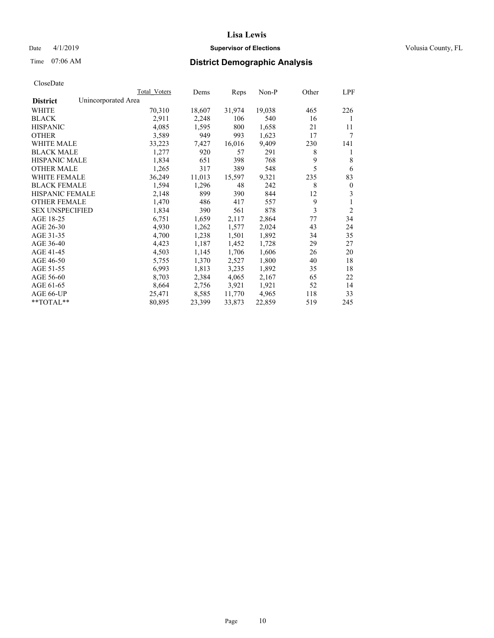## Date 4/1/2019 **Supervisor of Elections Supervisor of Elections** Volusia County, FL

# Time 07:06 AM **District Demographic Analysis**

|                        | Total Voters        | Dems   | Reps   | Non-P  | Other | LPF            |
|------------------------|---------------------|--------|--------|--------|-------|----------------|
| <b>District</b>        | Unincorporated Area |        |        |        |       |                |
| WHITE                  | 70,310              | 18,607 | 31,974 | 19,038 | 465   | 226            |
| <b>BLACK</b>           | 2,911               | 2,248  | 106    | 540    | 16    | 1              |
| <b>HISPANIC</b>        | 4,085               | 1,595  | 800    | 1,658  | 21    | 11             |
| <b>OTHER</b>           | 3,589               | 949    | 993    | 1,623  | 17    | 7              |
| <b>WHITE MALE</b>      | 33,223              | 7,427  | 16,016 | 9,409  | 230   | 141            |
| <b>BLACK MALE</b>      | 1,277               | 920    | 57     | 291    | 8     | 1              |
| <b>HISPANIC MALE</b>   | 1,834               | 651    | 398    | 768    | 9     | 8              |
| <b>OTHER MALE</b>      | 1,265               | 317    | 389    | 548    | 5     | 6              |
| <b>WHITE FEMALE</b>    | 36,249              | 11,013 | 15,597 | 9,321  | 235   | 83             |
| <b>BLACK FEMALE</b>    | 1,594               | 1,296  | 48     | 242    | 8     | $\mathbf{0}$   |
| <b>HISPANIC FEMALE</b> | 2,148               | 899    | 390    | 844    | 12    | 3              |
| <b>OTHER FEMALE</b>    | 1,470               | 486    | 417    | 557    | 9     | 1              |
| <b>SEX UNSPECIFIED</b> | 1,834               | 390    | 561    | 878    | 3     | $\overline{2}$ |
| AGE 18-25              | 6,751               | 1,659  | 2,117  | 2,864  | 77    | 34             |
| AGE 26-30              | 4,930               | 1,262  | 1,577  | 2,024  | 43    | 24             |
| AGE 31-35              | 4,700               | 1,238  | 1,501  | 1,892  | 34    | 35             |
| AGE 36-40              | 4,423               | 1,187  | 1,452  | 1,728  | 29    | 27             |
| AGE 41-45              | 4,503               | 1,145  | 1,706  | 1,606  | 26    | 20             |
| AGE 46-50              | 5,755               | 1,370  | 2,527  | 1,800  | 40    | 18             |
| AGE 51-55              | 6,993               | 1,813  | 3,235  | 1,892  | 35    | 18             |
| AGE 56-60              | 8,703               | 2,384  | 4,065  | 2,167  | 65    | 22             |
| AGE 61-65              | 8,664               | 2,756  | 3,921  | 1,921  | 52    | 14             |
| AGE 66-UP              | 25,471              | 8,585  | 11,770 | 4,965  | 118   | 33             |
| $*$ $TOTAL**$          | 80,895              | 23,399 | 33,873 | 22,859 | 519   | 245            |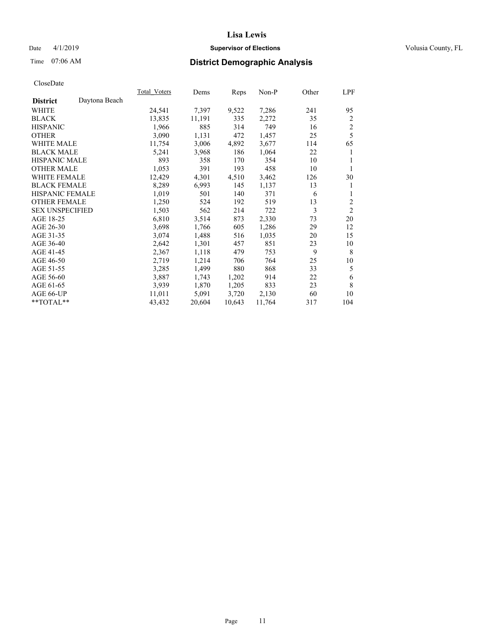## Date 4/1/2019 **Supervisor of Elections Supervisor of Elections** Volusia County, FL

# Time 07:06 AM **District Demographic Analysis**

|                        |               | Total Voters | Dems   | Reps   | Non-P  | Other | LPF            |
|------------------------|---------------|--------------|--------|--------|--------|-------|----------------|
| <b>District</b>        | Daytona Beach |              |        |        |        |       |                |
| WHITE                  |               | 24,541       | 7,397  | 9,522  | 7,286  | 241   | 95             |
| <b>BLACK</b>           |               | 13,835       | 11,191 | 335    | 2,272  | 35    | $\overline{c}$ |
| <b>HISPANIC</b>        |               | 1,966        | 885    | 314    | 749    | 16    | $\mathbf{2}$   |
| <b>OTHER</b>           |               | 3,090        | 1,131  | 472    | 1,457  | 25    | 5              |
| <b>WHITE MALE</b>      |               | 11,754       | 3,006  | 4,892  | 3,677  | 114   | 65             |
| <b>BLACK MALE</b>      |               | 5,241        | 3,968  | 186    | 1,064  | 22    | 1              |
| <b>HISPANIC MALE</b>   |               | 893          | 358    | 170    | 354    | 10    | 1              |
| <b>OTHER MALE</b>      |               | 1,053        | 391    | 193    | 458    | 10    | 1              |
| WHITE FEMALE           |               | 12,429       | 4,301  | 4,510  | 3,462  | 126   | 30             |
| <b>BLACK FEMALE</b>    |               | 8,289        | 6,993  | 145    | 1,137  | 13    | 1              |
| HISPANIC FEMALE        |               | 1,019        | 501    | 140    | 371    | 6     | 1              |
| <b>OTHER FEMALE</b>    |               | 1,250        | 524    | 192    | 519    | 13    | $\overline{c}$ |
| <b>SEX UNSPECIFIED</b> |               | 1,503        | 562    | 214    | 722    | 3     | $\overline{2}$ |
| AGE 18-25              |               | 6,810        | 3,514  | 873    | 2,330  | 73    | 20             |
| AGE 26-30              |               | 3,698        | 1,766  | 605    | 1,286  | 29    | 12             |
| AGE 31-35              |               | 3,074        | 1,488  | 516    | 1,035  | 20    | 15             |
| AGE 36-40              |               | 2,642        | 1,301  | 457    | 851    | 23    | 10             |
| AGE 41-45              |               | 2,367        | 1,118  | 479    | 753    | 9     | 8              |
| AGE 46-50              |               | 2,719        | 1,214  | 706    | 764    | 25    | 10             |
| AGE 51-55              |               | 3,285        | 1,499  | 880    | 868    | 33    | 5              |
| AGE 56-60              |               | 3,887        | 1,743  | 1,202  | 914    | 22    | 6              |
| AGE 61-65              |               | 3,939        | 1,870  | 1,205  | 833    | 23    | 8              |
| AGE 66-UP              |               | 11,011       | 5,091  | 3,720  | 2,130  | 60    | 10             |
| **TOTAL**              |               | 43,432       | 20,604 | 10,643 | 11,764 | 317   | 104            |
|                        |               |              |        |        |        |       |                |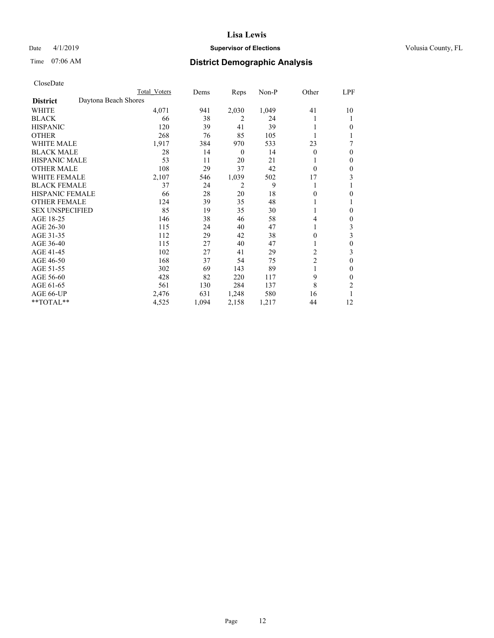## Date 4/1/2019 **Supervisor of Elections Supervisor of Elections** Volusia County, FL

# Time 07:06 AM **District Demographic Analysis**

|                        |                      | Total Voters | Dems  | Reps             | Non-P | Other          | LPF |
|------------------------|----------------------|--------------|-------|------------------|-------|----------------|-----|
| <b>District</b>        | Daytona Beach Shores |              |       |                  |       |                |     |
| WHITE                  |                      | 4,071        | 941   | 2,030            | 1,049 | 41             | 10  |
| <b>BLACK</b>           |                      | 66           | 38    | 2                | 24    |                |     |
| <b>HISPANIC</b>        |                      | 120          | 39    | 41               | 39    |                | 0   |
| <b>OTHER</b>           |                      | 268          | 76    | 85               | 105   |                |     |
| WHITE MALE             |                      | 1,917        | 384   | 970              | 533   | 23             | 7   |
| <b>BLACK MALE</b>      |                      | 28           | 14    | $\boldsymbol{0}$ | 14    | $\Omega$       | 0   |
| <b>HISPANIC MALE</b>   |                      | 53           | 11    | 20               | 21    |                | 0   |
| <b>OTHER MALE</b>      |                      | 108          | 29    | 37               | 42    | $\Omega$       | 0   |
| <b>WHITE FEMALE</b>    |                      | 2,107        | 546   | 1,039            | 502   | 17             | 3   |
| <b>BLACK FEMALE</b>    |                      | 37           | 24    | $\overline{2}$   | 9     |                |     |
| <b>HISPANIC FEMALE</b> |                      | 66           | 28    | 20               | 18    | 0              | 0   |
| <b>OTHER FEMALE</b>    |                      | 124          | 39    | 35               | 48    |                |     |
| <b>SEX UNSPECIFIED</b> |                      | 85           | 19    | 35               | 30    |                | 0   |
| AGE 18-25              |                      | 146          | 38    | 46               | 58    | 4              | 0   |
| AGE 26-30              |                      | 115          | 24    | 40               | 47    | 1              | 3   |
| AGE 31-35              |                      | 112          | 29    | 42               | 38    | 0              | 3   |
| AGE 36-40              |                      | 115          | 27    | 40               | 47    |                | 0   |
| AGE 41-45              |                      | 102          | 27    | 41               | 29    | 2              | 3   |
| AGE 46-50              |                      | 168          | 37    | 54               | 75    | $\overline{2}$ | 0   |
| AGE 51-55              |                      | 302          | 69    | 143              | 89    |                | 0   |
| AGE 56-60              |                      | 428          | 82    | 220              | 117   | 9              | 0   |
| AGE 61-65              |                      | 561          | 130   | 284              | 137   | 8              | 2   |
| AGE 66-UP              |                      | 2,476        | 631   | 1,248            | 580   | 16             |     |
| **TOTAL**              |                      | 4,525        | 1,094 | 2,158            | 1,217 | 44             | 12  |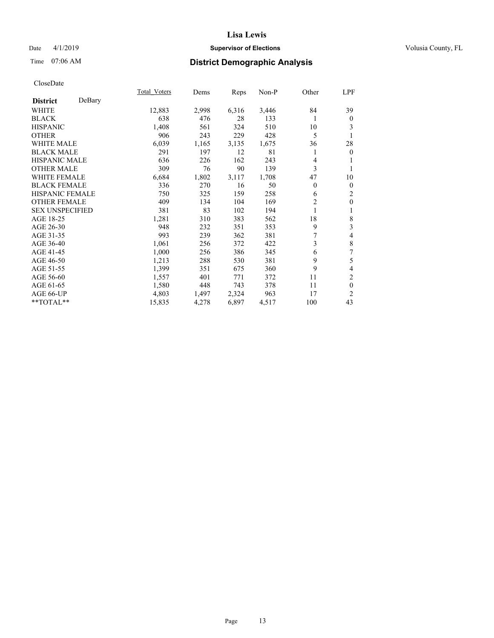## Date 4/1/2019 **Supervisor of Elections Supervisor of Elections** Volusia County, FL

# Time 07:06 AM **District Demographic Analysis**

| Total Voters | Dems  | Reps  | Non-P | Other          | LPF                      |
|--------------|-------|-------|-------|----------------|--------------------------|
|              |       |       |       |                |                          |
| 12,883       | 2,998 | 6,316 | 3,446 | 84             | 39                       |
| 638          | 476   | 28    | 133   | 1              | $\boldsymbol{0}$         |
| 1,408        | 561   | 324   | 510   | 10             | 3                        |
| 906          | 243   | 229   | 428   | 5              | 1                        |
| 6,039        | 1,165 | 3,135 | 1,675 | 36             | 28                       |
| 291          | 197   | 12    | 81    | 1              | $\mathbf{0}$             |
| 636          | 226   | 162   | 243   | 4              |                          |
| 309          | 76    | 90    | 139   | 3              |                          |
| 6,684        | 1,802 | 3,117 | 1,708 | 47             | 10                       |
| 336          | 270   | 16    | 50    | $\theta$       | $\mathbf{0}$             |
| 750          | 325   | 159   | 258   | 6              | $\overline{c}$           |
| 409          | 134   | 104   | 169   | $\overline{2}$ | $\mathbf{0}$             |
| 381          | 83    | 102   | 194   | 1              | 1                        |
| 1,281        | 310   | 383   | 562   | 18             | $\,$ 8 $\,$              |
| 948          | 232   | 351   | 353   | 9              | 3                        |
| 993          | 239   | 362   | 381   | 7              | 4                        |
| 1,061        | 256   | 372   | 422   | 3              | $\,$ 8 $\,$              |
| 1,000        | 256   | 386   | 345   | 6              | 7                        |
| 1,213        | 288   | 530   | 381   | 9              | 5                        |
| 1,399        | 351   | 675   | 360   | 9              | $\overline{\mathcal{L}}$ |
| 1,557        | 401   | 771   | 372   | 11             | 2                        |
| 1,580        | 448   | 743   | 378   | 11             | $\mathbf{0}$             |
| 4,803        | 1,497 | 2,324 | 963   | 17             | $\overline{c}$           |
| 15,835       | 4,278 | 6,897 | 4,517 | 100            | 43                       |
|              |       |       |       |                |                          |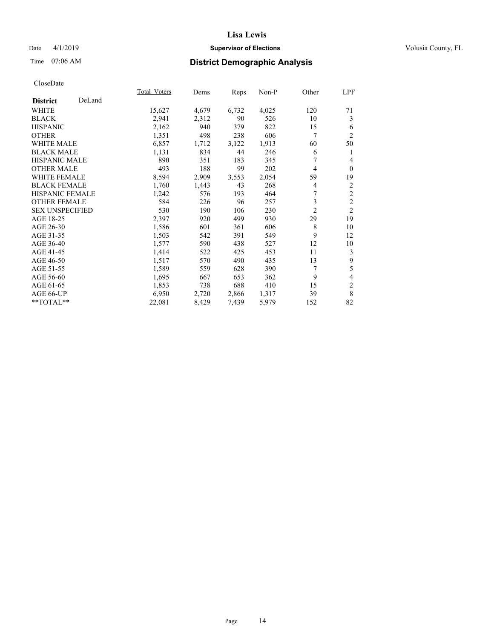## Date 4/1/2019 **Supervisor of Elections Supervisor of Elections** Volusia County, FL

## Time 07:06 AM **District Demographic Analysis**

|                        |        | Total Voters | Dems  | Reps  | $Non-P$ | Other          | LPF            |
|------------------------|--------|--------------|-------|-------|---------|----------------|----------------|
| <b>District</b>        | DeLand |              |       |       |         |                |                |
| WHITE                  |        | 15,627       | 4,679 | 6,732 | 4,025   | 120            | 71             |
| <b>BLACK</b>           |        | 2,941        | 2,312 | 90    | 526     | 10             | 3              |
| <b>HISPANIC</b>        |        | 2,162        | 940   | 379   | 822     | 15             | 6              |
| <b>OTHER</b>           |        | 1,351        | 498   | 238   | 606     | 7              | $\overline{2}$ |
| WHITE MALE             |        | 6,857        | 1,712 | 3,122 | 1,913   | 60             | 50             |
| <b>BLACK MALE</b>      |        | 1,131        | 834   | 44    | 246     | 6              | 1              |
| <b>HISPANIC MALE</b>   |        | 890          | 351   | 183   | 345     | 7              | $\overline{4}$ |
| <b>OTHER MALE</b>      |        | 493          | 188   | 99    | 202     | 4              | $\mathbf{0}$   |
| <b>WHITE FEMALE</b>    |        | 8,594        | 2,909 | 3,553 | 2,054   | 59             | 19             |
| <b>BLACK FEMALE</b>    |        | 1,760        | 1,443 | 43    | 268     | 4              | $\overline{c}$ |
| <b>HISPANIC FEMALE</b> |        | 1,242        | 576   | 193   | 464     | 7              | $\overline{2}$ |
| <b>OTHER FEMALE</b>    |        | 584          | 226   | 96    | 257     | 3              | $\overline{2}$ |
| <b>SEX UNSPECIFIED</b> |        | 530          | 190   | 106   | 230     | $\overline{2}$ | $\overline{2}$ |
| AGE 18-25              |        | 2,397        | 920   | 499   | 930     | 29             | 19             |
| AGE 26-30              |        | 1,586        | 601   | 361   | 606     | 8              | 10             |
| AGE 31-35              |        | 1,503        | 542   | 391   | 549     | 9              | 12             |
| AGE 36-40              |        | 1,577        | 590   | 438   | 527     | 12             | 10             |
| AGE 41-45              |        | 1,414        | 522   | 425   | 453     | 11             | 3              |
| AGE 46-50              |        | 1,517        | 570   | 490   | 435     | 13             | 9              |
| AGE 51-55              |        | 1,589        | 559   | 628   | 390     | 7              | 5              |
| AGE 56-60              |        | 1,695        | 667   | 653   | 362     | 9              | 4              |
| AGE 61-65              |        | 1,853        | 738   | 688   | 410     | 15             | 2              |
| AGE 66-UP              |        | 6,950        | 2,720 | 2,866 | 1,317   | 39             | $\,$ 8 $\,$    |
| **TOTAL**              |        | 22,081       | 8,429 | 7,439 | 5,979   | 152            | 82             |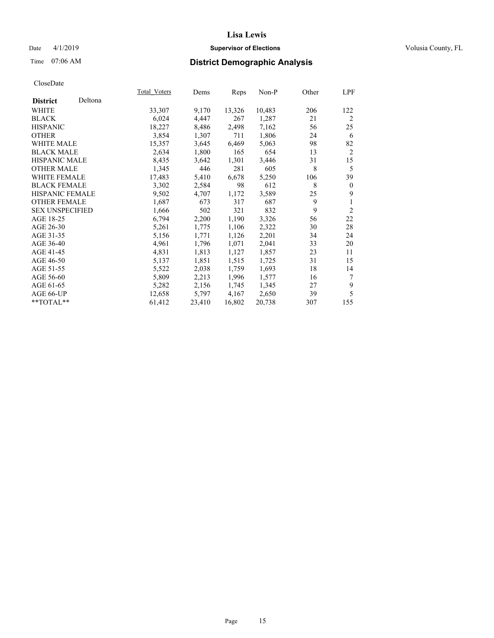## Date 4/1/2019 **Supervisor of Elections Supervisor of Elections** Volusia County, FL

# Time 07:06 AM **District Demographic Analysis**

|                        |         | <b>Total Voters</b> | Dems   | Reps   | Non-P  | Other | LPF            |
|------------------------|---------|---------------------|--------|--------|--------|-------|----------------|
| <b>District</b>        | Deltona |                     |        |        |        |       |                |
| WHITE                  |         | 33,307              | 9,170  | 13,326 | 10,483 | 206   | 122            |
| <b>BLACK</b>           |         | 6,024               | 4,447  | 267    | 1,287  | 21    | $\overline{2}$ |
| <b>HISPANIC</b>        |         | 18,227              | 8,486  | 2,498  | 7,162  | 56    | 25             |
| <b>OTHER</b>           |         | 3,854               | 1,307  | 711    | 1,806  | 24    | 6              |
| WHITE MALE             |         | 15,357              | 3,645  | 6,469  | 5,063  | 98    | 82             |
| <b>BLACK MALE</b>      |         | 2,634               | 1,800  | 165    | 654    | 13    | $\overline{2}$ |
| <b>HISPANIC MALE</b>   |         | 8,435               | 3,642  | 1,301  | 3,446  | 31    | 15             |
| <b>OTHER MALE</b>      |         | 1,345               | 446    | 281    | 605    | 8     | 5              |
| WHITE FEMALE           |         | 17,483              | 5,410  | 6,678  | 5,250  | 106   | 39             |
| <b>BLACK FEMALE</b>    |         | 3,302               | 2,584  | 98     | 612    | 8     | $\theta$       |
| HISPANIC FEMALE        |         | 9,502               | 4,707  | 1,172  | 3,589  | 25    | 9              |
| <b>OTHER FEMALE</b>    |         | 1,687               | 673    | 317    | 687    | 9     | 1              |
| <b>SEX UNSPECIFIED</b> |         | 1,666               | 502    | 321    | 832    | 9     | $\overline{2}$ |
| AGE 18-25              |         | 6,794               | 2,200  | 1,190  | 3,326  | 56    | 22             |
| AGE 26-30              |         | 5,261               | 1,775  | 1,106  | 2,322  | 30    | 28             |
| AGE 31-35              |         | 5,156               | 1,771  | 1,126  | 2,201  | 34    | 24             |
| AGE 36-40              |         | 4,961               | 1,796  | 1,071  | 2,041  | 33    | 20             |
| AGE 41-45              |         | 4,831               | 1,813  | 1,127  | 1,857  | 23    | 11             |
| AGE 46-50              |         | 5,137               | 1,851  | 1,515  | 1,725  | 31    | 15             |
| AGE 51-55              |         | 5,522               | 2,038  | 1,759  | 1,693  | 18    | 14             |
| AGE 56-60              |         | 5,809               | 2,213  | 1,996  | 1,577  | 16    | 7              |
| AGE 61-65              |         | 5,282               | 2,156  | 1,745  | 1,345  | 27    | 9              |
| AGE 66-UP              |         | 12,658              | 5,797  | 4,167  | 2,650  | 39    | 5              |
| $*$ $TOTAL**$          |         | 61,412              | 23,410 | 16,802 | 20,738 | 307   | 155            |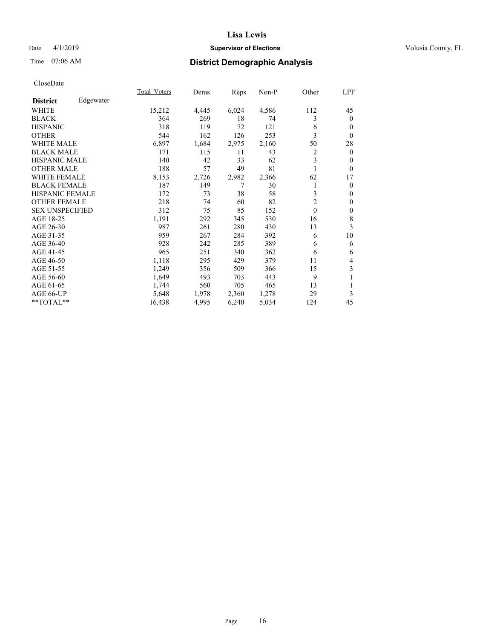## Date 4/1/2019 **Supervisor of Elections Supervisor of Elections** Volusia County, FL

## Time 07:06 AM **District Demographic Analysis**

|                        |           | Total Voters | Dems  | Reps  | Non-P | Other          | LPF            |
|------------------------|-----------|--------------|-------|-------|-------|----------------|----------------|
| <b>District</b>        | Edgewater |              |       |       |       |                |                |
| WHITE                  |           | 15,212       | 4,445 | 6,024 | 4,586 | 112            | 45             |
| <b>BLACK</b>           |           | 364          | 269   | 18    | 74    | 3              | $\mathbf{0}$   |
| <b>HISPANIC</b>        |           | 318          | 119   | 72    | 121   | 6              | $\theta$       |
| <b>OTHER</b>           |           | 544          | 162   | 126   | 253   | 3              | $\theta$       |
| WHITE MALE             |           | 6,897        | 1,684 | 2,975 | 2,160 | 50             | 28             |
| <b>BLACK MALE</b>      |           | 171          | 115   | 11    | 43    | 2              | $\overline{0}$ |
| <b>HISPANIC MALE</b>   |           | 140          | 42    | 33    | 62    | 3              | $\theta$       |
| <b>OTHER MALE</b>      |           | 188          | 57    | 49    | 81    | 1              | $\overline{0}$ |
| <b>WHITE FEMALE</b>    |           | 8,153        | 2,726 | 2,982 | 2,366 | 62             | 17             |
| <b>BLACK FEMALE</b>    |           | 187          | 149   | 7     | 30    | 1              | $\theta$       |
| <b>HISPANIC FEMALE</b> |           | 172          | 73    | 38    | 58    | 3              | $\theta$       |
| <b>OTHER FEMALE</b>    |           | 218          | 74    | 60    | 82    | $\overline{2}$ | $\mathbf{0}$   |
| <b>SEX UNSPECIFIED</b> |           | 312          | 75    | 85    | 152   | $\theta$       | $\mathbf{0}$   |
| AGE 18-25              |           | 1,191        | 292   | 345   | 530   | 16             | 8              |
| AGE 26-30              |           | 987          | 261   | 280   | 430   | 13             | 3              |
| AGE 31-35              |           | 959          | 267   | 284   | 392   | 6              | 10             |
| AGE 36-40              |           | 928          | 242   | 285   | 389   | 6              | 6              |
| AGE 41-45              |           | 965          | 251   | 340   | 362   | 6              | 6              |
| AGE 46-50              |           | 1,118        | 295   | 429   | 379   | 11             | 4              |
| AGE 51-55              |           | 1,249        | 356   | 509   | 366   | 15             | 3              |
| AGE 56-60              |           | 1,649        | 493   | 703   | 443   | 9              |                |
| AGE 61-65              |           | 1,744        | 560   | 705   | 465   | 13             | 1              |
| AGE 66-UP              |           | 5,648        | 1,978 | 2,360 | 1,278 | 29             | 3              |
| **TOTAL**              |           | 16,438       | 4,995 | 6,240 | 5,034 | 124            | 45             |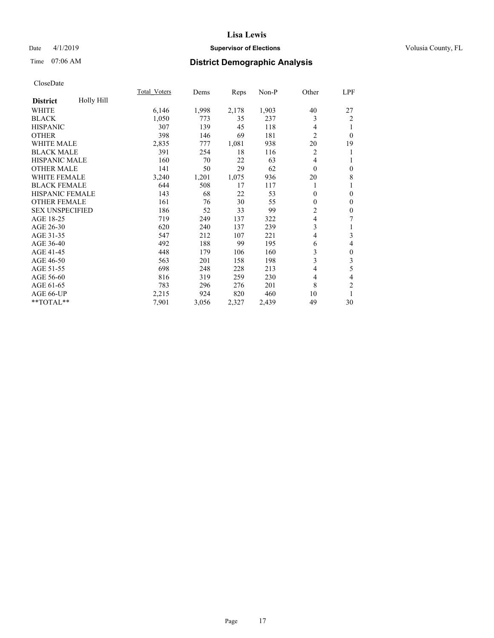## Date 4/1/2019 **Supervisor of Elections Supervisor of Elections** Volusia County, FL

# Time 07:06 AM **District Demographic Analysis**

|                        |                   | <b>Total Voters</b> | Dems  | Reps  | Non-P | Other          | LPF              |
|------------------------|-------------------|---------------------|-------|-------|-------|----------------|------------------|
| <b>District</b>        | <b>Holly Hill</b> |                     |       |       |       |                |                  |
| WHITE                  |                   | 6,146               | 1,998 | 2,178 | 1,903 | 40             | 27               |
| <b>BLACK</b>           |                   | 1,050               | 773   | 35    | 237   | 3              | $\overline{2}$   |
| <b>HISPANIC</b>        |                   | 307                 | 139   | 45    | 118   | 4              | 1                |
| <b>OTHER</b>           |                   | 398                 | 146   | 69    | 181   | $\overline{c}$ | $\theta$         |
| <b>WHITE MALE</b>      |                   | 2,835               | 777   | 1,081 | 938   | 20             | 19               |
| <b>BLACK MALE</b>      |                   | 391                 | 254   | 18    | 116   | $\overline{c}$ | 1                |
| HISPANIC MALE          |                   | 160                 | 70    | 22    | 63    | 4              | 1                |
| <b>OTHER MALE</b>      |                   | 141                 | 50    | 29    | 62    | $\theta$       | $\boldsymbol{0}$ |
| <b>WHITE FEMALE</b>    |                   | 3,240               | 1,201 | 1,075 | 936   | 20             | 8                |
| <b>BLACK FEMALE</b>    |                   | 644                 | 508   | 17    | 117   |                | 1                |
| <b>HISPANIC FEMALE</b> |                   | 143                 | 68    | 22    | 53    | $\mathbf{0}$   | $\mathbf{0}$     |
| <b>OTHER FEMALE</b>    |                   | 161                 | 76    | 30    | 55    | $\mathbf{0}$   | $\mathbf{0}$     |
| <b>SEX UNSPECIFIED</b> |                   | 186                 | 52    | 33    | 99    | 2              | $\boldsymbol{0}$ |
| AGE 18-25              |                   | 719                 | 249   | 137   | 322   | 4              | 7                |
| AGE 26-30              |                   | 620                 | 240   | 137   | 239   | 3              | 1                |
| AGE 31-35              |                   | 547                 | 212   | 107   | 221   | 4              | 3                |
| AGE 36-40              |                   | 492                 | 188   | 99    | 195   | 6              | $\overline{4}$   |
| AGE 41-45              |                   | 448                 | 179   | 106   | 160   | 3              | $\boldsymbol{0}$ |
| AGE 46-50              |                   | 563                 | 201   | 158   | 198   | 3              | 3                |
| AGE 51-55              |                   | 698                 | 248   | 228   | 213   | 4              | 5                |
| AGE 56-60              |                   | 816                 | 319   | 259   | 230   | 4              | 4                |
| AGE 61-65              |                   | 783                 | 296   | 276   | 201   | 8              | $\overline{2}$   |
| AGE 66-UP              |                   | 2,215               | 924   | 820   | 460   | 10             | 1                |
| **TOTAL**              |                   | 7,901               | 3,056 | 2,327 | 2,439 | 49             | 30               |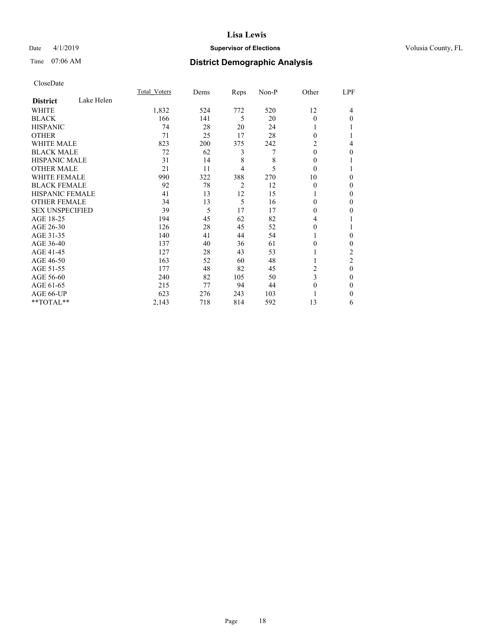## Date 4/1/2019 **Supervisor of Elections Supervisor of Elections** Volusia County, FL

## Time 07:06 AM **District Demographic Analysis**

|                        |            | Total Voters | Dems | Reps | Non-P | Other    | LPF            |
|------------------------|------------|--------------|------|------|-------|----------|----------------|
| <b>District</b>        | Lake Helen |              |      |      |       |          |                |
| WHITE                  |            | 1,832        | 524  | 772  | 520   | 12       | 4              |
| <b>BLACK</b>           |            | 166          | 141  | 5    | 20    | $\theta$ | $\Omega$       |
| <b>HISPANIC</b>        |            | 74           | 28   | 20   | 24    |          |                |
| <b>OTHER</b>           |            | 71           | 25   | 17   | 28    | $\Omega$ |                |
| WHITE MALE             |            | 823          | 200  | 375  | 242   | 2        | 4              |
| <b>BLACK MALE</b>      |            | 72           | 62   | 3    | 7     | $\theta$ | 0              |
| <b>HISPANIC MALE</b>   |            | 31           | 14   | 8    | 8     | $\Omega$ |                |
| <b>OTHER MALE</b>      |            | 21           | 11   | 4    | 5     | $\theta$ |                |
| <b>WHITE FEMALE</b>    |            | 990          | 322  | 388  | 270   | 10       | 0              |
| <b>BLACK FEMALE</b>    |            | 92           | 78   | 2    | 12    | $\theta$ | 0              |
| <b>HISPANIC FEMALE</b> |            | 41           | 13   | 12   | 15    |          | 0              |
| <b>OTHER FEMALE</b>    |            | 34           | 13   | 5    | 16    | 0        | 0              |
| <b>SEX UNSPECIFIED</b> |            | 39           | 5    | 17   | 17    | $\Omega$ | 0              |
| AGE 18-25              |            | 194          | 45   | 62   | 82    | 4        |                |
| AGE 26-30              |            | 126          | 28   | 45   | 52    | 0        |                |
| AGE 31-35              |            | 140          | 41   | 44   | 54    |          | 0              |
| AGE 36-40              |            | 137          | 40   | 36   | 61    | $\Omega$ | 0              |
| AGE 41-45              |            | 127          | 28   | 43   | 53    |          | 2              |
| AGE 46-50              |            | 163          | 52   | 60   | 48    |          | $\overline{c}$ |
| AGE 51-55              |            | 177          | 48   | 82   | 45    | 2        | $\theta$       |
| AGE 56-60              |            | 240          | 82   | 105  | 50    | 3        | $\Omega$       |
| AGE 61-65              |            | 215          | 77   | 94   | 44    | $\theta$ | $\mathbf{0}$   |
| AGE 66-UP              |            | 623          | 276  | 243  | 103   |          | 0              |
| **TOTAL**              |            | 2,143        | 718  | 814  | 592   | 13       | 6              |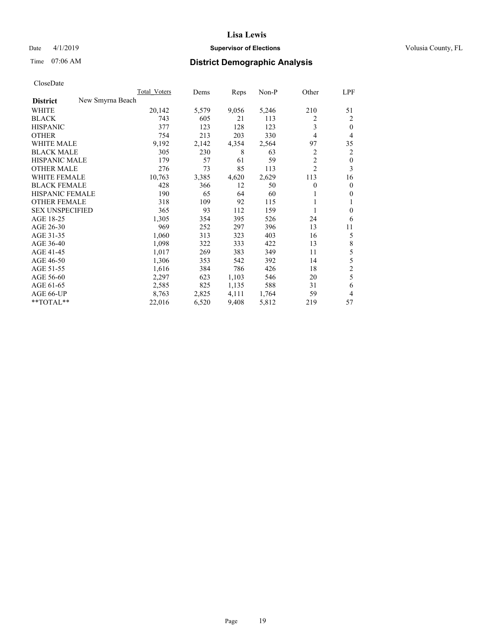## Date 4/1/2019 **Supervisor of Elections Supervisor of Elections** Volusia County, FL

# Time 07:06 AM **District Demographic Analysis**

|                        |                  | Total Voters | Dems  | Reps  | $Non-P$ | Other          | LPF            |
|------------------------|------------------|--------------|-------|-------|---------|----------------|----------------|
| <b>District</b>        | New Smyrna Beach |              |       |       |         |                |                |
| WHITE                  |                  | 20,142       | 5,579 | 9,056 | 5,246   | 210            | 51             |
| <b>BLACK</b>           |                  | 743          | 605   | 21    | 113     | 2              | 2              |
| <b>HISPANIC</b>        |                  | 377          | 123   | 128   | 123     | 3              | $\theta$       |
| <b>OTHER</b>           |                  | 754          | 213   | 203   | 330     | 4              | 4              |
| <b>WHITE MALE</b>      |                  | 9,192        | 2,142 | 4,354 | 2,564   | 97             | 35             |
| <b>BLACK MALE</b>      |                  | 305          | 230   | 8     | 63      | 2              | $\overline{2}$ |
| <b>HISPANIC MALE</b>   |                  | 179          | 57    | 61    | 59      | $\overline{2}$ | $\overline{0}$ |
| <b>OTHER MALE</b>      |                  | 276          | 73    | 85    | 113     | $\overline{c}$ | 3              |
| <b>WHITE FEMALE</b>    |                  | 10,763       | 3,385 | 4,620 | 2,629   | 113            | 16             |
| <b>BLACK FEMALE</b>    |                  | 428          | 366   | 12    | 50      | 0              | $\mathbf{0}$   |
| <b>HISPANIC FEMALE</b> |                  | 190          | 65    | 64    | 60      | 1              | $\mathbf{0}$   |
| <b>OTHER FEMALE</b>    |                  | 318          | 109   | 92    | 115     |                | 1              |
| <b>SEX UNSPECIFIED</b> |                  | 365          | 93    | 112   | 159     | 1              | $\theta$       |
| AGE 18-25              |                  | 1,305        | 354   | 395   | 526     | 24             | 6              |
| AGE 26-30              |                  | 969          | 252   | 297   | 396     | 13             | 11             |
| AGE 31-35              |                  | 1,060        | 313   | 323   | 403     | 16             | 5              |
| AGE 36-40              |                  | 1,098        | 322   | 333   | 422     | 13             | 8              |
| AGE 41-45              |                  | 1,017        | 269   | 383   | 349     | 11             | 5              |
| AGE 46-50              |                  | 1,306        | 353   | 542   | 392     | 14             | 5              |
| AGE 51-55              |                  | 1,616        | 384   | 786   | 426     | 18             | $\overline{c}$ |
| AGE 56-60              |                  | 2,297        | 623   | 1,103 | 546     | 20             | 5              |
| AGE 61-65              |                  | 2,585        | 825   | 1,135 | 588     | 31             | 6              |
| AGE 66-UP              |                  | 8,763        | 2,825 | 4,111 | 1,764   | 59             | $\overline{4}$ |
| **TOTAL**              |                  | 22,016       | 6,520 | 9,408 | 5,812   | 219            | 57             |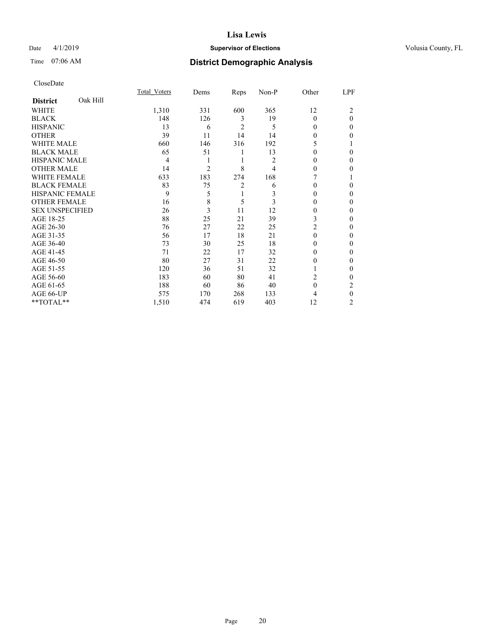## Date 4/1/2019 **Supervisor of Elections Supervisor of Elections** Volusia County, FL

## Time 07:06 AM **District Demographic Analysis**

|                        |          | Total Voters | Dems           | Reps           | Non-P | Other    | LPF            |
|------------------------|----------|--------------|----------------|----------------|-------|----------|----------------|
| <b>District</b>        | Oak Hill |              |                |                |       |          |                |
| WHITE                  |          | 1,310        | 331            | 600            | 365   | 12       | 2              |
| <b>BLACK</b>           |          | 148          | 126            | 3              | 19    | $\Omega$ | $\theta$       |
| <b>HISPANIC</b>        |          | 13           | 6              | $\overline{2}$ | 5     | 0        | 0              |
| <b>OTHER</b>           |          | 39           | 11             | 14             | 14    | 0        | 0              |
| WHITE MALE             |          | 660          | 146            | 316            | 192   | 5        |                |
| <b>BLACK MALE</b>      |          | 65           | 51             | 1              | 13    | 0        | 0              |
| <b>HISPANIC MALE</b>   |          | 4            |                | 1              | 2     | 0        | 0              |
| <b>OTHER MALE</b>      |          | 14           | $\overline{c}$ | 8              | 4     | $\Omega$ | 0              |
| WHITE FEMALE           |          | 633          | 183            | 274            | 168   |          |                |
| <b>BLACK FEMALE</b>    |          | 83           | 75             | 2              | 6     | 0        | 0              |
| <b>HISPANIC FEMALE</b> |          | 9            | 5              | 1              | 3     | 0        | 0              |
| <b>OTHER FEMALE</b>    |          | 16           | 8              | 5              | 3     | $\Omega$ | 0              |
| <b>SEX UNSPECIFIED</b> |          | 26           | 3              | 11             | 12    | 0        | 0              |
| AGE 18-25              |          | 88           | 25             | 21             | 39    | 3        | 0              |
| AGE 26-30              |          | 76           | 27             | 22             | 25    | 2        | 0              |
| AGE 31-35              |          | 56           | 17             | 18             | 21    | $\theta$ | 0              |
| AGE 36-40              |          | 73           | 30             | 25             | 18    | 0        | 0              |
| AGE 41-45              |          | 71           | 22             | 17             | 32    | 0        | 0              |
| AGE 46-50              |          | 80           | 27             | 31             | 22    | 0        | 0              |
| AGE 51-55              |          | 120          | 36             | 51             | 32    |          | 0              |
| AGE 56-60              |          | 183          | 60             | 80             | 41    | 2        | 0              |
| AGE 61-65              |          | 188          | 60             | 86             | 40    | $\theta$ | 2              |
| AGE 66-UP              |          | 575          | 170            | 268            | 133   | 4        | 0              |
| **TOTAL**              |          | 1,510        | 474            | 619            | 403   | 12       | $\overline{c}$ |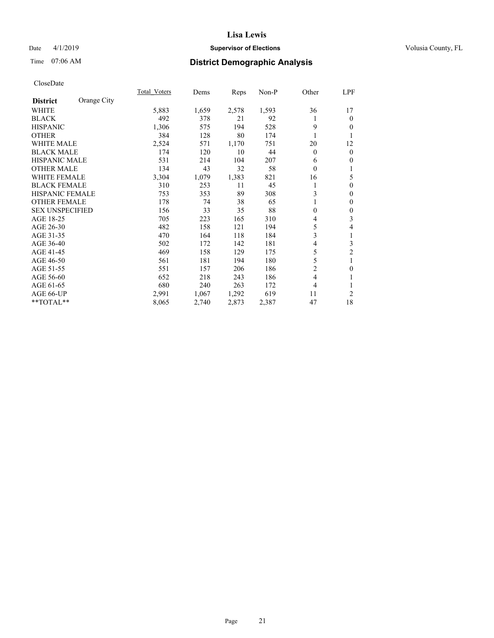## Date 4/1/2019 **Supervisor of Elections Supervisor of Elections** Volusia County, FL

# Time 07:06 AM **District Demographic Analysis**

|                                | Total Voters | Dems  | Reps  | Non-P | Other        | LPF              |
|--------------------------------|--------------|-------|-------|-------|--------------|------------------|
| Orange City<br><b>District</b> |              |       |       |       |              |                  |
| WHITE                          | 5,883        | 1,659 | 2,578 | 1,593 | 36           | 17               |
| <b>BLACK</b>                   | 492          | 378   | 21    | 92    |              | $\mathbf{0}$     |
| <b>HISPANIC</b>                | 1,306        | 575   | 194   | 528   | 9            | $\mathbf{0}$     |
| <b>OTHER</b>                   | 384          | 128   | 80    | 174   |              | 1                |
| WHITE MALE                     | 2,524        | 571   | 1,170 | 751   | 20           | 12               |
| <b>BLACK MALE</b>              | 174          | 120   | 10    | 44    | $\theta$     | $\mathbf{0}$     |
| <b>HISPANIC MALE</b>           | 531          | 214   | 104   | 207   | 6            | $\mathbf{0}$     |
| <b>OTHER MALE</b>              | 134          | 43    | 32    | 58    | $\mathbf{0}$ | 1                |
| <b>WHITE FEMALE</b>            | 3,304        | 1,079 | 1,383 | 821   | 16           | 5                |
| <b>BLACK FEMALE</b>            | 310          | 253   | 11    | 45    |              | $\mathbf{0}$     |
| <b>HISPANIC FEMALE</b>         | 753          | 353   | 89    | 308   | 3            | $\mathbf{0}$     |
| <b>OTHER FEMALE</b>            | 178          | 74    | 38    | 65    |              | $\mathbf{0}$     |
| <b>SEX UNSPECIFIED</b>         | 156          | 33    | 35    | 88    | $\theta$     | $\boldsymbol{0}$ |
| AGE 18-25                      | 705          | 223   | 165   | 310   | 4            | 3                |
| AGE 26-30                      | 482          | 158   | 121   | 194   | 5            | 4                |
| AGE 31-35                      | 470          | 164   | 118   | 184   | 3            | 1                |
| AGE 36-40                      | 502          | 172   | 142   | 181   | 4            | 3                |
| AGE 41-45                      | 469          | 158   | 129   | 175   | 5            | 2                |
| AGE 46-50                      | 561          | 181   | 194   | 180   | 5            | 1                |
| AGE 51-55                      | 551          | 157   | 206   | 186   | 2            | $\mathbf{0}$     |
| AGE 56-60                      | 652          | 218   | 243   | 186   | 4            | 1                |
| AGE 61-65                      | 680          | 240   | 263   | 172   | 4            | 1                |
| AGE 66-UP                      | 2,991        | 1,067 | 1,292 | 619   | 11           | $\overline{2}$   |
| **TOTAL**                      | 8,065        | 2,740 | 2,873 | 2,387 | 47           | 18               |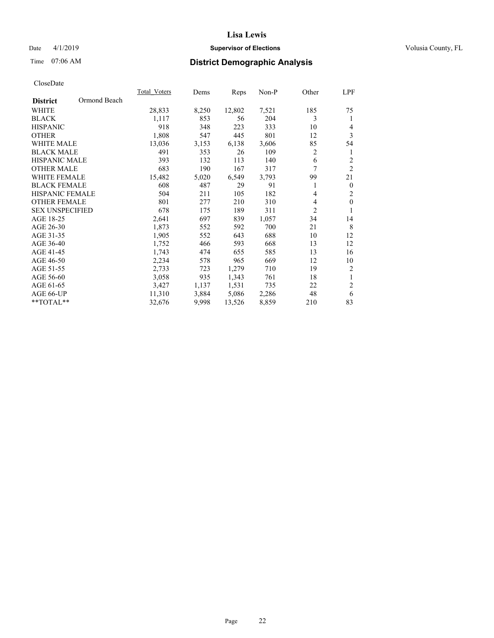## Date 4/1/2019 **Supervisor of Elections Supervisor of Elections** Volusia County, FL

# Time 07:06 AM **District Demographic Analysis**

|                        |              | Total Voters | Dems  | Reps   | Non-P | Other          | LPF            |
|------------------------|--------------|--------------|-------|--------|-------|----------------|----------------|
| <b>District</b>        | Ormond Beach |              |       |        |       |                |                |
| WHITE                  |              | 28,833       | 8,250 | 12,802 | 7,521 | 185            | 75             |
| <b>BLACK</b>           |              | 1,117        | 853   | 56     | 204   | 3              | 1              |
| <b>HISPANIC</b>        |              | 918          | 348   | 223    | 333   | 10             | $\overline{4}$ |
| <b>OTHER</b>           |              | 1,808        | 547   | 445    | 801   | 12             | 3              |
| <b>WHITE MALE</b>      |              | 13,036       | 3,153 | 6,138  | 3,606 | 85             | 54             |
| <b>BLACK MALE</b>      |              | 491          | 353   | 26     | 109   | 2              | 1              |
| <b>HISPANIC MALE</b>   |              | 393          | 132   | 113    | 140   | 6              | $\overline{2}$ |
| <b>OTHER MALE</b>      |              | 683          | 190   | 167    | 317   | 7              | $\overline{2}$ |
| <b>WHITE FEMALE</b>    |              | 15,482       | 5,020 | 6,549  | 3,793 | 99             | 21             |
| <b>BLACK FEMALE</b>    |              | 608          | 487   | 29     | 91    | 1              | $\mathbf{0}$   |
| <b>HISPANIC FEMALE</b> |              | 504          | 211   | 105    | 182   | 4              | $\mathfrak{2}$ |
| <b>OTHER FEMALE</b>    |              | 801          | 277   | 210    | 310   | 4              | $\mathbf{0}$   |
| <b>SEX UNSPECIFIED</b> |              | 678          | 175   | 189    | 311   | $\overline{2}$ | 1              |
| AGE 18-25              |              | 2,641        | 697   | 839    | 1,057 | 34             | 14             |
| AGE 26-30              |              | 1,873        | 552   | 592    | 700   | 21             | 8              |
| AGE 31-35              |              | 1,905        | 552   | 643    | 688   | 10             | 12             |
| AGE 36-40              |              | 1,752        | 466   | 593    | 668   | 13             | 12             |
| AGE 41-45              |              | 1,743        | 474   | 655    | 585   | 13             | 16             |
| AGE 46-50              |              | 2,234        | 578   | 965    | 669   | 12             | 10             |
| AGE 51-55              |              | 2,733        | 723   | 1,279  | 710   | 19             | 2              |
| AGE 56-60              |              | 3,058        | 935   | 1,343  | 761   | 18             | $\mathbf{1}$   |
| AGE 61-65              |              | 3,427        | 1,137 | 1,531  | 735   | 22             | $\overline{2}$ |
| AGE 66-UP              |              | 11,310       | 3,884 | 5,086  | 2,286 | 48             | 6              |
| **TOTAL**              |              | 32,676       | 9,998 | 13,526 | 8,859 | 210            | 83             |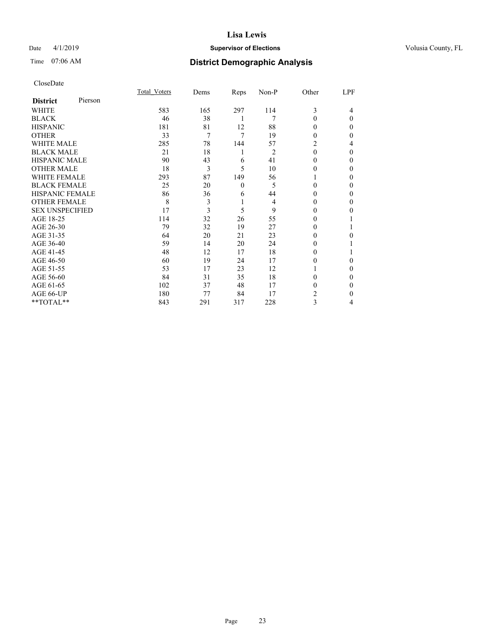## Date 4/1/2019 **Supervisor of Elections Supervisor of Elections** Volusia County, FL

# Time 07:06 AM **District Demographic Analysis**

|                        |         | Total Voters | Dems | Reps     | Non-P | Other    | LPF      |
|------------------------|---------|--------------|------|----------|-------|----------|----------|
| <b>District</b>        | Pierson |              |      |          |       |          |          |
| WHITE                  |         | 583          | 165  | 297      | 114   | 3        | 4        |
| <b>BLACK</b>           |         | 46           | 38   | 1        | 7     | 0        | $\Omega$ |
| <b>HISPANIC</b>        |         | 181          | 81   | 12       | 88    | 0        | 0        |
| <b>OTHER</b>           |         | 33           | 7    | 7        | 19    | 0        | 0        |
| WHITE MALE             |         | 285          | 78   | 144      | 57    | 2        | 4        |
| <b>BLACK MALE</b>      |         | 21           | 18   | 1        | 2     | $\theta$ | 0        |
| <b>HISPANIC MALE</b>   |         | 90           | 43   | 6        | 41    | 0        | 0        |
| <b>OTHER MALE</b>      |         | 18           | 3    | 5        | 10    | 0        | 0        |
| <b>WHITE FEMALE</b>    |         | 293          | 87   | 149      | 56    |          | 0        |
| <b>BLACK FEMALE</b>    |         | 25           | 20   | $\theta$ | 5     | 0        | 0        |
| <b>HISPANIC FEMALE</b> |         | 86           | 36   | 6        | 44    | 0        | 0        |
| <b>OTHER FEMALE</b>    |         | 8            | 3    | 1        | 4     | 0        | 0        |
| <b>SEX UNSPECIFIED</b> |         | 17           | 3    | 5        | 9     | 0        | 0        |
| AGE 18-25              |         | 114          | 32   | 26       | 55    | 0        |          |
| AGE 26-30              |         | 79           | 32   | 19       | 27    | 0        |          |
| AGE 31-35              |         | 64           | 20   | 21       | 23    | 0        | 0        |
| AGE 36-40              |         | 59           | 14   | 20       | 24    | 0        |          |
| AGE 41-45              |         | 48           | 12   | 17       | 18    | 0        |          |
| AGE 46-50              |         | 60           | 19   | 24       | 17    | 0        | $\Omega$ |
| AGE 51-55              |         | 53           | 17   | 23       | 12    |          | 0        |
| AGE 56-60              |         | 84           | 31   | 35       | 18    | 0        | 0        |
| AGE 61-65              |         | 102          | 37   | 48       | 17    | 0        | 0        |
| AGE 66-UP              |         | 180          | 77   | 84       | 17    | 2        | 0        |
| **TOTAL**              |         | 843          | 291  | 317      | 228   | 3        | 4        |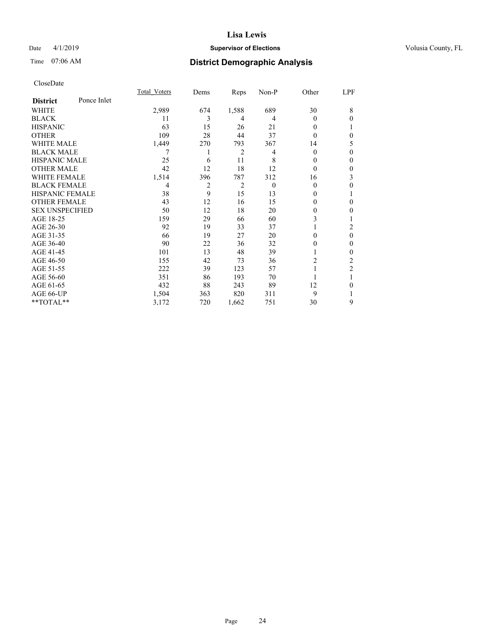## Date 4/1/2019 **Supervisor of Elections Supervisor of Elections** Volusia County, FL

# Time 07:06 AM **District Demographic Analysis**

|                        |             | Total Voters   | Dems           | Reps           | Non-P    | Other          | LPF            |
|------------------------|-------------|----------------|----------------|----------------|----------|----------------|----------------|
| <b>District</b>        | Ponce Inlet |                |                |                |          |                |                |
| WHITE                  |             | 2,989          | 674            | 1,588          | 689      | 30             | 8              |
| <b>BLACK</b>           |             | 11             | 3              | 4              | 4        | $\theta$       | $\theta$       |
| <b>HISPANIC</b>        |             | 63             | 15             | 26             | 21       | $\Omega$       |                |
| <b>OTHER</b>           |             | 109            | 28             | 44             | 37       | 0              | $\mathbf{0}$   |
| WHITE MALE             |             | 1,449          | 270            | 793            | 367      | 14             | 5              |
| <b>BLACK MALE</b>      |             | 7              | 1              | 2              | 4        | $\mathbf{0}$   | $\mathbf{0}$   |
| <b>HISPANIC MALE</b>   |             | 25             | 6              | 11             | 8        | 0              | $\theta$       |
| <b>OTHER MALE</b>      |             | 42             | 12             | 18             | 12       | $\theta$       | $\theta$       |
| <b>WHITE FEMALE</b>    |             | 1,514          | 396            | 787            | 312      | 16             | 3              |
| <b>BLACK FEMALE</b>    |             | $\overline{4}$ | $\overline{c}$ | $\overline{2}$ | $\theta$ | $\Omega$       | $\theta$       |
| <b>HISPANIC FEMALE</b> |             | 38             | 9              | 15             | 13       | $\theta$       | 1              |
| <b>OTHER FEMALE</b>    |             | 43             | 12             | 16             | 15       | $\Omega$       | $\theta$       |
| <b>SEX UNSPECIFIED</b> |             | 50             | 12             | 18             | 20       | $\mathbf{0}$   | $\mathbf{0}$   |
| AGE 18-25              |             | 159            | 29             | 66             | 60       | 3              |                |
| AGE 26-30              |             | 92             | 19             | 33             | 37       |                | 2              |
| AGE 31-35              |             | 66             | 19             | 27             | 20       | 0              | $\theta$       |
| AGE 36-40              |             | 90             | 22             | 36             | 32       | 0              | $\mathbf{0}$   |
| AGE 41-45              |             | 101            | 13             | 48             | 39       |                | $\mathbf{0}$   |
| AGE 46-50              |             | 155            | 42             | 73             | 36       | $\overline{2}$ | 2              |
| AGE 51-55              |             | 222            | 39             | 123            | 57       | 1              | $\overline{2}$ |
| AGE 56-60              |             | 351            | 86             | 193            | 70       |                |                |
| AGE 61-65              |             | 432            | 88             | 243            | 89       | 12             | $\theta$       |
| AGE 66-UP              |             | 1,504          | 363            | 820            | 311      | 9              | 1              |
| **TOTAL**              |             | 3,172          | 720            | 1,662          | 751      | 30             | 9              |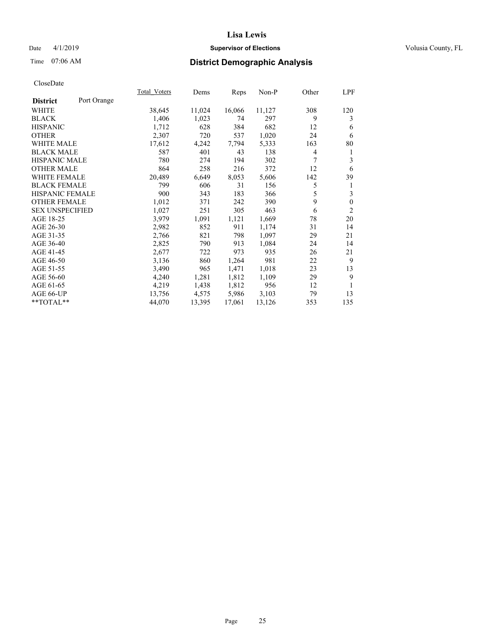## Date 4/1/2019 **Supervisor of Elections Supervisor of Elections** Volusia County, FL

# Time 07:06 AM **District Demographic Analysis**

|                                | Total Voters | Dems   | Reps   | Non-P  | Other          | LPF          |
|--------------------------------|--------------|--------|--------|--------|----------------|--------------|
| Port Orange<br><b>District</b> |              |        |        |        |                |              |
| WHITE                          | 38,645       | 11,024 | 16,066 | 11,127 | 308            | 120          |
| <b>BLACK</b>                   | 1,406        | 1,023  | 74     | 297    | 9              | 3            |
| <b>HISPANIC</b>                | 1,712        | 628    | 384    | 682    | 12             | 6            |
| <b>OTHER</b>                   | 2,307        | 720    | 537    | 1,020  | 24             | 6            |
| WHITE MALE                     | 17,612       | 4,242  | 7,794  | 5,333  | 163            | 80           |
| <b>BLACK MALE</b>              | 587          | 401    | 43     | 138    | $\overline{4}$ | 1            |
| <b>HISPANIC MALE</b>           | 780          | 274    | 194    | 302    | 7              | 3            |
| <b>OTHER MALE</b>              | 864          | 258    | 216    | 372    | 12             | 6            |
| WHITE FEMALE                   | 20,489       | 6,649  | 8,053  | 5,606  | 142            | 39           |
| <b>BLACK FEMALE</b>            | 799          | 606    | 31     | 156    | 5              | 1            |
| HISPANIC FEMALE                | 900          | 343    | 183    | 366    | 5              | 3            |
| <b>OTHER FEMALE</b>            | 1,012        | 371    | 242    | 390    | 9              | $\mathbf{0}$ |
| <b>SEX UNSPECIFIED</b>         | 1,027        | 251    | 305    | 463    | 6              | 2            |
| AGE 18-25                      | 3,979        | 1,091  | 1,121  | 1,669  | 78             | 20           |
| AGE 26-30                      | 2,982        | 852    | 911    | 1,174  | 31             | 14           |
| AGE 31-35                      | 2,766        | 821    | 798    | 1,097  | 29             | 21           |
| AGE 36-40                      | 2,825        | 790    | 913    | 1,084  | 24             | 14           |
| AGE 41-45                      | 2,677        | 722    | 973    | 935    | 26             | 21           |
| AGE 46-50                      | 3,136        | 860    | 1,264  | 981    | 22             | 9            |
| AGE 51-55                      | 3,490        | 965    | 1,471  | 1,018  | 23             | 13           |
| AGE 56-60                      | 4,240        | 1,281  | 1,812  | 1,109  | 29             | 9            |
| AGE 61-65                      | 4,219        | 1,438  | 1,812  | 956    | 12             | 1            |
| AGE 66-UP                      | 13,756       | 4,575  | 5,986  | 3,103  | 79             | 13           |
| $*$ $TOTAL**$                  | 44,070       | 13,395 | 17,061 | 13,126 | 353            | 135          |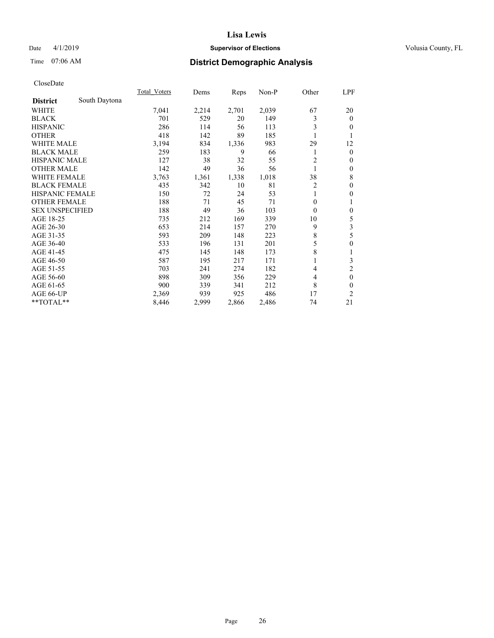## Date 4/1/2019 **Supervisor of Elections Supervisor of Elections** Volusia County, FL

## Time 07:06 AM **District Demographic Analysis**

|                        |               | Total Voters | Dems  | Reps  | Non-P | Other    | <u>LPF</u>     |
|------------------------|---------------|--------------|-------|-------|-------|----------|----------------|
| <b>District</b>        | South Daytona |              |       |       |       |          |                |
| WHITE                  |               | 7,041        | 2,214 | 2,701 | 2,039 | 67       | 20             |
| <b>BLACK</b>           |               | 701          | 529   | 20    | 149   | 3        | $\mathbf{0}$   |
| <b>HISPANIC</b>        |               | 286          | 114   | 56    | 113   | 3        | $\theta$       |
| <b>OTHER</b>           |               | 418          | 142   | 89    | 185   |          | 1              |
| WHITE MALE             |               | 3,194        | 834   | 1,336 | 983   | 29       | 12             |
| <b>BLACK MALE</b>      |               | 259          | 183   | 9     | 66    |          | $\mathbf{0}$   |
| <b>HISPANIC MALE</b>   |               | 127          | 38    | 32    | 55    | 2        | $\mathbf{0}$   |
| <b>OTHER MALE</b>      |               | 142          | 49    | 36    | 56    | 1        | $\mathbf{0}$   |
| <b>WHITE FEMALE</b>    |               | 3,763        | 1,361 | 1,338 | 1,018 | 38       | 8              |
| <b>BLACK FEMALE</b>    |               | 435          | 342   | 10    | 81    | 2        | $\mathbf{0}$   |
| HISPANIC FEMALE        |               | 150          | 72    | 24    | 53    |          | $\theta$       |
| <b>OTHER FEMALE</b>    |               | 188          | 71    | 45    | 71    | $\theta$ | 1              |
| <b>SEX UNSPECIFIED</b> |               | 188          | 49    | 36    | 103   | $\theta$ | $\mathbf{0}$   |
| AGE 18-25              |               | 735          | 212   | 169   | 339   | 10       | 5              |
| AGE 26-30              |               | 653          | 214   | 157   | 270   | 9        | 3              |
| AGE 31-35              |               | 593          | 209   | 148   | 223   | 8        | 5              |
| AGE 36-40              |               | 533          | 196   | 131   | 201   | 5        | $\mathbf{0}$   |
| AGE 41-45              |               | 475          | 145   | 148   | 173   | 8        | 1              |
| AGE 46-50              |               | 587          | 195   | 217   | 171   |          | 3              |
| AGE 51-55              |               | 703          | 241   | 274   | 182   | 4        | $\overline{2}$ |
| AGE 56-60              |               | 898          | 309   | 356   | 229   | 4        | $\mathbf{0}$   |
| AGE 61-65              |               | 900          | 339   | 341   | 212   | 8        | $\theta$       |
| AGE 66-UP              |               | 2,369        | 939   | 925   | 486   | 17       | 2              |
| **TOTAL**              |               | 8,446        | 2,999 | 2,866 | 2,486 | 74       | 21             |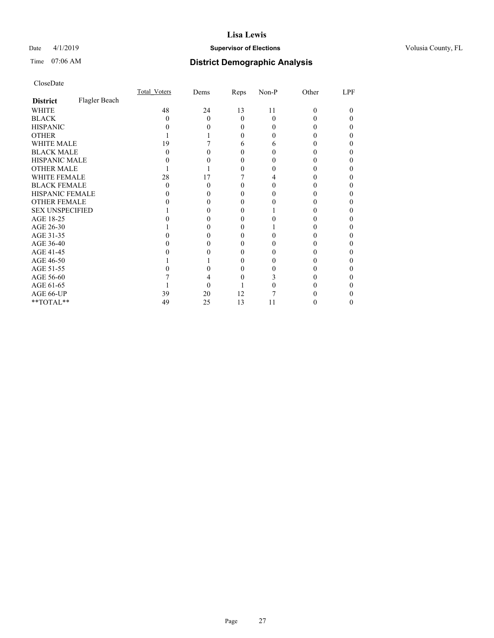## Date 4/1/2019 **Supervisor of Elections Supervisor of Elections** Volusia County, FL

# Time 07:06 AM **District Demographic Analysis**

|                        |               | Total Voters | Dems | Reps     | Non-P        | Other | LPF |
|------------------------|---------------|--------------|------|----------|--------------|-------|-----|
| <b>District</b>        | Flagler Beach |              |      |          |              |       |     |
| WHITE                  |               | 48           | 24   | 13       | 11           | 0     | 0   |
| <b>BLACK</b>           |               | 0            | 0    | $\theta$ | 0            |       |     |
| <b>HISPANIC</b>        |               |              |      | $\theta$ | $\mathbf{0}$ |       |     |
| <b>OTHER</b>           |               |              |      |          |              |       |     |
| WHITE MALE             |               | 19           |      | 6        | h            |       |     |
| <b>BLACK MALE</b>      |               |              |      |          |              |       |     |
| <b>HISPANIC MALE</b>   |               |              |      |          |              |       |     |
| <b>OTHER MALE</b>      |               |              |      |          |              |       |     |
| WHITE FEMALE           |               | 28           | 17   |          |              |       |     |
| <b>BLACK FEMALE</b>    |               | $\theta$     | 0    | $\theta$ |              |       |     |
| <b>HISPANIC FEMALE</b> |               |              |      |          |              |       |     |
| <b>OTHER FEMALE</b>    |               |              |      | 0        |              |       |     |
| <b>SEX UNSPECIFIED</b> |               |              |      |          |              |       |     |
| AGE 18-25              |               |              |      |          |              |       |     |
| AGE 26-30              |               |              |      |          |              |       |     |
| AGE 31-35              |               |              |      |          |              |       |     |
| AGE 36-40              |               |              |      | 0        |              |       |     |
| AGE 41-45              |               |              |      |          |              |       |     |
| AGE 46-50              |               |              |      | $_{0}$   |              |       |     |
| AGE 51-55              |               |              |      |          |              |       |     |
| AGE 56-60              |               |              |      |          |              |       |     |
| AGE 61-65              |               |              |      |          |              |       |     |
| AGE 66-UP              |               | 39           | 20   | 12       |              |       |     |
| **TOTAL**              |               | 49           | 25   | 13       | 11           |       |     |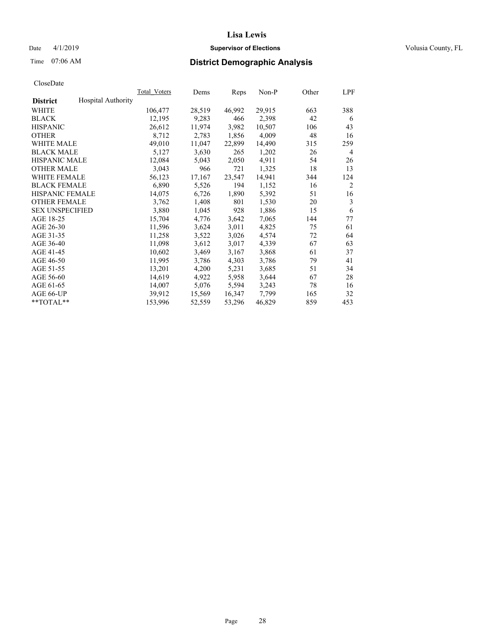## Date 4/1/2019 **Supervisor of Elections Supervisor of Elections** Volusia County, FL

# Time 07:06 AM **District Demographic Analysis**

|                        |                           | Total Voters | Dems   | Reps   | Non-P  | Other | LPF            |
|------------------------|---------------------------|--------------|--------|--------|--------|-------|----------------|
| <b>District</b>        | <b>Hospital Authority</b> |              |        |        |        |       |                |
| WHITE                  |                           | 106,477      | 28,519 | 46,992 | 29,915 | 663   | 388            |
| <b>BLACK</b>           |                           | 12,195       | 9,283  | 466    | 2,398  | 42    | 6              |
| <b>HISPANIC</b>        |                           | 26,612       | 11,974 | 3,982  | 10,507 | 106   | 43             |
| <b>OTHER</b>           |                           | 8,712        | 2,783  | 1,856  | 4,009  | 48    | 16             |
| WHITE MALE             |                           | 49,010       | 11,047 | 22,899 | 14,490 | 315   | 259            |
| <b>BLACK MALE</b>      |                           | 5,127        | 3,630  | 265    | 1,202  | 26    | 4              |
| <b>HISPANIC MALE</b>   |                           | 12,084       | 5,043  | 2,050  | 4,911  | 54    | 26             |
| <b>OTHER MALE</b>      |                           | 3,043        | 966    | 721    | 1,325  | 18    | 13             |
| <b>WHITE FEMALE</b>    |                           | 56,123       | 17,167 | 23,547 | 14,941 | 344   | 124            |
| <b>BLACK FEMALE</b>    |                           | 6,890        | 5,526  | 194    | 1,152  | 16    | $\overline{2}$ |
| <b>HISPANIC FEMALE</b> |                           | 14,075       | 6,726  | 1,890  | 5,392  | 51    | 16             |
| <b>OTHER FEMALE</b>    |                           | 3,762        | 1,408  | 801    | 1,530  | 20    | 3              |
| <b>SEX UNSPECIFIED</b> |                           | 3,880        | 1,045  | 928    | 1,886  | 15    | 6              |
| AGE 18-25              |                           | 15,704       | 4,776  | 3,642  | 7,065  | 144   | 77             |
| AGE 26-30              |                           | 11,596       | 3,624  | 3,011  | 4,825  | 75    | 61             |
| AGE 31-35              |                           | 11,258       | 3,522  | 3,026  | 4,574  | 72    | 64             |
| AGE 36-40              |                           | 11,098       | 3,612  | 3,017  | 4,339  | 67    | 63             |
| AGE 41-45              |                           | 10,602       | 3,469  | 3,167  | 3,868  | 61    | 37             |
| AGE 46-50              |                           | 11,995       | 3,786  | 4,303  | 3,786  | 79    | 41             |
| AGE 51-55              |                           | 13,201       | 4,200  | 5,231  | 3,685  | 51    | 34             |
| AGE 56-60              |                           | 14,619       | 4,922  | 5,958  | 3,644  | 67    | 28             |
| AGE 61-65              |                           | 14,007       | 5,076  | 5,594  | 3,243  | 78    | 16             |
| AGE 66-UP              |                           | 39,912       | 15,569 | 16,347 | 7,799  | 165   | 32             |
| $*$ $TOTAL**$          |                           | 153,996      | 52,559 | 53,296 | 46,829 | 859   | 453            |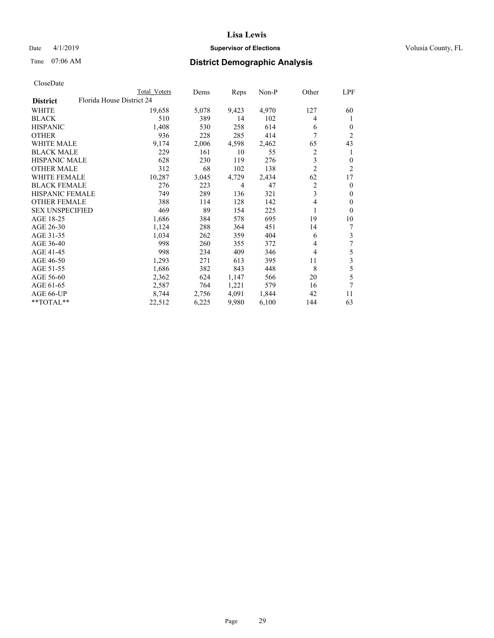## Date 4/1/2019 **Supervisor of Elections Supervisor of Elections** Volusia County, FL

| CloseDate |
|-----------|
|-----------|

|                        | Total Voters              | Dems  | Reps  | Non-P | Other          | LPF            |
|------------------------|---------------------------|-------|-------|-------|----------------|----------------|
| <b>District</b>        | Florida House District 24 |       |       |       |                |                |
| WHITE                  | 19,658                    | 5,078 | 9,423 | 4,970 | 127            | 60             |
| BLACK                  | 510                       | 389   | 14    | 102   | 4              | 1              |
| HISPANIC               | 1,408                     | 530   | 258   | 614   | 6              | $\theta$       |
| OTHER                  | 936                       | 228   | 285   | 414   | 7              | $\overline{c}$ |
| WHITE MALE             | 9,174                     | 2,006 | 4,598 | 2,462 | 65             | 43             |
| BLACK MALE             | 229                       | 161   | 10    | 55    | 2              |                |
| HISPANIC MALE          | 628                       | 230   | 119   | 276   | 3              | $\Omega$       |
| OTHER MALE             | 312                       | 68    | 102   | 138   | $\overline{2}$ | 2              |
| WHITE FEMALE           | 10,287                    | 3,045 | 4,729 | 2,434 | 62             | 17             |
| BLACK FEMALE           | 276                       | 223   | 4     | 47    | 2              | $\theta$       |
| HISPANIC FEMALE        | 749                       | 289   | 136   | 321   | 3              | 0              |
| OTHER FEMALE           | 388                       | 114   | 128   | 142   | $\overline{4}$ | $\theta$       |
| <b>SEX UNSPECIFIED</b> | 469                       | 89    | 154   | 225   |                | $\Omega$       |
| AGE 18-25              | 1,686                     | 384   | 578   | 695   | 19             | 10             |
| AGE 26-30              | 1,124                     | 288   | 364   | 451   | 14             |                |
| AGE 31-35              | 1,034                     | 262   | 359   | 404   | 6              | 3              |
| AGE 36-40              | 998                       | 260   | 355   | 372   | 4              | 7              |
| AGE 41-45              | 998                       | 234   | 409   | 346   | 4              | 5              |
| AGE 46-50              | 1,293                     | 271   | 613   | 395   | 11             | 3              |
| AGE 51-55              | 1,686                     | 382   | 843   | 448   | 8              | 5              |
| AGE 56-60              | 2,362                     | 624   | 1,147 | 566   | 20             | 5              |
| AGE 61-65              | 2,587                     | 764   | 1,221 | 579   | 16             | 7              |
| AGE 66-UP              | 8,744                     | 2,756 | 4,091 | 1,844 | 42             | 11             |
| $*$ $TOTAL**$          | 22,512                    | 6,225 | 9,980 | 6,100 | 144            | 63             |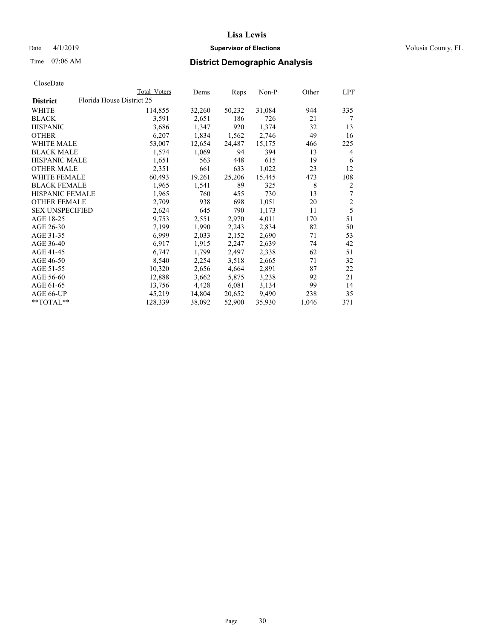## Date 4/1/2019 **Supervisor of Elections Supervisor of Elections** Volusia County, FL

## Time 07:06 AM **District Demographic Analysis**

|                        | Total Voters              | Dems   | Reps   | Non-P  | Other | LPF            |
|------------------------|---------------------------|--------|--------|--------|-------|----------------|
| <b>District</b>        | Florida House District 25 |        |        |        |       |                |
| WHITE                  | 114,855                   | 32,260 | 50,232 | 31,084 | 944   | 335            |
| <b>BLACK</b>           | 3,591                     | 2,651  | 186    | 726    | 21    | 7              |
| <b>HISPANIC</b>        | 3,686                     | 1,347  | 920    | 1,374  | 32    | 13             |
| <b>OTHER</b>           | 6,207                     | 1,834  | 1,562  | 2,746  | 49    | 16             |
| WHITE MALE             | 53,007                    | 12,654 | 24,487 | 15,175 | 466   | 225            |
| <b>BLACK MALE</b>      | 1,574                     | 1,069  | 94     | 394    | 13    | 4              |
| <b>HISPANIC MALE</b>   | 1,651                     | 563    | 448    | 615    | 19    | 6              |
| <b>OTHER MALE</b>      | 2,351                     | 661    | 633    | 1,022  | 23    | 12             |
| WHITE FEMALE           | 60,493                    | 19,261 | 25,206 | 15,445 | 473   | 108            |
| <b>BLACK FEMALE</b>    | 1,965                     | 1,541  | 89     | 325    | 8     | $\overline{2}$ |
| <b>HISPANIC FEMALE</b> | 1,965                     | 760    | 455    | 730    | 13    | 7              |
| <b>OTHER FEMALE</b>    | 2,709                     | 938    | 698    | 1,051  | 20    | $\overline{2}$ |
| <b>SEX UNSPECIFIED</b> | 2,624                     | 645    | 790    | 1,173  | 11    | 5              |
| AGE 18-25              | 9,753                     | 2,551  | 2,970  | 4,011  | 170   | 51             |
| AGE 26-30              | 7,199                     | 1,990  | 2,243  | 2,834  | 82    | 50             |
| AGE 31-35              | 6,999                     | 2,033  | 2,152  | 2,690  | 71    | 53             |
| AGE 36-40              | 6,917                     | 1,915  | 2,247  | 2,639  | 74    | 42             |
| AGE 41-45              | 6,747                     | 1,799  | 2,497  | 2,338  | 62    | 51             |
| AGE 46-50              | 8,540                     | 2,254  | 3,518  | 2,665  | 71    | 32             |
| AGE 51-55              | 10,320                    | 2,656  | 4,664  | 2,891  | 87    | 22             |
| AGE 56-60              | 12,888                    | 3,662  | 5,875  | 3,238  | 92    | 21             |
| AGE 61-65              | 13,756                    | 4,428  | 6,081  | 3,134  | 99    | 14             |
| AGE 66-UP              | 45,219                    | 14,804 | 20,652 | 9,490  | 238   | 35             |
| $*$ TOTAL $*$          | 128,339                   | 38,092 | 52,900 | 35,930 | 1,046 | 371            |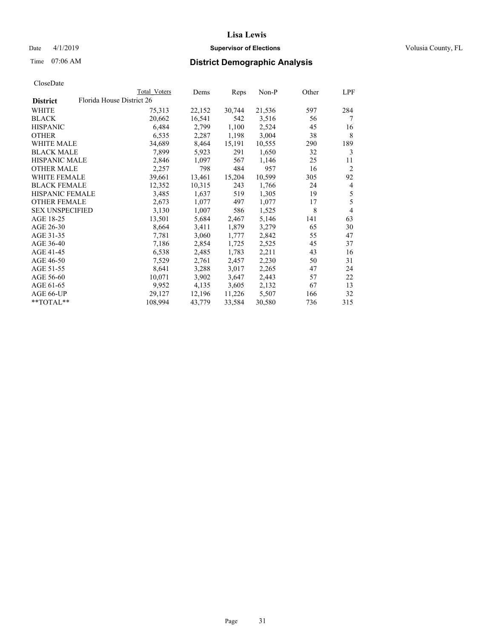## Date 4/1/2019 **Supervisor of Elections Supervisor of Elections** Volusia County, FL

| CloseDate |
|-----------|
|-----------|

|                        | Total Voters              | Dems   | Reps   | Non-P  | Other | LPF            |
|------------------------|---------------------------|--------|--------|--------|-------|----------------|
| <b>District</b>        | Florida House District 26 |        |        |        |       |                |
| WHITE                  | 75,313                    | 22,152 | 30,744 | 21,536 | 597   | 284            |
| BLACK                  | 20,662                    | 16,541 | 542    | 3,516  | 56    | 7              |
| <b>HISPANIC</b>        | 6,484                     | 2,799  | 1,100  | 2,524  | 45    | 16             |
| OTHER                  | 6,535                     | 2,287  | 1,198  | 3,004  | 38    | 8              |
| <b>WHITE MALE</b>      | 34,689                    | 8,464  | 15,191 | 10,555 | 290   | 189            |
| <b>BLACK MALE</b>      | 7,899                     | 5,923  | 291    | 1,650  | 32    | 3              |
| <b>HISPANIC MALE</b>   | 2,846                     | 1,097  | 567    | 1,146  | 25    | 11             |
| <b>OTHER MALE</b>      | 2,257                     | 798    | 484    | 957    | 16    | $\overline{2}$ |
| <b>WHITE FEMALE</b>    | 39,661                    | 13,461 | 15,204 | 10,599 | 305   | 92             |
| <b>BLACK FEMALE</b>    | 12,352                    | 10,315 | 243    | 1,766  | 24    | 4              |
| HISPANIC FEMALE        | 3,485                     | 1,637  | 519    | 1,305  | 19    | 5              |
| <b>OTHER FEMALE</b>    | 2,673                     | 1,077  | 497    | 1,077  | 17    | 5              |
| <b>SEX UNSPECIFIED</b> | 3,130                     | 1,007  | 586    | 1,525  | 8     | $\overline{4}$ |
| AGE 18-25              | 13,501                    | 5,684  | 2,467  | 5,146  | 141   | 63             |
| AGE 26-30              | 8,664                     | 3,411  | 1,879  | 3,279  | 65    | 30             |
| AGE 31-35              | 7,781                     | 3,060  | 1,777  | 2,842  | 55    | 47             |
| AGE 36-40              | 7,186                     | 2,854  | 1,725  | 2,525  | 45    | 37             |
| AGE 41-45              | 6,538                     | 2,485  | 1,783  | 2,211  | 43    | 16             |
| AGE 46-50              | 7,529                     | 2,761  | 2,457  | 2,230  | 50    | 31             |
| AGE 51-55              | 8,641                     | 3,288  | 3,017  | 2,265  | 47    | 24             |
| AGE 56-60              | 10,071                    | 3,902  | 3,647  | 2,443  | 57    | 22             |
| AGE 61-65              | 9,952                     | 4,135  | 3,605  | 2,132  | 67    | 13             |
| AGE 66-UP              | 29,127                    | 12,196 | 11,226 | 5,507  | 166   | 32             |
| **TOTAL**              | 108,994                   | 43,779 | 33,584 | 30,580 | 736   | 315            |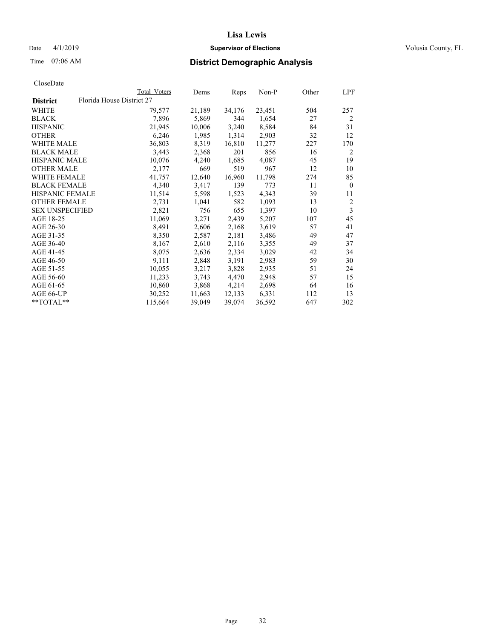## Date 4/1/2019 **Supervisor of Elections Supervisor of Elections** Volusia County, FL

|                                              | Total Voters | Dems   | Reps   | Non-P  | Other | LPF            |
|----------------------------------------------|--------------|--------|--------|--------|-------|----------------|
| Florida House District 27<br><b>District</b> |              |        |        |        |       |                |
| WHITE                                        | 79,577       | 21,189 | 34,176 | 23,451 | 504   | 257            |
| <b>BLACK</b>                                 | 7,896        | 5,869  | 344    | 1,654  | 27    | 2              |
| <b>HISPANIC</b>                              | 21,945       | 10,006 | 3,240  | 8,584  | 84    | 31             |
| <b>OTHER</b>                                 | 6,246        | 1,985  | 1,314  | 2,903  | 32    | 12             |
| <b>WHITE MALE</b>                            | 36,803       | 8,319  | 16,810 | 11,277 | 227   | 170            |
| <b>BLACK MALE</b>                            | 3,443        | 2,368  | 201    | 856    | 16    | 2              |
| <b>HISPANIC MALE</b>                         | 10,076       | 4,240  | 1,685  | 4,087  | 45    | 19             |
| <b>OTHER MALE</b>                            | 2,177        | 669    | 519    | 967    | 12    | 10             |
| WHITE FEMALE                                 | 41,757       | 12,640 | 16,960 | 11,798 | 274   | 85             |
| <b>BLACK FEMALE</b>                          | 4,340        | 3,417  | 139    | 773    | 11    | $\theta$       |
| <b>HISPANIC FEMALE</b>                       | 11,514       | 5,598  | 1,523  | 4,343  | 39    | 11             |
| <b>OTHER FEMALE</b>                          | 2,731        | 1,041  | 582    | 1,093  | 13    | $\overline{2}$ |
| <b>SEX UNSPECIFIED</b>                       | 2,821        | 756    | 655    | 1,397  | 10    | 3              |
| AGE 18-25                                    | 11,069       | 3,271  | 2,439  | 5,207  | 107   | 45             |
| AGE 26-30                                    | 8,491        | 2,606  | 2,168  | 3,619  | 57    | 41             |
| AGE 31-35                                    | 8,350        | 2,587  | 2,181  | 3,486  | 49    | 47             |
| AGE 36-40                                    | 8,167        | 2,610  | 2,116  | 3,355  | 49    | 37             |
| AGE 41-45                                    | 8,075        | 2,636  | 2,334  | 3,029  | 42    | 34             |
| AGE 46-50                                    | 9,111        | 2,848  | 3,191  | 2,983  | 59    | 30             |
| AGE 51-55                                    | 10,055       | 3,217  | 3,828  | 2,935  | 51    | 24             |
| AGE 56-60                                    | 11,233       | 3,743  | 4,470  | 2,948  | 57    | 15             |
| AGE 61-65                                    | 10,860       | 3,868  | 4,214  | 2,698  | 64    | 16             |
| AGE 66-UP                                    | 30,252       | 11,663 | 12,133 | 6,331  | 112   | 13             |
| **TOTAL**                                    | 115,664      | 39,049 | 39,074 | 36,592 | 647   | 302            |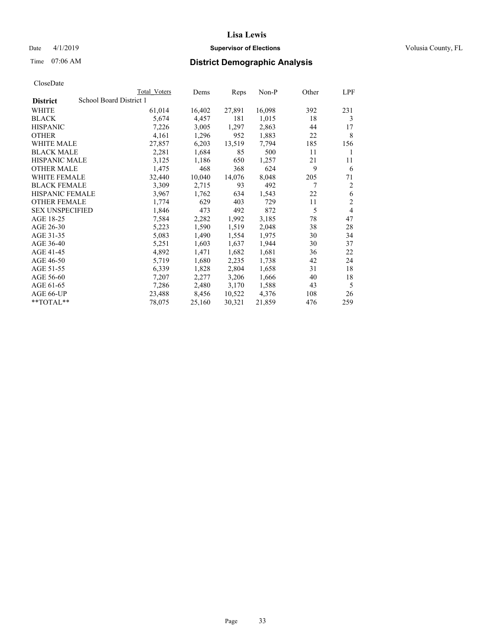## Date 4/1/2019 **Supervisor of Elections Supervisor of Elections** Volusia County, FL

## Time 07:06 AM **District Demographic Analysis**

|                        | Total Voters            | Dems   | Reps   | Non-P  | Other | LPF            |
|------------------------|-------------------------|--------|--------|--------|-------|----------------|
| <b>District</b>        | School Board District 1 |        |        |        |       |                |
| WHITE                  | 61,014                  | 16,402 | 27,891 | 16,098 | 392   | 231            |
| <b>BLACK</b>           | 5,674                   | 4,457  | 181    | 1,015  | 18    | 3              |
| <b>HISPANIC</b>        | 7,226                   | 3,005  | 1,297  | 2,863  | 44    | 17             |
| <b>OTHER</b>           | 4,161                   | 1,296  | 952    | 1,883  | 22    | 8              |
| WHITE MALE             | 27,857                  | 6,203  | 13,519 | 7,794  | 185   | 156            |
| <b>BLACK MALE</b>      | 2,281                   | 1,684  | 85     | 500    | 11    | 1              |
| <b>HISPANIC MALE</b>   | 3,125                   | 1,186  | 650    | 1,257  | 21    | 11             |
| <b>OTHER MALE</b>      | 1,475                   | 468    | 368    | 624    | 9     | 6              |
| WHITE FEMALE           | 32,440                  | 10,040 | 14,076 | 8,048  | 205   | 71             |
| <b>BLACK FEMALE</b>    | 3,309                   | 2,715  | 93     | 492    | 7     | 2              |
| <b>HISPANIC FEMALE</b> | 3,967                   | 1,762  | 634    | 1,543  | 22    | 6              |
| <b>OTHER FEMALE</b>    | 1,774                   | 629    | 403    | 729    | 11    | $\mathfrak{2}$ |
| <b>SEX UNSPECIFIED</b> | 1,846                   | 473    | 492    | 872    | 5     | 4              |
| AGE 18-25              | 7,584                   | 2,282  | 1,992  | 3,185  | 78    | 47             |
| AGE 26-30              | 5,223                   | 1,590  | 1,519  | 2,048  | 38    | 28             |
| AGE 31-35              | 5,083                   | 1,490  | 1,554  | 1,975  | 30    | 34             |
| AGE 36-40              | 5,251                   | 1,603  | 1,637  | 1,944  | 30    | 37             |
| AGE 41-45              | 4,892                   | 1,471  | 1,682  | 1,681  | 36    | 22             |
| AGE 46-50              | 5,719                   | 1,680  | 2,235  | 1,738  | 42    | 24             |
| AGE 51-55              | 6,339                   | 1,828  | 2,804  | 1,658  | 31    | 18             |
| AGE 56-60              | 7,207                   | 2,277  | 3,206  | 1,666  | 40    | 18             |
| AGE 61-65              | 7,286                   | 2,480  | 3,170  | 1,588  | 43    | 5              |
| AGE 66-UP              | 23,488                  | 8,456  | 10,522 | 4,376  | 108   | 26             |
| $*$ $TOTAL**$          | 78,075                  | 25,160 | 30,321 | 21,859 | 476   | 259            |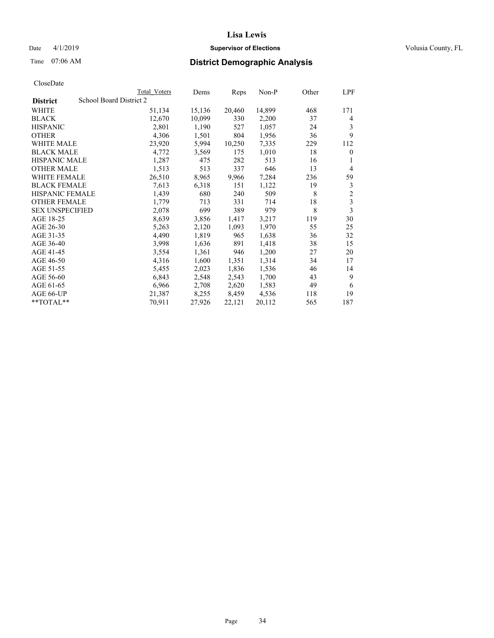## Date 4/1/2019 **Supervisor of Elections Supervisor of Elections** Volusia County, FL

# Time 07:06 AM **District Demographic Analysis**

|                        |                         | Total Voters | Dems   | Reps   | Non-P  | Other | LPF            |
|------------------------|-------------------------|--------------|--------|--------|--------|-------|----------------|
| <b>District</b>        | School Board District 2 |              |        |        |        |       |                |
| WHITE                  |                         | 51,134       | 15,136 | 20,460 | 14,899 | 468   | 171            |
| <b>BLACK</b>           |                         | 12,670       | 10,099 | 330    | 2,200  | 37    | 4              |
| <b>HISPANIC</b>        |                         | 2,801        | 1,190  | 527    | 1,057  | 24    | 3              |
| <b>OTHER</b>           |                         | 4,306        | 1,501  | 804    | 1,956  | 36    | 9              |
| WHITE MALE             |                         | 23,920       | 5,994  | 10,250 | 7,335  | 229   | 112            |
| <b>BLACK MALE</b>      |                         | 4,772        | 3,569  | 175    | 1,010  | 18    | $\theta$       |
| <b>HISPANIC MALE</b>   |                         | 1,287        | 475    | 282    | 513    | 16    | 1              |
| <b>OTHER MALE</b>      |                         | 1,513        | 513    | 337    | 646    | 13    | $\overline{4}$ |
| WHITE FEMALE           |                         | 26,510       | 8,965  | 9,966  | 7,284  | 236   | 59             |
| <b>BLACK FEMALE</b>    |                         | 7,613        | 6,318  | 151    | 1,122  | 19    | 3              |
| <b>HISPANIC FEMALE</b> |                         | 1,439        | 680    | 240    | 509    | 8     | $\overline{2}$ |
| <b>OTHER FEMALE</b>    |                         | 1,779        | 713    | 331    | 714    | 18    | 3              |
| <b>SEX UNSPECIFIED</b> |                         | 2,078        | 699    | 389    | 979    | 8     | 3              |
| AGE 18-25              |                         | 8,639        | 3,856  | 1,417  | 3,217  | 119   | 30             |
| AGE 26-30              |                         | 5,263        | 2,120  | 1,093  | 1,970  | 55    | 25             |
| AGE 31-35              |                         | 4,490        | 1,819  | 965    | 1,638  | 36    | 32             |
| AGE 36-40              |                         | 3,998        | 1,636  | 891    | 1,418  | 38    | 15             |
| AGE 41-45              |                         | 3,554        | 1,361  | 946    | 1,200  | 27    | 20             |
| AGE 46-50              |                         | 4,316        | 1,600  | 1,351  | 1,314  | 34    | 17             |
| AGE 51-55              |                         | 5,455        | 2,023  | 1,836  | 1,536  | 46    | 14             |
| AGE 56-60              |                         | 6,843        | 2,548  | 2,543  | 1,700  | 43    | 9              |
| AGE 61-65              |                         | 6,966        | 2,708  | 2,620  | 1,583  | 49    | 6              |
| AGE 66-UP              |                         | 21,387       | 8,255  | 8,459  | 4,536  | 118   | 19             |
| $*$ TOTAL $*$          |                         | 70,911       | 27,926 | 22,121 | 20,112 | 565   | 187            |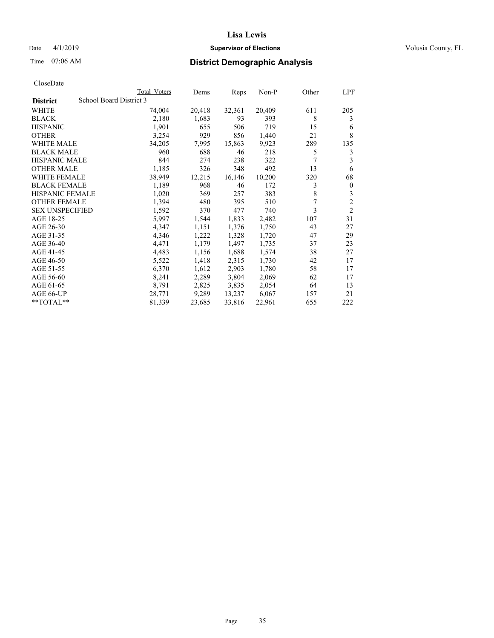## Date 4/1/2019 **Supervisor of Elections Supervisor of Elections** Volusia County, FL

# Time 07:06 AM **District Demographic Analysis**

|                        |                         | Total Voters | Dems   | Reps   | Non-P  | Other | LPF            |
|------------------------|-------------------------|--------------|--------|--------|--------|-------|----------------|
| <b>District</b>        | School Board District 3 |              |        |        |        |       |                |
| WHITE                  |                         | 74,004       | 20,418 | 32,361 | 20,409 | 611   | 205            |
| <b>BLACK</b>           |                         | 2,180        | 1,683  | 93     | 393    | 8     | 3              |
| <b>HISPANIC</b>        |                         | 1,901        | 655    | 506    | 719    | 15    | 6              |
| <b>OTHER</b>           |                         | 3,254        | 929    | 856    | 1,440  | 21    | 8              |
| WHITE MALE             |                         | 34,205       | 7,995  | 15,863 | 9,923  | 289   | 135            |
| <b>BLACK MALE</b>      |                         | 960          | 688    | 46     | 218    | 5     | 3              |
| <b>HISPANIC MALE</b>   |                         | 844          | 274    | 238    | 322    | 7     | 3              |
| <b>OTHER MALE</b>      |                         | 1,185        | 326    | 348    | 492    | 13    | 6              |
| WHITE FEMALE           |                         | 38,949       | 12,215 | 16,146 | 10,200 | 320   | 68             |
| <b>BLACK FEMALE</b>    |                         | 1,189        | 968    | 46     | 172    | 3     | $\mathbf{0}$   |
| <b>HISPANIC FEMALE</b> |                         | 1,020        | 369    | 257    | 383    | 8     | 3              |
| <b>OTHER FEMALE</b>    |                         | 1,394        | 480    | 395    | 510    | 7     | $\overline{c}$ |
| <b>SEX UNSPECIFIED</b> |                         | 1,592        | 370    | 477    | 740    | 3     | $\overline{2}$ |
| AGE 18-25              |                         | 5,997        | 1,544  | 1,833  | 2,482  | 107   | 31             |
| AGE 26-30              |                         | 4,347        | 1,151  | 1,376  | 1,750  | 43    | 27             |
| AGE 31-35              |                         | 4,346        | 1,222  | 1,328  | 1,720  | 47    | 29             |
| AGE 36-40              |                         | 4,471        | 1,179  | 1,497  | 1,735  | 37    | 23             |
| AGE 41-45              |                         | 4,483        | 1,156  | 1,688  | 1,574  | 38    | 27             |
| AGE 46-50              |                         | 5,522        | 1,418  | 2,315  | 1,730  | 42    | 17             |
| AGE 51-55              |                         | 6,370        | 1,612  | 2,903  | 1,780  | 58    | 17             |
| AGE 56-60              |                         | 8,241        | 2,289  | 3,804  | 2,069  | 62    | 17             |
| AGE 61-65              |                         | 8,791        | 2,825  | 3,835  | 2,054  | 64    | 13             |
| AGE 66-UP              |                         | 28,771       | 9,289  | 13,237 | 6,067  | 157   | 21             |
| $*$ $TOTAL**$          |                         | 81,339       | 23,685 | 33,816 | 22,961 | 655   | 222            |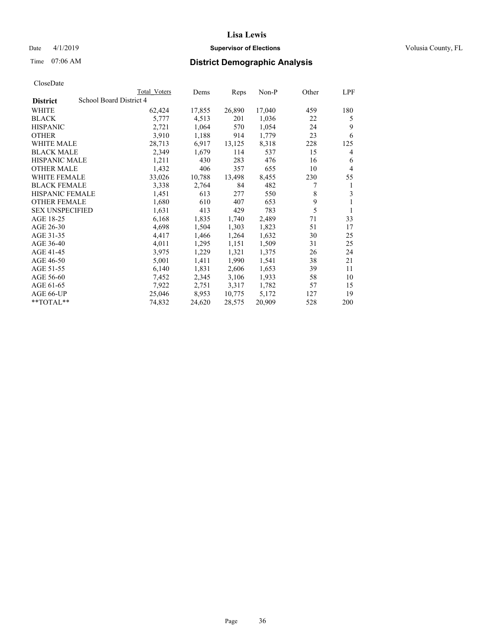## Date 4/1/2019 **Supervisor of Elections Supervisor of Elections** Volusia County, FL

# Time 07:06 AM **District Demographic Analysis**

|                        |                         | Total Voters | Dems   | Reps   | Non-P  | Other | LPF |
|------------------------|-------------------------|--------------|--------|--------|--------|-------|-----|
| <b>District</b>        | School Board District 4 |              |        |        |        |       |     |
| WHITE                  |                         | 62,424       | 17,855 | 26,890 | 17,040 | 459   | 180 |
| <b>BLACK</b>           |                         | 5,777        | 4,513  | 201    | 1,036  | 22    | 5   |
| <b>HISPANIC</b>        |                         | 2,721        | 1,064  | 570    | 1,054  | 24    | 9   |
| <b>OTHER</b>           |                         | 3,910        | 1,188  | 914    | 1,779  | 23    | 6   |
| WHITE MALE             |                         | 28,713       | 6,917  | 13,125 | 8,318  | 228   | 125 |
| <b>BLACK MALE</b>      |                         | 2,349        | 1,679  | 114    | 537    | 15    | 4   |
| <b>HISPANIC MALE</b>   |                         | 1,211        | 430    | 283    | 476    | 16    | 6   |
| <b>OTHER MALE</b>      |                         | 1,432        | 406    | 357    | 655    | 10    | 4   |
| <b>WHITE FEMALE</b>    |                         | 33,026       | 10,788 | 13,498 | 8,455  | 230   | 55  |
| <b>BLACK FEMALE</b>    |                         | 3,338        | 2,764  | 84     | 482    |       | 1   |
| <b>HISPANIC FEMALE</b> |                         | 1,451        | 613    | 277    | 550    | 8     | 3   |
| <b>OTHER FEMALE</b>    |                         | 1,680        | 610    | 407    | 653    | 9     | 1   |
| <b>SEX UNSPECIFIED</b> |                         | 1,631        | 413    | 429    | 783    | 5     | 1   |
| AGE 18-25              |                         | 6,168        | 1,835  | 1,740  | 2,489  | 71    | 33  |
| AGE 26-30              |                         | 4,698        | 1,504  | 1,303  | 1,823  | 51    | 17  |
| AGE 31-35              |                         | 4,417        | 1,466  | 1,264  | 1,632  | 30    | 25  |
| AGE 36-40              |                         | 4,011        | 1,295  | 1,151  | 1,509  | 31    | 25  |
| AGE 41-45              |                         | 3,975        | 1,229  | 1,321  | 1,375  | 26    | 24  |
| AGE 46-50              |                         | 5,001        | 1,411  | 1,990  | 1,541  | 38    | 21  |
| AGE 51-55              |                         | 6,140        | 1,831  | 2,606  | 1,653  | 39    | 11  |
| AGE 56-60              |                         | 7,452        | 2,345  | 3,106  | 1,933  | 58    | 10  |
| AGE 61-65              |                         | 7,922        | 2,751  | 3,317  | 1,782  | 57    | 15  |
| AGE 66-UP              |                         | 25,046       | 8,953  | 10,775 | 5,172  | 127   | 19  |
| $*$ $TOTAL**$          |                         | 74,832       | 24,620 | 28,575 | 20,909 | 528   | 200 |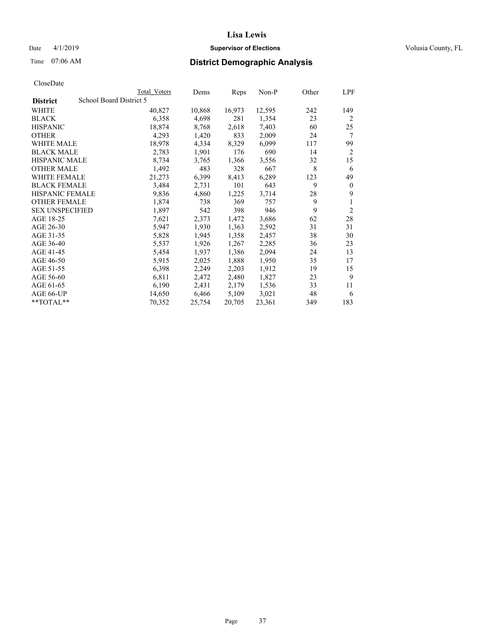## Date 4/1/2019 **Supervisor of Elections Supervisor of Elections** Volusia County, FL

## Time 07:06 AM **District Demographic Analysis**

|                        |                         | Total Voters | Dems   | Reps   | Non-P  | Other | LPF            |
|------------------------|-------------------------|--------------|--------|--------|--------|-------|----------------|
| <b>District</b>        | School Board District 5 |              |        |        |        |       |                |
| WHITE                  |                         | 40,827       | 10,868 | 16,973 | 12,595 | 242   | 149            |
| <b>BLACK</b>           |                         | 6,358        | 4,698  | 281    | 1,354  | 23    | $\overline{2}$ |
| <b>HISPANIC</b>        |                         | 18,874       | 8,768  | 2,618  | 7,403  | 60    | 25             |
| <b>OTHER</b>           |                         | 4,293        | 1,420  | 833    | 2,009  | 24    | 7              |
| <b>WHITE MALE</b>      |                         | 18,978       | 4,334  | 8,329  | 6,099  | 117   | 99             |
| <b>BLACK MALE</b>      |                         | 2,783        | 1,901  | 176    | 690    | 14    | 2              |
| <b>HISPANIC MALE</b>   |                         | 8,734        | 3,765  | 1,366  | 3,556  | 32    | 15             |
| <b>OTHER MALE</b>      |                         | 1,492        | 483    | 328    | 667    | 8     | 6              |
| WHITE FEMALE           |                         | 21,273       | 6,399  | 8,413  | 6,289  | 123   | 49             |
| <b>BLACK FEMALE</b>    |                         | 3,484        | 2,731  | 101    | 643    | 9     | $\theta$       |
| <b>HISPANIC FEMALE</b> |                         | 9,836        | 4,860  | 1,225  | 3,714  | 28    | 9              |
| <b>OTHER FEMALE</b>    |                         | 1,874        | 738    | 369    | 757    | 9     | 1              |
| <b>SEX UNSPECIFIED</b> |                         | 1,897        | 542    | 398    | 946    | 9     | $\overline{2}$ |
| AGE 18-25              |                         | 7,621        | 2,373  | 1,472  | 3,686  | 62    | 28             |
| AGE 26-30              |                         | 5,947        | 1,930  | 1,363  | 2,592  | 31    | 31             |
| AGE 31-35              |                         | 5,828        | 1,945  | 1,358  | 2,457  | 38    | 30             |
| AGE 36-40              |                         | 5,537        | 1,926  | 1,267  | 2,285  | 36    | 23             |
| AGE 41-45              |                         | 5,454        | 1,937  | 1,386  | 2,094  | 24    | 13             |
| AGE 46-50              |                         | 5,915        | 2,025  | 1,888  | 1,950  | 35    | 17             |
| AGE 51-55              |                         | 6,398        | 2,249  | 2,203  | 1,912  | 19    | 15             |
| AGE 56-60              |                         | 6,811        | 2,472  | 2,480  | 1,827  | 23    | 9              |
| AGE 61-65              |                         | 6,190        | 2,431  | 2,179  | 1,536  | 33    | 11             |
| AGE 66-UP              |                         | 14,650       | 6,466  | 5,109  | 3,021  | 48    | 6              |
| $*$ TOTAL $*$          |                         | 70,352       | 25,754 | 20,705 | 23,361 | 349   | 183            |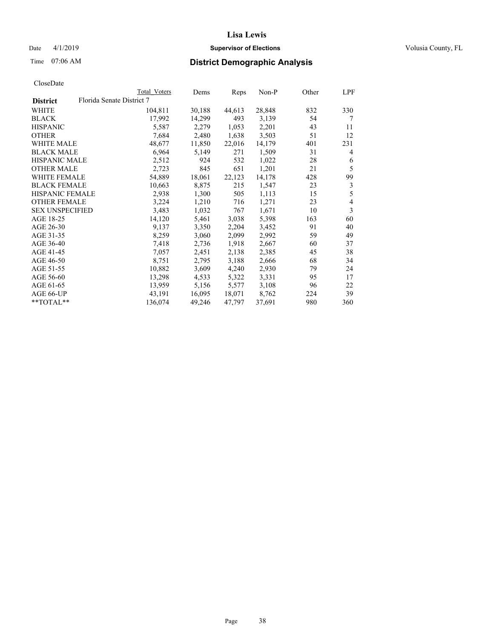## **Lisa Lewis** Date 4/1/2019 **Supervisor of Elections Supervisor of Elections** Volusia County, FL

## Time 07:06 AM **District Demographic Analysis**

|                        | Total Voters              | Dems   | Reps   | Non-P  | Other | LPF |
|------------------------|---------------------------|--------|--------|--------|-------|-----|
| <b>District</b>        | Florida Senate District 7 |        |        |        |       |     |
| WHITE                  | 104,811                   | 30,188 | 44,613 | 28,848 | 832   | 330 |
| <b>BLACK</b>           | 17,992                    | 14,299 | 493    | 3,139  | 54    | 7   |
| <b>HISPANIC</b>        | 5,587                     | 2,279  | 1,053  | 2,201  | 43    | 11  |
| <b>OTHER</b>           | 7,684                     | 2,480  | 1,638  | 3,503  | 51    | 12  |
| WHITE MALE             | 48,677                    | 11,850 | 22,016 | 14,179 | 401   | 231 |
| <b>BLACK MALE</b>      | 6,964                     | 5,149  | 271    | 1,509  | 31    | 4   |
| <b>HISPANIC MALE</b>   | 2,512                     | 924    | 532    | 1,022  | 28    | 6   |
| <b>OTHER MALE</b>      | 2,723                     | 845    | 651    | 1,201  | 21    | 5   |
| <b>WHITE FEMALE</b>    | 54,889                    | 18,061 | 22,123 | 14,178 | 428   | 99  |
| <b>BLACK FEMALE</b>    | 10,663                    | 8,875  | 215    | 1,547  | 23    | 3   |
| <b>HISPANIC FEMALE</b> | 2,938                     | 1,300  | 505    | 1,113  | 15    | 5   |
| <b>OTHER FEMALE</b>    | 3,224                     | 1,210  | 716    | 1,271  | 23    | 4   |
| <b>SEX UNSPECIFIED</b> | 3,483                     | 1,032  | 767    | 1,671  | 10    | 3   |
| AGE 18-25              | 14,120                    | 5,461  | 3,038  | 5,398  | 163   | 60  |
| AGE 26-30              | 9,137                     | 3,350  | 2,204  | 3,452  | 91    | 40  |
| AGE 31-35              | 8,259                     | 3,060  | 2,099  | 2,992  | 59    | 49  |
| AGE 36-40              | 7,418                     | 2,736  | 1,918  | 2,667  | 60    | 37  |
| AGE 41-45              | 7,057                     | 2,451  | 2,138  | 2,385  | 45    | 38  |
| AGE 46-50              | 8,751                     | 2,795  | 3,188  | 2,666  | 68    | 34  |
| AGE 51-55              | 10,882                    | 3,609  | 4,240  | 2,930  | 79    | 24  |
| AGE 56-60              | 13,298                    | 4,533  | 5,322  | 3,331  | 95    | 17  |
| AGE 61-65              | 13,959                    | 5,156  | 5,577  | 3,108  | 96    | 22  |
| AGE 66-UP              | 43,191                    | 16,095 | 18,071 | 8,762  | 224   | 39  |
| $*$ TOTAL $*$          | 136,074                   | 49,246 | 47,797 | 37,691 | 980   | 360 |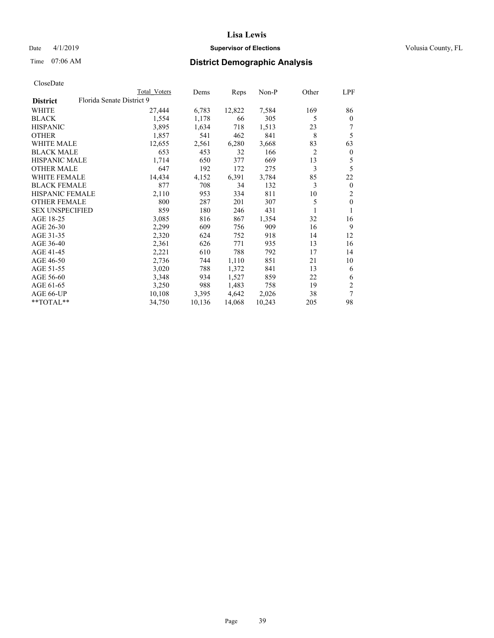## Date 4/1/2019 **Supervisor of Elections Supervisor of Elections** Volusia County, FL

## Time 07:06 AM **District Demographic Analysis**

| Total Voters | Dems                      | Reps   | $Non-P$ | Other          | LPF            |
|--------------|---------------------------|--------|---------|----------------|----------------|
|              |                           |        |         |                |                |
| 27,444       | 6,783                     | 12,822 | 7,584   | 169            | 86             |
| 1,554        | 1,178                     | 66     | 305     | 5              | $\mathbf{0}$   |
| 3,895        | 1,634                     | 718    | 1,513   | 23             | 7              |
| 1,857        | 541                       | 462    | 841     | 8              | 5              |
| 12,655       | 2,561                     | 6,280  | 3,668   | 83             | 63             |
| 653          | 453                       | 32     | 166     | $\overline{2}$ | $\mathbf{0}$   |
| 1,714        | 650                       | 377    | 669     | 13             | 5              |
| 647          | 192                       | 172    | 275     | 3              | 5              |
| 14,434       | 4,152                     | 6,391  | 3,784   | 85             | 22             |
| 877          | 708                       | 34     | 132     | 3              | $\mathbf{0}$   |
| 2,110        | 953                       | 334    | 811     | 10             | $\overline{2}$ |
| 800          | 287                       | 201    | 307     | 5              | $\theta$       |
| 859          | 180                       | 246    | 431     | 1              |                |
| 3,085        | 816                       | 867    | 1,354   | 32             | 16             |
| 2,299        | 609                       | 756    | 909     | 16             | 9              |
| 2,320        | 624                       | 752    | 918     | 14             | 12             |
| 2,361        | 626                       | 771    | 935     | 13             | 16             |
| 2,221        | 610                       | 788    | 792     | 17             | 14             |
| 2,736        | 744                       | 1,110  | 851     | 21             | 10             |
| 3,020        | 788                       | 1,372  | 841     | 13             | 6              |
| 3,348        | 934                       | 1,527  | 859     | 22             | 6              |
| 3,250        | 988                       | 1,483  | 758     | 19             | $\overline{2}$ |
| 10,108       | 3,395                     | 4,642  | 2,026   | 38             | 7              |
| 34,750       | 10,136                    | 14,068 | 10,243  | 205            | 98             |
|              | Florida Senate District 9 |        |         |                |                |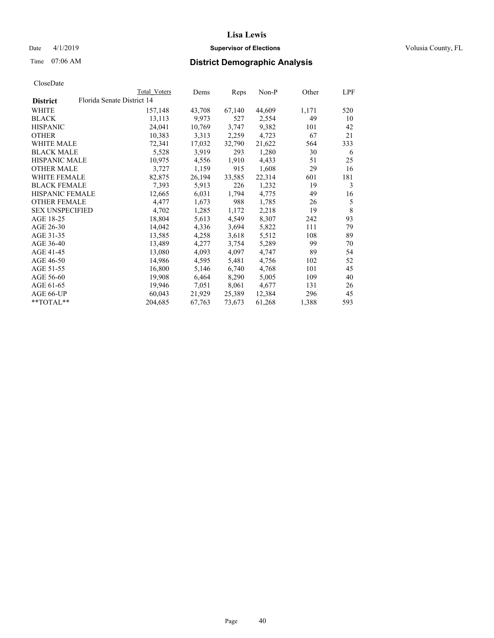## Date 4/1/2019 **Supervisor of Elections Supervisor of Elections** Volusia County, FL

|                                               | Total Voters | Dems   | Reps   | Non-P  | Other | LPF |
|-----------------------------------------------|--------------|--------|--------|--------|-------|-----|
| Florida Senate District 14<br><b>District</b> |              |        |        |        |       |     |
| WHITE                                         | 157,148      | 43,708 | 67,140 | 44,609 | 1,171 | 520 |
| <b>BLACK</b>                                  | 13,113       | 9,973  | 527    | 2,554  | 49    | 10  |
| <b>HISPANIC</b>                               | 24,041       | 10,769 | 3,747  | 9,382  | 101   | 42  |
| <b>OTHER</b>                                  | 10,383       | 3,313  | 2,259  | 4,723  | 67    | 21  |
| <b>WHITE MALE</b>                             | 72,341       | 17,032 | 32,790 | 21,622 | 564   | 333 |
| <b>BLACK MALE</b>                             | 5,528        | 3,919  | 293    | 1,280  | 30    | 6   |
| <b>HISPANIC MALE</b>                          | 10,975       | 4,556  | 1,910  | 4,433  | 51    | 25  |
| <b>OTHER MALE</b>                             | 3,727        | 1,159  | 915    | 1,608  | 29    | 16  |
| WHITE FEMALE                                  | 82,875       | 26,194 | 33,585 | 22,314 | 601   | 181 |
| <b>BLACK FEMALE</b>                           | 7,393        | 5,913  | 226    | 1,232  | 19    | 3   |
| <b>HISPANIC FEMALE</b>                        | 12,665       | 6,031  | 1,794  | 4,775  | 49    | 16  |
| <b>OTHER FEMALE</b>                           | 4,477        | 1,673  | 988    | 1,785  | 26    | 5   |
| <b>SEX UNSPECIFIED</b>                        | 4,702        | 1,285  | 1,172  | 2,218  | 19    | 8   |
| AGE 18-25                                     | 18,804       | 5,613  | 4,549  | 8,307  | 242   | 93  |
| AGE 26-30                                     | 14,042       | 4,336  | 3,694  | 5,822  | 111   | 79  |
| AGE 31-35                                     | 13,585       | 4,258  | 3,618  | 5,512  | 108   | 89  |
| AGE 36-40                                     | 13,489       | 4,277  | 3,754  | 5,289  | 99    | 70  |
| AGE 41-45                                     | 13,080       | 4,093  | 4,097  | 4,747  | 89    | 54  |
| AGE 46-50                                     | 14,986       | 4,595  | 5,481  | 4,756  | 102   | 52  |
| AGE 51-55                                     | 16,800       | 5,146  | 6,740  | 4,768  | 101   | 45  |
| AGE 56-60                                     | 19,908       | 6,464  | 8,290  | 5,005  | 109   | 40  |
| AGE 61-65                                     | 19,946       | 7,051  | 8,061  | 4,677  | 131   | 26  |
| AGE 66-UP                                     | 60,043       | 21,929 | 25,389 | 12,384 | 296   | 45  |
| **TOTAL**                                     | 204,685      | 67,763 | 73,673 | 61,268 | 1,388 | 593 |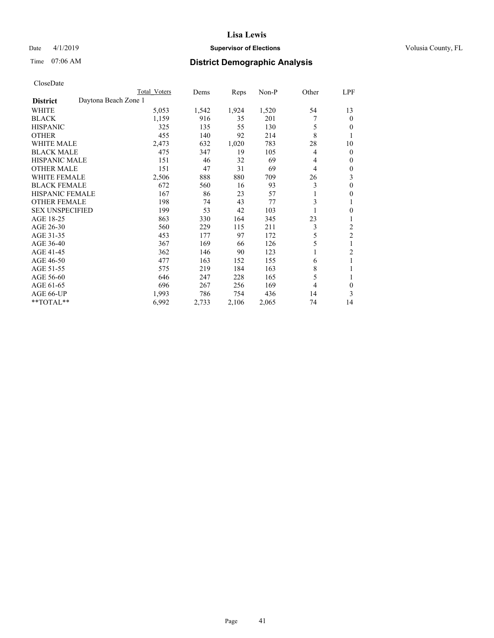## Date 4/1/2019 **Supervisor of Elections Supervisor of Elections** Volusia County, FL

## Time 07:06 AM **District Demographic Analysis**

|                                         | Total Voters | Dems  | Reps  | $Non-P$ | Other | LPF            |
|-----------------------------------------|--------------|-------|-------|---------|-------|----------------|
| Daytona Beach Zone 1<br><b>District</b> |              |       |       |         |       |                |
| WHITE                                   | 5,053        | 1,542 | 1,924 | 1,520   | 54    | 13             |
| <b>BLACK</b>                            | 1,159        | 916   | 35    | 201     |       | $\theta$       |
| <b>HISPANIC</b>                         | 325          | 135   | 55    | 130     | 5     | $\theta$       |
| <b>OTHER</b>                            | 455          | 140   | 92    | 214     | 8     | 1              |
| <b>WHITE MALE</b>                       | 2,473        | 632   | 1,020 | 783     | 28    | 10             |
| <b>BLACK MALE</b>                       | 475          | 347   | 19    | 105     | 4     | $\mathbf{0}$   |
| <b>HISPANIC MALE</b>                    | 151          | 46    | 32    | 69      | 4     | $\mathbf{0}$   |
| <b>OTHER MALE</b>                       | 151          | 47    | 31    | 69      | 4     | $\mathbf{0}$   |
| <b>WHITE FEMALE</b>                     | 2,506        | 888   | 880   | 709     | 26    | 3              |
| <b>BLACK FEMALE</b>                     | 672          | 560   | 16    | 93      | 3     | $\theta$       |
| <b>HISPANIC FEMALE</b>                  | 167          | 86    | 23    | 57      | 1     | $\theta$       |
| <b>OTHER FEMALE</b>                     | 198          | 74    | 43    | 77      | 3     | 1              |
| <b>SEX UNSPECIFIED</b>                  | 199          | 53    | 42    | 103     |       | $\mathbf{0}$   |
| AGE 18-25                               | 863          | 330   | 164   | 345     | 23    | 1              |
| AGE 26-30                               | 560          | 229   | 115   | 211     | 3     | 2              |
| AGE 31-35                               | 453          | 177   | 97    | 172     | 5     | $\overline{2}$ |
| AGE 36-40                               | 367          | 169   | 66    | 126     | 5     | 1              |
| AGE 41-45                               | 362          | 146   | 90    | 123     | 1     | $\overline{2}$ |
| AGE 46-50                               | 477          | 163   | 152   | 155     | 6     | 1              |
| AGE 51-55                               | 575          | 219   | 184   | 163     | 8     | 1              |
| AGE 56-60                               | 646          | 247   | 228   | 165     | 5     | 1              |
| AGE 61-65                               | 696          | 267   | 256   | 169     | 4     | $\theta$       |
| AGE 66-UP                               | 1,993        | 786   | 754   | 436     | 14    | 3              |
| **TOTAL**                               | 6,992        | 2,733 | 2,106 | 2,065   | 74    | 14             |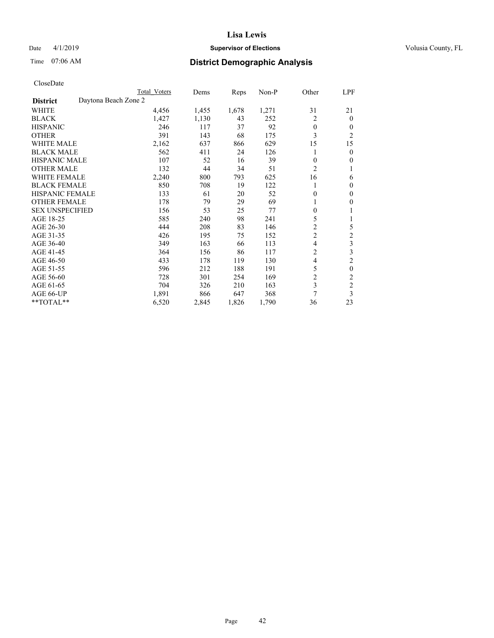## Date 4/1/2019 **Supervisor of Elections Supervisor of Elections** Volusia County, FL

## Time 07:06 AM **District Demographic Analysis**

|                        | Total Voters         | Dems  | Reps  | Non-P | Other          | LPF            |
|------------------------|----------------------|-------|-------|-------|----------------|----------------|
| <b>District</b>        | Daytona Beach Zone 2 |       |       |       |                |                |
| WHITE                  | 4,456                | 1,455 | 1,678 | 1,271 | 31             | 21             |
| <b>BLACK</b>           | 1,427                | 1,130 | 43    | 252   | 2              | $\mathbf{0}$   |
| <b>HISPANIC</b>        | 246                  | 117   | 37    | 92    | $\theta$       | $\Omega$       |
| <b>OTHER</b>           | 391                  | 143   | 68    | 175   | 3              | $\overline{2}$ |
| <b>WHITE MALE</b>      | 2,162                | 637   | 866   | 629   | 15             | 15             |
| <b>BLACK MALE</b>      | 562                  | 411   | 24    | 126   |                | $\theta$       |
| <b>HISPANIC MALE</b>   | 107                  | 52    | 16    | 39    | $\theta$       | $\theta$       |
| <b>OTHER MALE</b>      | 132                  | 44    | 34    | 51    | $\overline{2}$ | 1              |
| <b>WHITE FEMALE</b>    | 2,240                | 800   | 793   | 625   | 16             | 6              |
| <b>BLACK FEMALE</b>    | 850                  | 708   | 19    | 122   |                | $\theta$       |
| <b>HISPANIC FEMALE</b> | 133                  | 61    | 20    | 52    | 0              | $\Omega$       |
| <b>OTHER FEMALE</b>    | 178                  | 79    | 29    | 69    |                | $\theta$       |
| <b>SEX UNSPECIFIED</b> | 156                  | 53    | 25    | 77    | $\theta$       | 1              |
| AGE 18-25              | 585                  | 240   | 98    | 241   | 5              | 1              |
| AGE 26-30              | 444                  | 208   | 83    | 146   | $\overline{c}$ | 5              |
| AGE 31-35              | 426                  | 195   | 75    | 152   | $\overline{c}$ | $\overline{c}$ |
| AGE 36-40              | 349                  | 163   | 66    | 113   | 4              | 3              |
| AGE 41-45              | 364                  | 156   | 86    | 117   | $\overline{c}$ | 3              |
| AGE 46-50              | 433                  | 178   | 119   | 130   | 4              | $\overline{c}$ |
| AGE 51-55              | 596                  | 212   | 188   | 191   | 5              | $\theta$       |
| AGE 56-60              | 728                  | 301   | 254   | 169   | $\overline{2}$ | $\mathfrak{2}$ |
| AGE 61-65              | 704                  | 326   | 210   | 163   | 3              | $\mathbf{2}$   |
| AGE 66-UP              | 1,891                | 866   | 647   | 368   | 7              | 3              |
| **TOTAL**              | 6,520                | 2,845 | 1,826 | 1,790 | 36             | 23             |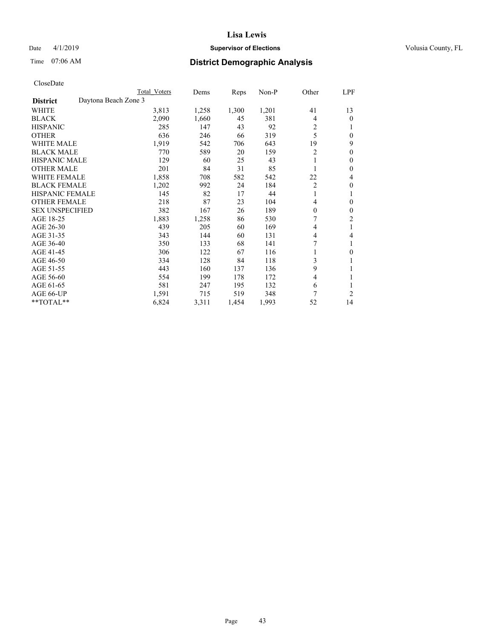## Date 4/1/2019 **Supervisor of Elections Supervisor of Elections** Volusia County, FL

## Time 07:06 AM **District Demographic Analysis**

|                                         | Total Voters | Dems  | Reps  | $Non-P$ | Other          | LPF              |
|-----------------------------------------|--------------|-------|-------|---------|----------------|------------------|
| Daytona Beach Zone 3<br><b>District</b> |              |       |       |         |                |                  |
| WHITE                                   | 3,813        | 1,258 | 1,300 | 1,201   | 41             | 13               |
| <b>BLACK</b>                            | 2,090        | 1,660 | 45    | 381     | 4              | 0                |
| <b>HISPANIC</b>                         | 285          | 147   | 43    | 92      | $\overline{c}$ |                  |
| <b>OTHER</b>                            | 636          | 246   | 66    | 319     | 5              | 0                |
| <b>WHITE MALE</b>                       | 1,919        | 542   | 706   | 643     | 19             | 9                |
| <b>BLACK MALE</b>                       | 770          | 589   | 20    | 159     | $\overline{c}$ | $\boldsymbol{0}$ |
| <b>HISPANIC MALE</b>                    | 129          | 60    | 25    | 43      |                | 0                |
| <b>OTHER MALE</b>                       | 201          | 84    | 31    | 85      |                | 0                |
| <b>WHITE FEMALE</b>                     | 1,858        | 708   | 582   | 542     | 22             | 4                |
| <b>BLACK FEMALE</b>                     | 1,202        | 992   | 24    | 184     | $\overline{2}$ | 0                |
| <b>HISPANIC FEMALE</b>                  | 145          | 82    | 17    | 44      | 1              | 1                |
| <b>OTHER FEMALE</b>                     | 218          | 87    | 23    | 104     | 4              | 0                |
| <b>SEX UNSPECIFIED</b>                  | 382          | 167   | 26    | 189     | $\theta$       | 0                |
| AGE 18-25                               | 1,883        | 1,258 | 86    | 530     | 7              | 2                |
| AGE 26-30                               | 439          | 205   | 60    | 169     | 4              | 1                |
| AGE 31-35                               | 343          | 144   | 60    | 131     | 4              | 4                |
| AGE 36-40                               | 350          | 133   | 68    | 141     | 7              |                  |
| AGE 41-45                               | 306          | 122   | 67    | 116     | 1              | 0                |
| AGE 46-50                               | 334          | 128   | 84    | 118     | 3              |                  |
| AGE 51-55                               | 443          | 160   | 137   | 136     | 9              |                  |
| AGE 56-60                               | 554          | 199   | 178   | 172     | $\overline{4}$ | 1                |
| AGE 61-65                               | 581          | 247   | 195   | 132     | 6              |                  |
| AGE 66-UP                               | 1,591        | 715   | 519   | 348     | 7              | 2                |
| $*$ TOTAL $*$                           | 6,824        | 3,311 | 1,454 | 1,993   | 52             | 14               |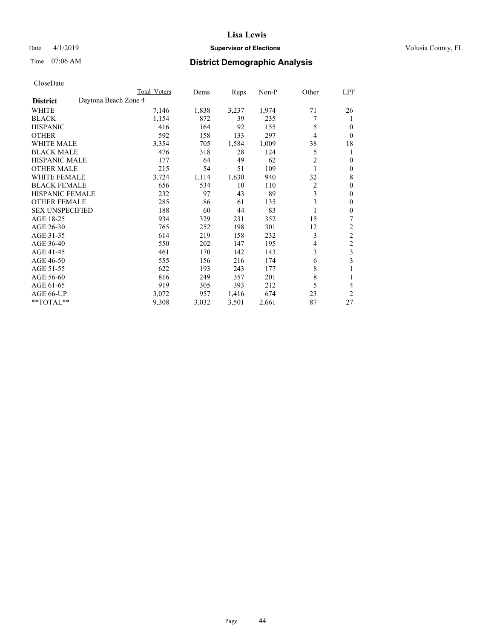## Date 4/1/2019 **Supervisor of Elections Supervisor of Elections** Volusia County, FL

## Time 07:06 AM **District Demographic Analysis**

|                        |                      | Total Voters | Dems  | Reps  | Non-P | Other | LPF            |
|------------------------|----------------------|--------------|-------|-------|-------|-------|----------------|
| <b>District</b>        | Daytona Beach Zone 4 |              |       |       |       |       |                |
| WHITE                  |                      | 7,146        | 1,838 | 3,237 | 1,974 | 71    | 26             |
| <b>BLACK</b>           |                      | 1,154        | 872   | 39    | 235   | 7     | 1              |
| <b>HISPANIC</b>        |                      | 416          | 164   | 92    | 155   | 5     | 0              |
| <b>OTHER</b>           |                      | 592          | 158   | 133   | 297   | 4     | $\Omega$       |
| <b>WHITE MALE</b>      |                      | 3,354        | 705   | 1,584 | 1,009 | 38    | 18             |
| <b>BLACK MALE</b>      |                      | 476          | 318   | 28    | 124   | 5     | 1              |
| <b>HISPANIC MALE</b>   |                      | 177          | 64    | 49    | 62    | 2     | $\theta$       |
| <b>OTHER MALE</b>      |                      | 215          | 54    | 51    | 109   | 1     | $\mathbf{0}$   |
| WHITE FEMALE           |                      | 3,724        | 1,114 | 1,630 | 940   | 32    | 8              |
| <b>BLACK FEMALE</b>    |                      | 656          | 534   | 10    | 110   | 2     | $\theta$       |
| <b>HISPANIC FEMALE</b> |                      | 232          | 97    | 43    | 89    | 3     | $\Omega$       |
| <b>OTHER FEMALE</b>    |                      | 285          | 86    | 61    | 135   | 3     | $\theta$       |
| <b>SEX UNSPECIFIED</b> |                      | 188          | 60    | 44    | 83    |       | $\theta$       |
| AGE 18-25              |                      | 934          | 329   | 231   | 352   | 15    | 7              |
| AGE 26-30              |                      | 765          | 252   | 198   | 301   | 12    | $\overline{2}$ |
| AGE 31-35              |                      | 614          | 219   | 158   | 232   | 3     | $\overline{2}$ |
| AGE 36-40              |                      | 550          | 202   | 147   | 195   | 4     | 2              |
| AGE 41-45              |                      | 461          | 170   | 142   | 143   | 3     | 3              |
| AGE 46-50              |                      | 555          | 156   | 216   | 174   | 6     | 3              |
| AGE 51-55              |                      | 622          | 193   | 243   | 177   | 8     | 1              |
| AGE 56-60              |                      | 816          | 249   | 357   | 201   | 8     |                |
| AGE 61-65              |                      | 919          | 305   | 393   | 212   | 5     | 4              |
| AGE 66-UP              |                      | 3,072        | 957   | 1,416 | 674   | 23    | $\overline{2}$ |
| **TOTAL**              |                      | 9,308        | 3,032 | 3,501 | 2,661 | 87    | 27             |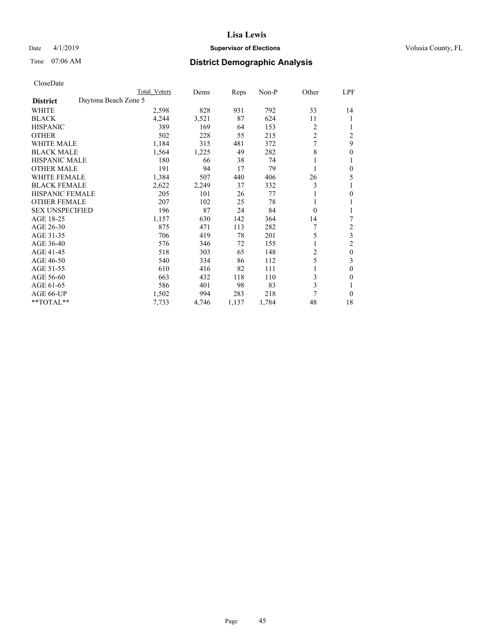## Date 4/1/2019 **Supervisor of Elections Supervisor of Elections** Volusia County, FL

## Time 07:06 AM **District Demographic Analysis**

|                        |                      | Total Voters | Dems  | Reps  | Non-P | Other          | LPF            |
|------------------------|----------------------|--------------|-------|-------|-------|----------------|----------------|
| <b>District</b>        | Daytona Beach Zone 5 |              |       |       |       |                |                |
| WHITE                  |                      | 2,598        | 828   | 931   | 792   | 33             | 14             |
| <b>BLACK</b>           |                      | 4,244        | 3,521 | 87    | 624   | 11             |                |
| <b>HISPANIC</b>        |                      | 389          | 169   | 64    | 153   | 2              |                |
| <b>OTHER</b>           |                      | 502          | 228   | 55    | 215   | $\overline{c}$ | $\overline{2}$ |
| WHITE MALE             |                      | 1,184        | 315   | 481   | 372   | 7              | 9              |
| <b>BLACK MALE</b>      |                      | 1,564        | 1,225 | 49    | 282   | 8              | 0              |
| <b>HISPANIC MALE</b>   |                      | 180          | 66    | 38    | 74    | 1              |                |
| <b>OTHER MALE</b>      |                      | 191          | 94    | 17    | 79    | 1              | 0              |
| <b>WHITE FEMALE</b>    |                      | 1,384        | 507   | 440   | 406   | 26             | 5              |
| <b>BLACK FEMALE</b>    |                      | 2,622        | 2,249 | 37    | 332   | 3              |                |
| <b>HISPANIC FEMALE</b> |                      | 205          | 101   | 26    | 77    |                | 0              |
| <b>OTHER FEMALE</b>    |                      | 207          | 102   | 25    | 78    | 1              |                |
| <b>SEX UNSPECIFIED</b> |                      | 196          | 87    | 24    | 84    | $\Omega$       |                |
| AGE 18-25              |                      | 1,157        | 630   | 142   | 364   | 14             | 7              |
| AGE 26-30              |                      | 875          | 471   | 113   | 282   | 7              | $\overline{2}$ |
| AGE 31-35              |                      | 706          | 419   | 78    | 201   | 5              | 3              |
| AGE 36-40              |                      | 576          | 346   | 72    | 155   | 1              | 2              |
| AGE 41-45              |                      | 518          | 303   | 65    | 148   | 2              | $\mathbf{0}$   |
| AGE 46-50              |                      | 540          | 334   | 86    | 112   | 5              | 3              |
| AGE 51-55              |                      | 610          | 416   | 82    | 111   |                | 0              |
| AGE 56-60              |                      | 663          | 432   | 118   | 110   | 3              | 0              |
| AGE 61-65              |                      | 586          | 401   | 98    | 83    | 3              |                |
| AGE 66-UP              |                      | 1,502        | 994   | 283   | 218   | 7              | 0              |
| **TOTAL**              |                      | 7,733        | 4,746 | 1,137 | 1,784 | 48             | 18             |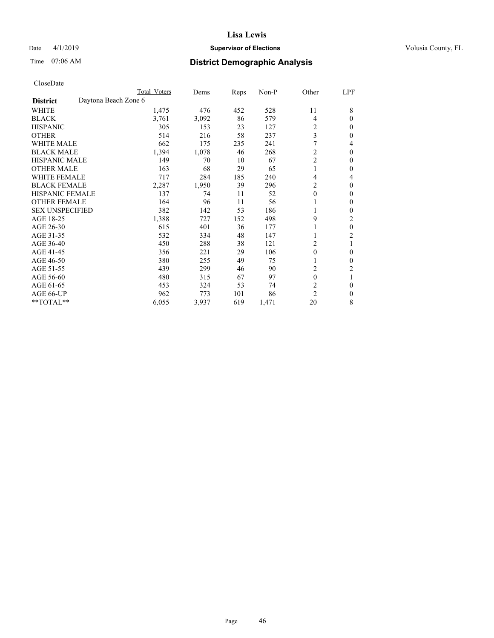## Date 4/1/2019 **Supervisor of Elections Supervisor of Elections** Volusia County, FL

## Time 07:06 AM **District Demographic Analysis**

|                        |                      | Total Voters | Dems  | Reps | Non-P | Other            | LPF            |
|------------------------|----------------------|--------------|-------|------|-------|------------------|----------------|
| <b>District</b>        | Daytona Beach Zone 6 |              |       |      |       |                  |                |
| WHITE                  |                      | 1,475        | 476   | 452  | 528   | 11               | 8              |
| <b>BLACK</b>           |                      | 3,761        | 3,092 | 86   | 579   | 4                | $\Omega$       |
| <b>HISPANIC</b>        |                      | 305          | 153   | 23   | 127   | 2                | $\Omega$       |
| <b>OTHER</b>           |                      | 514          | 216   | 58   | 237   | 3                | $\Omega$       |
| <b>WHITE MALE</b>      |                      | 662          | 175   | 235  | 241   | 7                | 4              |
| <b>BLACK MALE</b>      |                      | 1,394        | 1,078 | 46   | 268   | 2                | $\theta$       |
| <b>HISPANIC MALE</b>   |                      | 149          | 70    | 10   | 67    | $\overline{2}$   | $\bf{0}$       |
| <b>OTHER MALE</b>      |                      | 163          | 68    | 29   | 65    | 1                | $\mathbf{0}$   |
| <b>WHITE FEMALE</b>    |                      | 717          | 284   | 185  | 240   | 4                | 4              |
| <b>BLACK FEMALE</b>    |                      | 2,287        | 1,950 | 39   | 296   | 2                | $\Omega$       |
| <b>HISPANIC FEMALE</b> |                      | 137          | 74    | 11   | 52    | $\theta$         | $\Omega$       |
| <b>OTHER FEMALE</b>    |                      | 164          | 96    | 11   | 56    |                  | $\theta$       |
| <b>SEX UNSPECIFIED</b> |                      | 382          | 142   | 53   | 186   |                  | $\Omega$       |
| AGE 18-25              |                      | 1,388        | 727   | 152  | 498   | 9                | 2              |
| AGE 26-30              |                      | 615          | 401   | 36   | 177   |                  | $\mathbf{0}$   |
| AGE 31-35              |                      | 532          | 334   | 48   | 147   |                  | $\overline{c}$ |
| AGE 36-40              |                      | 450          | 288   | 38   | 121   | 2                |                |
| AGE 41-45              |                      | 356          | 221   | 29   | 106   | $\boldsymbol{0}$ | 0              |
| AGE 46-50              |                      | 380          | 255   | 49   | 75    |                  | $\theta$       |
| AGE 51-55              |                      | 439          | 299   | 46   | 90    | 2                | 2              |
| AGE 56-60              |                      | 480          | 315   | 67   | 97    | $\theta$         |                |
| AGE 61-65              |                      | 453          | 324   | 53   | 74    | $\overline{c}$   | $\theta$       |
| AGE 66-UP              |                      | 962          | 773   | 101  | 86    | $\overline{c}$   | $\Omega$       |
| **TOTAL**              |                      | 6,055        | 3,937 | 619  | 1,471 | 20               | 8              |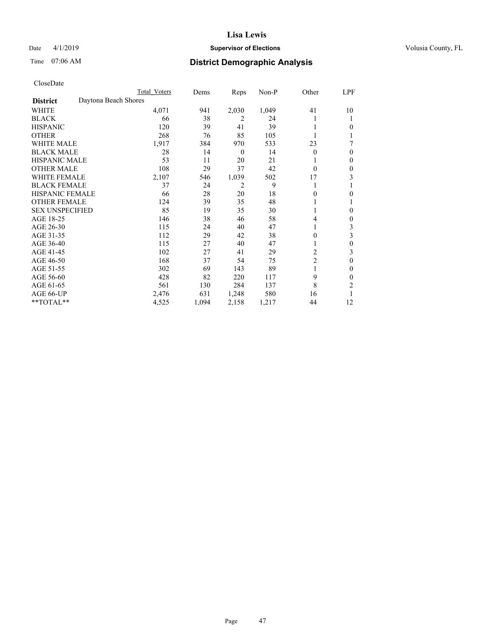## Date 4/1/2019 **Supervisor of Elections Supervisor of Elections** Volusia County, FL

## Time 07:06 AM **District Demographic Analysis**

|                        |                      | Total Voters | Dems  | Reps             | Non-P | Other          | LPF |
|------------------------|----------------------|--------------|-------|------------------|-------|----------------|-----|
| <b>District</b>        | Daytona Beach Shores |              |       |                  |       |                |     |
| WHITE                  |                      | 4,071        | 941   | 2,030            | 1,049 | 41             | 10  |
| <b>BLACK</b>           |                      | 66           | 38    | 2                | 24    |                |     |
| <b>HISPANIC</b>        |                      | 120          | 39    | 41               | 39    |                | 0   |
| <b>OTHER</b>           |                      | 268          | 76    | 85               | 105   |                |     |
| WHITE MALE             |                      | 1,917        | 384   | 970              | 533   | 23             | 7   |
| <b>BLACK MALE</b>      |                      | 28           | 14    | $\boldsymbol{0}$ | 14    | $\Omega$       | 0   |
| <b>HISPANIC MALE</b>   |                      | 53           | 11    | 20               | 21    |                | 0   |
| <b>OTHER MALE</b>      |                      | 108          | 29    | 37               | 42    | $\Omega$       | 0   |
| <b>WHITE FEMALE</b>    |                      | 2,107        | 546   | 1,039            | 502   | 17             | 3   |
| <b>BLACK FEMALE</b>    |                      | 37           | 24    | 2                | 9     |                |     |
| <b>HISPANIC FEMALE</b> |                      | 66           | 28    | 20               | 18    | 0              | 0   |
| <b>OTHER FEMALE</b>    |                      | 124          | 39    | 35               | 48    |                |     |
| <b>SEX UNSPECIFIED</b> |                      | 85           | 19    | 35               | 30    |                | 0   |
| AGE 18-25              |                      | 146          | 38    | 46               | 58    | 4              | 0   |
| AGE 26-30              |                      | 115          | 24    | 40               | 47    | 1              | 3   |
| AGE 31-35              |                      | 112          | 29    | 42               | 38    | 0              | 3   |
| AGE 36-40              |                      | 115          | 27    | 40               | 47    |                | 0   |
| AGE 41-45              |                      | 102          | 27    | 41               | 29    | 2              | 3   |
| AGE 46-50              |                      | 168          | 37    | 54               | 75    | $\overline{2}$ | 0   |
| AGE 51-55              |                      | 302          | 69    | 143              | 89    |                | 0   |
| AGE 56-60              |                      | 428          | 82    | 220              | 117   | 9              | 0   |
| AGE 61-65              |                      | 561          | 130   | 284              | 137   | 8              | 2   |
| AGE 66-UP              |                      | 2,476        | 631   | 1,248            | 580   | 16             |     |
| **TOTAL**              |                      | 4,525        | 1,094 | 2,158            | 1,217 | 44             | 12  |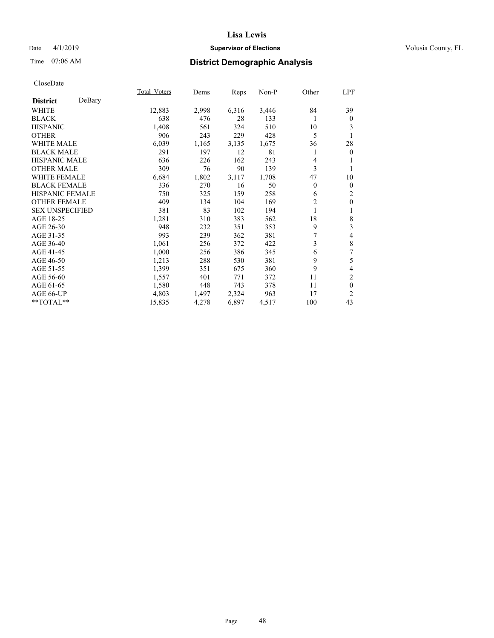## Date 4/1/2019 **Supervisor of Elections Supervisor of Elections** Volusia County, FL

## Time 07:06 AM **District Demographic Analysis**

|                           | Total Voters | Dems  | Reps  | Non-P | Other          | LPF                      |
|---------------------------|--------------|-------|-------|-------|----------------|--------------------------|
| DeBary<br><b>District</b> |              |       |       |       |                |                          |
| WHITE                     | 12,883       | 2,998 | 6,316 | 3,446 | 84             | 39                       |
| <b>BLACK</b>              | 638          | 476   | 28    | 133   | 1              | $\boldsymbol{0}$         |
| <b>HISPANIC</b>           | 1,408        | 561   | 324   | 510   | 10             | 3                        |
| <b>OTHER</b>              | 906          | 243   | 229   | 428   | 5              | 1                        |
| <b>WHITE MALE</b>         | 6,039        | 1,165 | 3,135 | 1,675 | 36             | 28                       |
| <b>BLACK MALE</b>         | 291          | 197   | 12    | 81    | 1              | $\boldsymbol{0}$         |
| HISPANIC MALE             | 636          | 226   | 162   | 243   | 4              |                          |
| <b>OTHER MALE</b>         | 309          | 76    | 90    | 139   | 3              |                          |
| <b>WHITE FEMALE</b>       | 6,684        | 1,802 | 3,117 | 1,708 | 47             | 10                       |
| <b>BLACK FEMALE</b>       | 336          | 270   | 16    | 50    | $\theta$       | $\theta$                 |
| <b>HISPANIC FEMALE</b>    | 750          | 325   | 159   | 258   | 6              | $\mathfrak{2}$           |
| <b>OTHER FEMALE</b>       | 409          | 134   | 104   | 169   | $\overline{2}$ | $\mathbf{0}$             |
| <b>SEX UNSPECIFIED</b>    | 381          | 83    | 102   | 194   | 1              | 1                        |
| AGE 18-25                 | 1,281        | 310   | 383   | 562   | 18             | $\,$ $\,$                |
| AGE 26-30                 | 948          | 232   | 351   | 353   | 9              | 3                        |
| AGE 31-35                 | 993          | 239   | 362   | 381   | 7              | $\overline{\mathcal{L}}$ |
| AGE 36-40                 | 1,061        | 256   | 372   | 422   | 3              | $\,$ 8 $\,$              |
| AGE 41-45                 | 1,000        | 256   | 386   | 345   | 6              | 7                        |
| AGE 46-50                 | 1,213        | 288   | 530   | 381   | 9              | 5                        |
| AGE 51-55                 | 1,399        | 351   | 675   | 360   | 9              | $\overline{\mathcal{L}}$ |
| AGE 56-60                 | 1,557        | 401   | 771   | 372   | 11             | 2                        |
| AGE 61-65                 | 1,580        | 448   | 743   | 378   | 11             | $\mathbf{0}$             |
| AGE 66-UP                 | 4,803        | 1,497 | 2,324 | 963   | 17             | $\overline{c}$           |
| $*$ $TOTAL**$             | 15,835       | 4,278 | 6,897 | 4,517 | 100            | 43                       |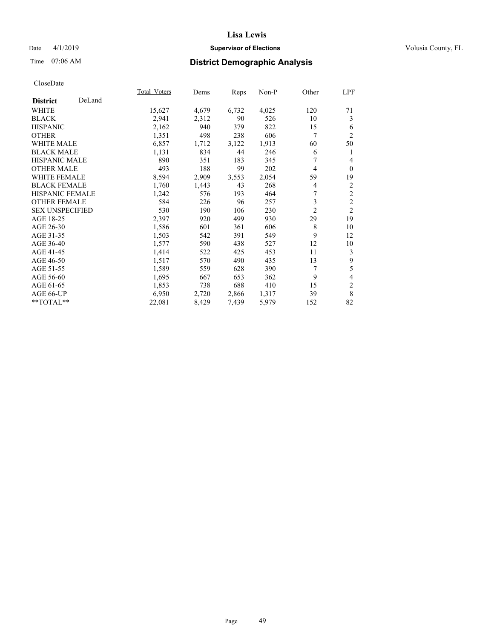## Date 4/1/2019 **Supervisor of Elections Supervisor of Elections** Volusia County, FL

## Time 07:06 AM **District Demographic Analysis**

|                        |        | Total Voters | Dems  | Reps  | Non-P | Other          | LPF            |
|------------------------|--------|--------------|-------|-------|-------|----------------|----------------|
| <b>District</b>        | DeLand |              |       |       |       |                |                |
| WHITE                  |        | 15,627       | 4,679 | 6,732 | 4,025 | 120            | 71             |
| <b>BLACK</b>           |        | 2,941        | 2,312 | 90    | 526   | 10             | 3              |
| <b>HISPANIC</b>        |        | 2,162        | 940   | 379   | 822   | 15             | 6              |
| <b>OTHER</b>           |        | 1,351        | 498   | 238   | 606   | 7              | $\overline{2}$ |
| <b>WHITE MALE</b>      |        | 6,857        | 1,712 | 3,122 | 1,913 | 60             | 50             |
| <b>BLACK MALE</b>      |        | 1,131        | 834   | 44    | 246   | 6              | 1              |
| <b>HISPANIC MALE</b>   |        | 890          | 351   | 183   | 345   | 7              | 4              |
| <b>OTHER MALE</b>      |        | 493          | 188   | 99    | 202   | 4              | $\Omega$       |
| <b>WHITE FEMALE</b>    |        | 8,594        | 2,909 | 3,553 | 2,054 | 59             | 19             |
| <b>BLACK FEMALE</b>    |        | 1,760        | 1,443 | 43    | 268   | 4              | 2              |
| <b>HISPANIC FEMALE</b> |        | 1,242        | 576   | 193   | 464   | 7              | $\overline{c}$ |
| <b>OTHER FEMALE</b>    |        | 584          | 226   | 96    | 257   | 3              | $\overline{2}$ |
| <b>SEX UNSPECIFIED</b> |        | 530          | 190   | 106   | 230   | $\overline{2}$ | $\overline{2}$ |
| AGE 18-25              |        | 2,397        | 920   | 499   | 930   | 29             | 19             |
| AGE 26-30              |        | 1,586        | 601   | 361   | 606   | 8              | 10             |
| AGE 31-35              |        | 1,503        | 542   | 391   | 549   | 9              | 12             |
| AGE 36-40              |        | 1,577        | 590   | 438   | 527   | 12             | 10             |
| AGE 41-45              |        | 1,414        | 522   | 425   | 453   | 11             | 3              |
| AGE 46-50              |        | 1,517        | 570   | 490   | 435   | 13             | 9              |
| AGE 51-55              |        | 1,589        | 559   | 628   | 390   | 7              | 5              |
| AGE 56-60              |        | 1,695        | 667   | 653   | 362   | 9              | 4              |
| AGE 61-65              |        | 1,853        | 738   | 688   | 410   | 15             | $\overline{c}$ |
| AGE 66-UP              |        | 6,950        | 2,720 | 2,866 | 1,317 | 39             | 8              |
| **TOTAL**              |        | 22,081       | 8,429 | 7,439 | 5,979 | 152            | 82             |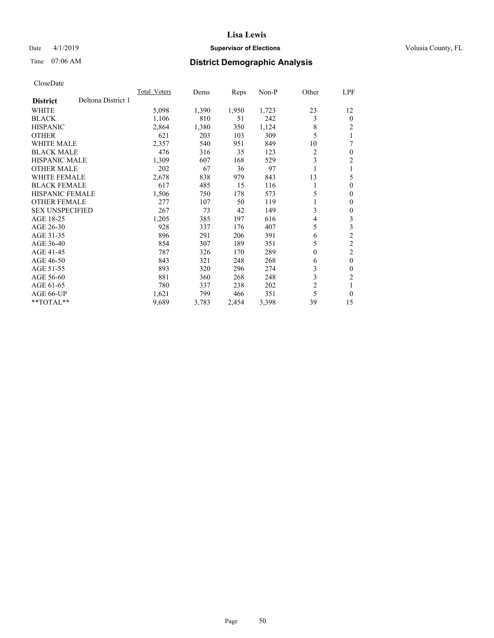## Date 4/1/2019 **Supervisor of Elections Supervisor of Elections** Volusia County, FL

## Time 07:06 AM **District Demographic Analysis**

|                                       | Total Voters | Dems  | Reps  | $Non-P$ | Other          | LPF            |
|---------------------------------------|--------------|-------|-------|---------|----------------|----------------|
| Deltona District 1<br><b>District</b> |              |       |       |         |                |                |
| WHITE                                 | 5,098        | 1,390 | 1,950 | 1,723   | 23             | 12             |
| <b>BLACK</b>                          | 1,106        | 810   | 51    | 242     | 3              | $\Omega$       |
| <b>HISPANIC</b>                       | 2,864        | 1,380 | 350   | 1,124   | 8              | 2              |
| <b>OTHER</b>                          | 621          | 203   | 103   | 309     | 5              | 1              |
| <b>WHITE MALE</b>                     | 2,357        | 540   | 951   | 849     | 10             | 7              |
| <b>BLACK MALE</b>                     | 476          | 316   | 35    | 123     | 2              | 0              |
| <b>HISPANIC MALE</b>                  | 1,309        | 607   | 168   | 529     | 3              | 2              |
| <b>OTHER MALE</b>                     | 202          | 67    | 36    | 97      | 1              | 1              |
| <b>WHITE FEMALE</b>                   | 2,678        | 838   | 979   | 843     | 13             | 5              |
| <b>BLACK FEMALE</b>                   | 617          | 485   | 15    | 116     |                | 0              |
| <b>HISPANIC FEMALE</b>                | 1,506        | 750   | 178   | 573     | 5              | 0              |
| <b>OTHER FEMALE</b>                   | 277          | 107   | 50    | 119     |                | 0              |
| <b>SEX UNSPECIFIED</b>                | 267          | 73    | 42    | 149     | 3              | 0              |
| AGE 18-25                             | 1,205        | 385   | 197   | 616     | 4              | 3              |
| AGE 26-30                             | 928          | 337   | 176   | 407     | 5              | 3              |
| AGE 31-35                             | 896          | 291   | 206   | 391     | 6              | $\overline{2}$ |
| AGE 36-40                             | 854          | 307   | 189   | 351     | 5              | $\overline{2}$ |
| AGE 41-45                             | 787          | 326   | 170   | 289     | $\theta$       | 2              |
| AGE 46-50                             | 843          | 321   | 248   | 268     | 6              | $\theta$       |
| AGE 51-55                             | 893          | 320   | 296   | 274     | 3              | 0              |
| AGE 56-60                             | 881          | 360   | 268   | 248     | 3              | $\overline{c}$ |
| AGE 61-65                             | 780          | 337   | 238   | 202     | $\overline{c}$ | 1              |
| AGE 66-UP                             | 1,621        | 799   | 466   | 351     | 5              | 0              |
| $*$ TOTAL $*$                         | 9,689        | 3,783 | 2,454 | 3,398   | 39             | 15             |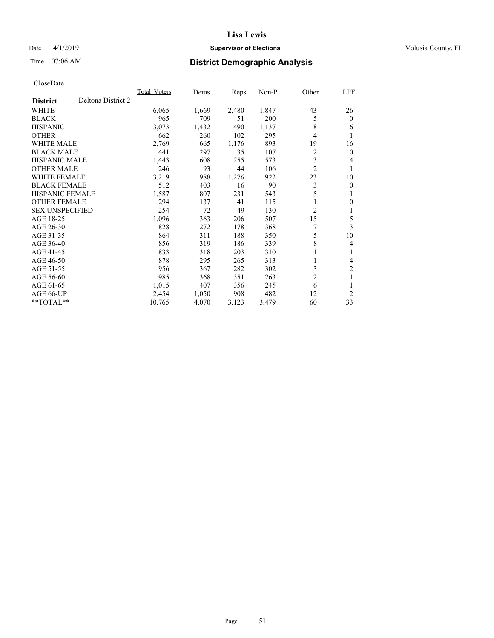## Date 4/1/2019 **Supervisor of Elections Supervisor of Elections** Volusia County, FL

## Time 07:06 AM **District Demographic Analysis**

|                                       | Total Voters | Dems  | Reps  | $Non-P$ | Other          | <u>LPF</u>     |
|---------------------------------------|--------------|-------|-------|---------|----------------|----------------|
| Deltona District 2<br><b>District</b> |              |       |       |         |                |                |
| WHITE                                 | 6,065        | 1,669 | 2,480 | 1,847   | 43             | 26             |
| <b>BLACK</b>                          | 965          | 709   | 51    | 200     | 5              | $\mathbf{0}$   |
| <b>HISPANIC</b>                       | 3,073        | 1,432 | 490   | 1,137   | 8              | 6              |
| <b>OTHER</b>                          | 662          | 260   | 102   | 295     | 4              | 1              |
| <b>WHITE MALE</b>                     | 2,769        | 665   | 1,176 | 893     | 19             | 16             |
| <b>BLACK MALE</b>                     | 441          | 297   | 35    | 107     | 2              | $\mathbf{0}$   |
| <b>HISPANIC MALE</b>                  | 1,443        | 608   | 255   | 573     | 3              | 4              |
| <b>OTHER MALE</b>                     | 246          | 93    | 44    | 106     | $\overline{2}$ | 1              |
| <b>WHITE FEMALE</b>                   | 3,219        | 988   | 1,276 | 922     | 23             | 10             |
| <b>BLACK FEMALE</b>                   | 512          | 403   | 16    | 90      | 3              | $\mathbf{0}$   |
| <b>HISPANIC FEMALE</b>                | 1,587        | 807   | 231   | 543     | 5              | 1              |
| <b>OTHER FEMALE</b>                   | 294          | 137   | 41    | 115     |                | $\theta$       |
| <b>SEX UNSPECIFIED</b>                | 254          | 72    | 49    | 130     | 2              | 1              |
| AGE 18-25                             | 1,096        | 363   | 206   | 507     | 15             | 5              |
| AGE 26-30                             | 828          | 272   | 178   | 368     |                | 3              |
| AGE 31-35                             | 864          | 311   | 188   | 350     | 5              | 10             |
| AGE 36-40                             | 856          | 319   | 186   | 339     | 8              | 4              |
| AGE 41-45                             | 833          | 318   | 203   | 310     | 1              | 1              |
| AGE 46-50                             | 878          | 295   | 265   | 313     |                | 4              |
| AGE 51-55                             | 956          | 367   | 282   | 302     | 3              | $\overline{2}$ |
| AGE 56-60                             | 985          | 368   | 351   | 263     | $\overline{2}$ | 1              |
| AGE 61-65                             | 1,015        | 407   | 356   | 245     | 6              | 1              |
| AGE 66-UP                             | 2,454        | 1,050 | 908   | 482     | 12             | 2              |
| $*$ TOTAL $*$                         | 10,765       | 4,070 | 3,123 | 3,479   | 60             | 33             |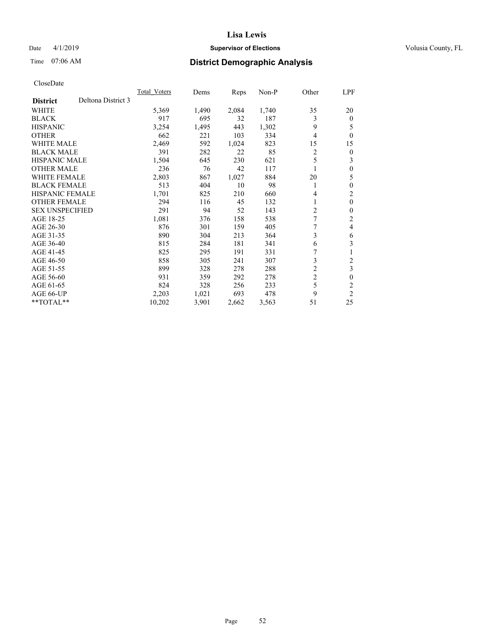## Date 4/1/2019 **Supervisor of Elections Supervisor of Elections** Volusia County, FL

## Time 07:06 AM **District Demographic Analysis**

|                                       | Total Voters | Dems  | Reps  | Non-P | Other          | LPF                     |
|---------------------------------------|--------------|-------|-------|-------|----------------|-------------------------|
| Deltona District 3<br><b>District</b> |              |       |       |       |                |                         |
| <b>WHITE</b>                          | 5,369        | 1,490 | 2,084 | 1,740 | 35             | 20                      |
| <b>BLACK</b>                          | 917          | 695   | 32    | 187   | 3              | $\theta$                |
| <b>HISPANIC</b>                       | 3,254        | 1,495 | 443   | 1,302 | 9              | 5                       |
| <b>OTHER</b>                          | 662          | 221   | 103   | 334   | $\overline{4}$ | $\theta$                |
| <b>WHITE MALE</b>                     | 2,469        | 592   | 1,024 | 823   | 15             | 15                      |
| <b>BLACK MALE</b>                     | 391          | 282   | 22    | 85    | 2              | $\theta$                |
| <b>HISPANIC MALE</b>                  | 1,504        | 645   | 230   | 621   | 5              | 3                       |
| <b>OTHER MALE</b>                     | 236          | 76    | 42    | 117   |                | $\theta$                |
| <b>WHITE FEMALE</b>                   | 2,803        | 867   | 1,027 | 884   | 20             | 5                       |
| <b>BLACK FEMALE</b>                   | 513          | 404   | 10    | 98    | 1              | $\theta$                |
| <b>HISPANIC FEMALE</b>                | 1,701        | 825   | 210   | 660   | 4              | $\overline{c}$          |
| <b>OTHER FEMALE</b>                   | 294          | 116   | 45    | 132   | 1              | $\theta$                |
| <b>SEX UNSPECIFIED</b>                | 291          | 94    | 52    | 143   | $\overline{c}$ | $\theta$                |
| AGE 18-25                             | 1,081        | 376   | 158   | 538   | 7              | 2                       |
| AGE 26-30                             | 876          | 301   | 159   | 405   |                | 4                       |
| AGE 31-35                             | 890          | 304   | 213   | 364   | 3              | 6                       |
| AGE 36-40                             | 815          | 284   | 181   | 341   | 6              | 3                       |
| AGE 41-45                             | 825          | 295   | 191   | 331   | 7              | 1                       |
| AGE 46-50                             | 858          | 305   | 241   | 307   | 3              | $\overline{\mathbf{c}}$ |
| AGE 51-55                             | 899          | 328   | 278   | 288   | $\overline{2}$ | 3                       |
| AGE 56-60                             | 931          | 359   | 292   | 278   | $\overline{c}$ | $\theta$                |
| AGE 61-65                             | 824          | 328   | 256   | 233   | 5              | $\overline{c}$          |
| AGE 66-UP                             | 2,203        | 1,021 | 693   | 478   | 9              | $\overline{c}$          |
| $*$ TOTAL $*$                         | 10,202       | 3,901 | 2,662 | 3,563 | 51             | 25                      |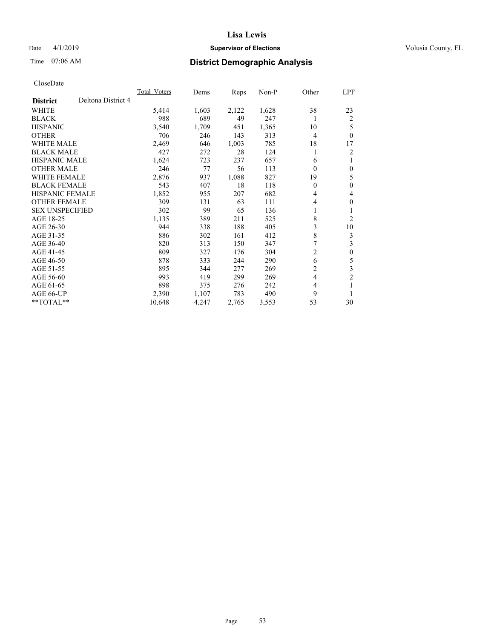## Date 4/1/2019 **Supervisor of Elections Supervisor of Elections** Volusia County, FL

## Time 07:06 AM **District Demographic Analysis**

|                                       | Total Voters | Dems  | Reps  | $Non-P$ | Other          | <u>LPF</u>       |
|---------------------------------------|--------------|-------|-------|---------|----------------|------------------|
| Deltona District 4<br><b>District</b> |              |       |       |         |                |                  |
| WHITE                                 | 5,414        | 1,603 | 2,122 | 1,628   | 38             | 23               |
| <b>BLACK</b>                          | 988          | 689   | 49    | 247     | 1              | 2                |
| <b>HISPANIC</b>                       | 3,540        | 1,709 | 451   | 1,365   | 10             | 5                |
| <b>OTHER</b>                          | 706          | 246   | 143   | 313     | 4              | $\theta$         |
| <b>WHITE MALE</b>                     | 2,469        | 646   | 1,003 | 785     | 18             | 17               |
| <b>BLACK MALE</b>                     | 427          | 272   | 28    | 124     | 1              | 2                |
| <b>HISPANIC MALE</b>                  | 1,624        | 723   | 237   | 657     | 6              | 1                |
| <b>OTHER MALE</b>                     | 246          | 77    | 56    | 113     | $\theta$       | $\mathbf{0}$     |
| <b>WHITE FEMALE</b>                   | 2,876        | 937   | 1,088 | 827     | 19             | 5                |
| <b>BLACK FEMALE</b>                   | 543          | 407   | 18    | 118     | 0              | $\mathbf{0}$     |
| <b>HISPANIC FEMALE</b>                | 1,852        | 955   | 207   | 682     | 4              | 4                |
| <b>OTHER FEMALE</b>                   | 309          | 131   | 63    | 111     | 4              | $\mathbf{0}$     |
| <b>SEX UNSPECIFIED</b>                | 302          | 99    | 65    | 136     | 1              | 1                |
| AGE 18-25                             | 1,135        | 389   | 211   | 525     | 8              | 2                |
| AGE 26-30                             | 944          | 338   | 188   | 405     | 3              | 10               |
| AGE 31-35                             | 886          | 302   | 161   | 412     | 8              | 3                |
| AGE 36-40                             | 820          | 313   | 150   | 347     | 7              | 3                |
| AGE 41-45                             | 809          | 327   | 176   | 304     | 2              | $\boldsymbol{0}$ |
| AGE 46-50                             | 878          | 333   | 244   | 290     | 6              | 5                |
| AGE 51-55                             | 895          | 344   | 277   | 269     | 2              | $\mathfrak{Z}$   |
| AGE 56-60                             | 993          | 419   | 299   | 269     | $\overline{4}$ | $\overline{2}$   |
| AGE 61-65                             | 898          | 375   | 276   | 242     | 4              | 1                |
| AGE 66-UP                             | 2,390        | 1,107 | 783   | 490     | 9              | 1                |
| $*$ TOTAL $*$                         | 10,648       | 4,247 | 2,765 | 3,553   | 53             | 30               |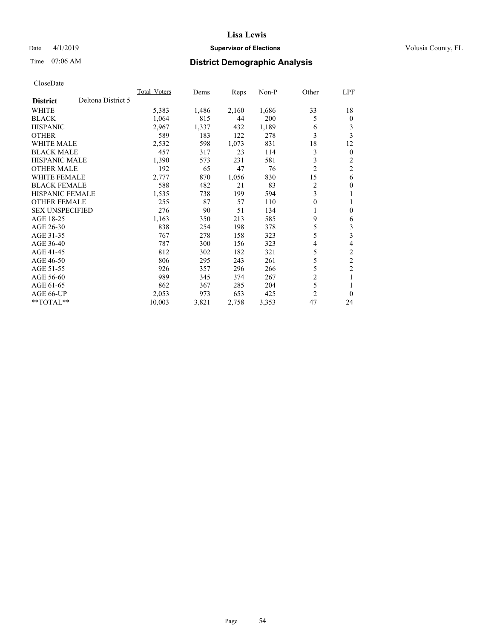## Date 4/1/2019 **Supervisor of Elections Supervisor of Elections** Volusia County, FL

## Time 07:06 AM **District Demographic Analysis**

|                                       | Total Voters | Dems  | Reps  | Non-P | Other          | LPF            |
|---------------------------------------|--------------|-------|-------|-------|----------------|----------------|
| Deltona District 5<br><b>District</b> |              |       |       |       |                |                |
| WHITE                                 | 5,383        | 1,486 | 2,160 | 1,686 | 33             | 18             |
| <b>BLACK</b>                          | 1,064        | 815   | 44    | 200   | 5              | $\mathbf{0}$   |
| <b>HISPANIC</b>                       | 2,967        | 1,337 | 432   | 1,189 | 6              | 3              |
| <b>OTHER</b>                          | 589          | 183   | 122   | 278   | 3              | 3              |
| WHITE MALE                            | 2,532        | 598   | 1,073 | 831   | 18             | 12             |
| <b>BLACK MALE</b>                     | 457          | 317   | 23    | 114   | 3              | $\mathbf{0}$   |
| <b>HISPANIC MALE</b>                  | 1,390        | 573   | 231   | 581   | 3              | 2              |
| <b>OTHER MALE</b>                     | 192          | 65    | 47    | 76    | $\overline{2}$ | $\overline{c}$ |
| <b>WHITE FEMALE</b>                   | 2,777        | 870   | 1,056 | 830   | 15             | 6              |
| <b>BLACK FEMALE</b>                   | 588          | 482   | 21    | 83    | $\overline{2}$ | $\theta$       |
| <b>HISPANIC FEMALE</b>                | 1,535        | 738   | 199   | 594   | 3              | 1              |
| <b>OTHER FEMALE</b>                   | 255          | 87    | 57    | 110   | 0              | 1              |
| <b>SEX UNSPECIFIED</b>                | 276          | 90    | 51    | 134   | 1              | $\theta$       |
| AGE 18-25                             | 1,163        | 350   | 213   | 585   | 9              | 6              |
| AGE 26-30                             | 838          | 254   | 198   | 378   | 5              | 3              |
| AGE 31-35                             | 767          | 278   | 158   | 323   | 5              | 3              |
| AGE 36-40                             | 787          | 300   | 156   | 323   | 4              | 4              |
| AGE 41-45                             | 812          | 302   | 182   | 321   | 5              | $\mathfrak{2}$ |
| AGE 46-50                             | 806          | 295   | 243   | 261   | 5              | $\overline{c}$ |
| AGE 51-55                             | 926          | 357   | 296   | 266   | 5              | $\overline{c}$ |
| AGE 56-60                             | 989          | 345   | 374   | 267   | $\overline{2}$ | 1              |
| AGE 61-65                             | 862          | 367   | 285   | 204   | 5              |                |
| AGE 66-UP                             | 2,053        | 973   | 653   | 425   | $\overline{2}$ | $\theta$       |
| **TOTAL**                             | 10,003       | 3,821 | 2,758 | 3,353 | 47             | 24             |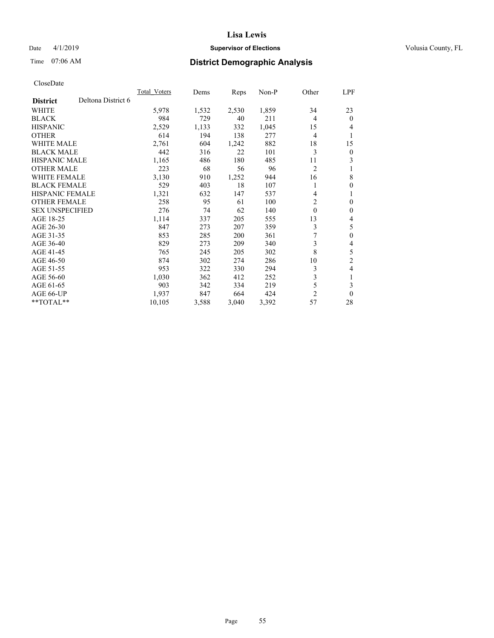## Date 4/1/2019 **Supervisor of Elections Supervisor of Elections** Volusia County, FL

# Time 07:06 AM **District Demographic Analysis**

|                        |                    | <b>Total Voters</b> | Dems  | Reps  | $Non-P$ | Other          | LPF            |
|------------------------|--------------------|---------------------|-------|-------|---------|----------------|----------------|
| <b>District</b>        | Deltona District 6 |                     |       |       |         |                |                |
| <b>WHITE</b>           |                    | 5,978               | 1,532 | 2,530 | 1,859   | 34             | 23             |
| <b>BLACK</b>           |                    | 984                 | 729   | 40    | 211     | 4              | $\theta$       |
| <b>HISPANIC</b>        |                    | 2,529               | 1,133 | 332   | 1,045   | 15             | 4              |
| <b>OTHER</b>           |                    | 614                 | 194   | 138   | 277     | $\overline{4}$ | 1              |
| <b>WHITE MALE</b>      |                    | 2,761               | 604   | 1,242 | 882     | 18             | 15             |
| <b>BLACK MALE</b>      |                    | 442                 | 316   | 22    | 101     | 3              | $\mathbf{0}$   |
| HISPANIC MALE          |                    | 1,165               | 486   | 180   | 485     | 11             | 3              |
| <b>OTHER MALE</b>      |                    | 223                 | 68    | 56    | 96      | $\overline{2}$ |                |
| <b>WHITE FEMALE</b>    |                    | 3,130               | 910   | 1,252 | 944     | 16             | 8              |
| <b>BLACK FEMALE</b>    |                    | 529                 | 403   | 18    | 107     | 1              | $\theta$       |
| <b>HISPANIC FEMALE</b> |                    | 1,321               | 632   | 147   | 537     | 4              | 1              |
| <b>OTHER FEMALE</b>    |                    | 258                 | 95    | 61    | 100     | 2              | $\theta$       |
| <b>SEX UNSPECIFIED</b> |                    | 276                 | 74    | 62    | 140     | $\mathbf{0}$   | $\theta$       |
| AGE 18-25              |                    | 1,114               | 337   | 205   | 555     | 13             | 4              |
| AGE 26-30              |                    | 847                 | 273   | 207   | 359     | 3              | 5              |
| AGE 31-35              |                    | 853                 | 285   | 200   | 361     | 7              | $\theta$       |
| AGE 36-40              |                    | 829                 | 273   | 209   | 340     | 3              | 4              |
| AGE 41-45              |                    | 765                 | 245   | 205   | 302     | 8              | 5              |
| AGE 46-50              |                    | 874                 | 302   | 274   | 286     | 10             | $\overline{2}$ |
| AGE 51-55              |                    | 953                 | 322   | 330   | 294     | 3              | 4              |
| AGE 56-60              |                    | 1,030               | 362   | 412   | 252     | 3              | 1              |
| AGE 61-65              |                    | 903                 | 342   | 334   | 219     | 5              | 3              |
| AGE 66-UP              |                    | 1,937               | 847   | 664   | 424     | $\overline{c}$ | $\theta$       |
| $*$ TOTAL $*$          |                    | 10,105              | 3,588 | 3,040 | 3,392   | 57             | 28             |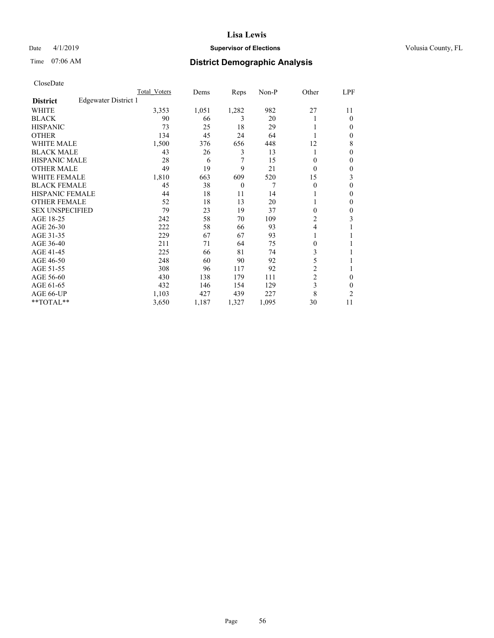## Date 4/1/2019 **Supervisor of Elections Supervisor of Elections** Volusia County, FL

## Time 07:06 AM **District Demographic Analysis**

|                        |                      | Total Voters | Dems  | Reps     | Non-P | Other          | LPF            |
|------------------------|----------------------|--------------|-------|----------|-------|----------------|----------------|
| <b>District</b>        | Edgewater District 1 |              |       |          |       |                |                |
| WHITE                  |                      | 3,353        | 1,051 | 1,282    | 982   | 27             | 11             |
| <b>BLACK</b>           |                      | 90           | 66    | 3        | 20    |                | $\Omega$       |
| <b>HISPANIC</b>        |                      | 73           | 25    | 18       | 29    |                | $\Omega$       |
| <b>OTHER</b>           |                      | 134          | 45    | 24       | 64    |                | 0              |
| <b>WHITE MALE</b>      |                      | 1,500        | 376   | 656      | 448   | 12             | 8              |
| <b>BLACK MALE</b>      |                      | 43           | 26    | 3        | 13    |                | $\Omega$       |
| <b>HISPANIC MALE</b>   |                      | 28           | 6     | 7        | 15    | 0              | 0              |
| <b>OTHER MALE</b>      |                      | 49           | 19    | 9        | 21    | $\theta$       | $\mathbf{0}$   |
| <b>WHITE FEMALE</b>    |                      | 1,810        | 663   | 609      | 520   | 15             | 3              |
| <b>BLACK FEMALE</b>    |                      | 45           | 38    | $\theta$ | 7     | $\theta$       | $\theta$       |
| <b>HISPANIC FEMALE</b> |                      | 44           | 18    | 11       | 14    |                | $\Omega$       |
| <b>OTHER FEMALE</b>    |                      | 52           | 18    | 13       | 20    |                | $\Omega$       |
| <b>SEX UNSPECIFIED</b> |                      | 79           | 23    | 19       | 37    | $\theta$       | $\theta$       |
| AGE 18-25              |                      | 242          | 58    | 70       | 109   | 2              | 3              |
| AGE 26-30              |                      | 222          | 58    | 66       | 93    | 4              |                |
| AGE 31-35              |                      | 229          | 67    | 67       | 93    |                |                |
| AGE 36-40              |                      | 211          | 71    | 64       | 75    | 0              |                |
| AGE 41-45              |                      | 225          | 66    | 81       | 74    | 3              |                |
| AGE 46-50              |                      | 248          | 60    | 90       | 92    | 5              |                |
| AGE 51-55              |                      | 308          | 96    | 117      | 92    | $\overline{2}$ |                |
| AGE 56-60              |                      | 430          | 138   | 179      | 111   | $\overline{c}$ | $\theta$       |
| AGE 61-65              |                      | 432          | 146   | 154      | 129   | 3              | $\theta$       |
| AGE 66-UP              |                      | 1,103        | 427   | 439      | 227   | 8              | $\overline{c}$ |
| **TOTAL**              |                      | 3,650        | 1,187 | 1,327    | 1,095 | 30             | 11             |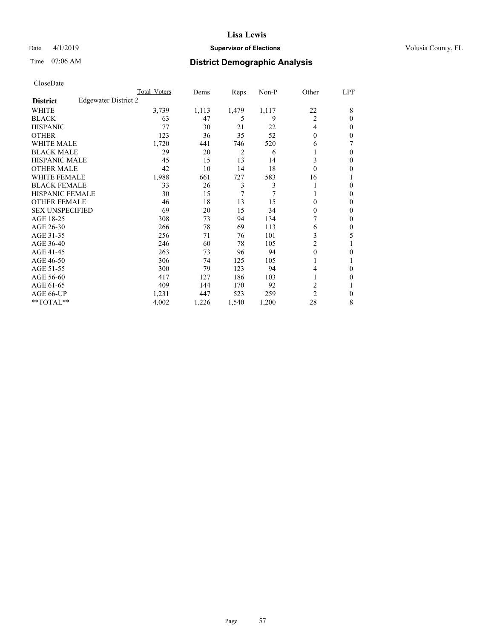## Date 4/1/2019 **Supervisor of Elections Supervisor of Elections** Volusia County, FL

## Time 07:06 AM **District Demographic Analysis**

|                        |                      | Total Voters | Dems  | Reps  | Non-P | Other          | LPF          |
|------------------------|----------------------|--------------|-------|-------|-------|----------------|--------------|
| <b>District</b>        | Edgewater District 2 |              |       |       |       |                |              |
| WHITE                  |                      | 3,739        | 1,113 | 1,479 | 1,117 | 22             | 8            |
| <b>BLACK</b>           |                      | 63           | 47    | 5     | 9     | $\overline{2}$ | $\Omega$     |
| <b>HISPANIC</b>        |                      | 77           | 30    | 21    | 22    | $\overline{4}$ | 0            |
| <b>OTHER</b>           |                      | 123          | 36    | 35    | 52    | $\theta$       | 0            |
| <b>WHITE MALE</b>      |                      | 1,720        | 441   | 746   | 520   | 6              |              |
| <b>BLACK MALE</b>      |                      | 29           | 20    | 2     | 6     |                | $\Omega$     |
| <b>HISPANIC MALE</b>   |                      | 45           | 15    | 13    | 14    | 3              | 0            |
| <b>OTHER MALE</b>      |                      | 42           | 10    | 14    | 18    | $\theta$       | 0            |
| <b>WHITE FEMALE</b>    |                      | 1,988        | 661   | 727   | 583   | 16             |              |
| <b>BLACK FEMALE</b>    |                      | 33           | 26    | 3     | 3     | 1              | 0            |
| <b>HISPANIC FEMALE</b> |                      | 30           | 15    | 7     | 7     |                | 0            |
| <b>OTHER FEMALE</b>    |                      | 46           | 18    | 13    | 15    | $\Omega$       | 0            |
| <b>SEX UNSPECIFIED</b> |                      | 69           | 20    | 15    | 34    | $\theta$       | 0            |
| AGE 18-25              |                      | 308          | 73    | 94    | 134   |                | 0            |
| AGE 26-30              |                      | 266          | 78    | 69    | 113   | 6              | $\mathbf{0}$ |
| AGE 31-35              |                      | 256          | 71    | 76    | 101   | 3              | 5            |
| AGE 36-40              |                      | 246          | 60    | 78    | 105   | 2              |              |
| AGE 41-45              |                      | 263          | 73    | 96    | 94    | $\theta$       | 0            |
| AGE 46-50              |                      | 306          | 74    | 125   | 105   | 1              |              |
| AGE 51-55              |                      | 300          | 79    | 123   | 94    | 4              | 0            |
| AGE 56-60              |                      | 417          | 127   | 186   | 103   |                | 0            |
| AGE 61-65              |                      | 409          | 144   | 170   | 92    | 2              |              |
| AGE 66-UP              |                      | 1,231        | 447   | 523   | 259   | $\overline{c}$ | $\Omega$     |
| **TOTAL**              |                      | 4,002        | 1,226 | 1,540 | 1,200 | 28             | 8            |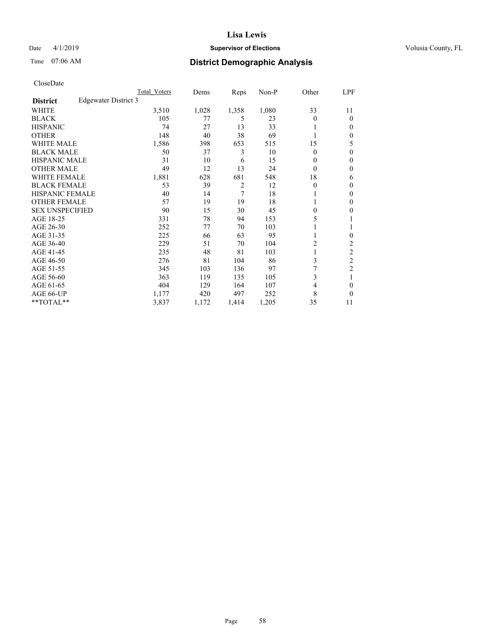## Date 4/1/2019 **Supervisor of Elections Supervisor of Elections** Volusia County, FL

## Time 07:06 AM **District Demographic Analysis**

|                        |                      | Total Voters | Dems  | Reps           | Non-P | Other          | LPF            |
|------------------------|----------------------|--------------|-------|----------------|-------|----------------|----------------|
| <b>District</b>        | Edgewater District 3 |              |       |                |       |                |                |
| WHITE                  |                      | 3,510        | 1,028 | 1,358          | 1,080 | 33             | 11             |
| <b>BLACK</b>           |                      | 105          | 77    | 5              | 23    | 0              | $\theta$       |
| <b>HISPANIC</b>        |                      | 74           | 27    | 13             | 33    |                | $\Omega$       |
| <b>OTHER</b>           |                      | 148          | 40    | 38             | 69    |                | $\Omega$       |
| <b>WHITE MALE</b>      |                      | 1,586        | 398   | 653            | 515   | 15             | 5              |
| <b>BLACK MALE</b>      |                      | 50           | 37    | 3              | 10    | 0              | $\theta$       |
| <b>HISPANIC MALE</b>   |                      | 31           | 10    | 6              | 15    | 0              | $\theta$       |
| <b>OTHER MALE</b>      |                      | 49           | 12    | 13             | 24    | 0              | $\mathbf{0}$   |
| WHITE FEMALE           |                      | 1,881        | 628   | 681            | 548   | 18             | 6              |
| <b>BLACK FEMALE</b>    |                      | 53           | 39    | $\overline{2}$ | 12    | 0              | $\mathbf{0}$   |
| <b>HISPANIC FEMALE</b> |                      | 40           | 14    | $\overline{7}$ | 18    |                | 0              |
| <b>OTHER FEMALE</b>    |                      | 57           | 19    | 19             | 18    |                | 0              |
| <b>SEX UNSPECIFIED</b> |                      | 90           | 15    | 30             | 45    | 0              | 0              |
| AGE 18-25              |                      | 331          | 78    | 94             | 153   | 5              |                |
| AGE 26-30              |                      | 252          | 77    | 70             | 103   |                | 1              |
| AGE 31-35              |                      | 225          | 66    | 63             | 95    |                | 0              |
| AGE 36-40              |                      | 229          | 51    | 70             | 104   | $\overline{c}$ | 2              |
| AGE 41-45              |                      | 235          | 48    | 81             | 103   |                | 2              |
| AGE 46-50              |                      | 276          | 81    | 104            | 86    | 3              | $\overline{c}$ |
| AGE 51-55              |                      | 345          | 103   | 136            | 97    |                | $\overline{c}$ |
| AGE 56-60              |                      | 363          | 119   | 135            | 105   | 3              |                |
| AGE 61-65              |                      | 404          | 129   | 164            | 107   | 4              | 0              |
| AGE 66-UP              |                      | 1,177        | 420   | 497            | 252   | 8              | $\Omega$       |
| **TOTAL**              |                      | 3,837        | 1,172 | 1,414          | 1,205 | 35             | 11             |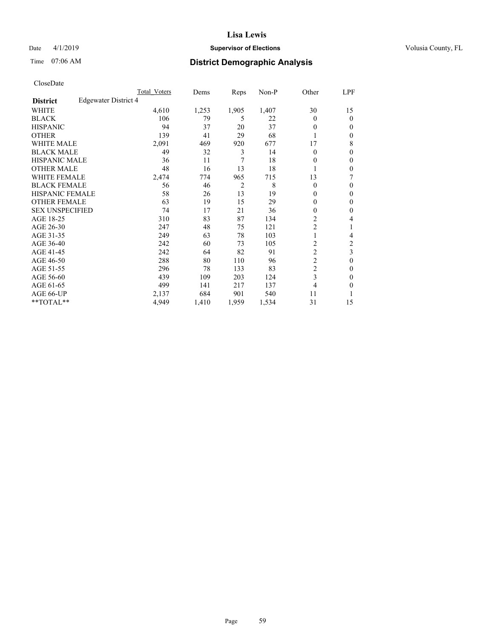## Date 4/1/2019 **Supervisor of Elections Supervisor of Elections** Volusia County, FL

## Time 07:06 AM **District Demographic Analysis**

|                        |                      | Total Voters | Dems  | Reps           | Non-P | Other          | LPF            |
|------------------------|----------------------|--------------|-------|----------------|-------|----------------|----------------|
| <b>District</b>        | Edgewater District 4 |              |       |                |       |                |                |
| WHITE                  |                      | 4,610        | 1,253 | 1,905          | 1,407 | 30             | 15             |
| <b>BLACK</b>           |                      | 106          | 79    | 5              | 22    | 0              | $\mathbf{0}$   |
| <b>HISPANIC</b>        |                      | 94           | 37    | 20             | 37    | 0              | $\Omega$       |
| <b>OTHER</b>           |                      | 139          | 41    | 29             | 68    |                | 0              |
| <b>WHITE MALE</b>      |                      | 2,091        | 469   | 920            | 677   | 17             | 8              |
| <b>BLACK MALE</b>      |                      | 49           | 32    | 3              | 14    | 0              | $\theta$       |
| <b>HISPANIC MALE</b>   |                      | 36           | 11    | 7              | 18    | 0              | $\theta$       |
| <b>OTHER MALE</b>      |                      | 48           | 16    | 13             | 18    | 1              | 0              |
| WHITE FEMALE           |                      | 2,474        | 774   | 965            | 715   | 13             | 7              |
| <b>BLACK FEMALE</b>    |                      | 56           | 46    | $\overline{2}$ | 8     | 0              | $\mathbf{0}$   |
| <b>HISPANIC FEMALE</b> |                      | 58           | 26    | 13             | 19    | 0              | 0              |
| <b>OTHER FEMALE</b>    |                      | 63           | 19    | 15             | 29    | 0              | $\theta$       |
| <b>SEX UNSPECIFIED</b> |                      | 74           | 17    | 21             | 36    | 0              | $\theta$       |
| AGE 18-25              |                      | 310          | 83    | 87             | 134   | $\overline{c}$ | 4              |
| AGE 26-30              |                      | 247          | 48    | 75             | 121   | $\overline{c}$ | 1              |
| AGE 31-35              |                      | 249          | 63    | 78             | 103   |                | 4              |
| AGE 36-40              |                      | 242          | 60    | 73             | 105   | $\overline{c}$ | $\overline{c}$ |
| AGE 41-45              |                      | 242          | 64    | 82             | 91    | $\overline{c}$ | 3              |
| AGE 46-50              |                      | 288          | 80    | 110            | 96    | $\overline{2}$ | $\theta$       |
| AGE 51-55              |                      | 296          | 78    | 133            | 83    | $\overline{c}$ | 0              |
| AGE 56-60              |                      | 439          | 109   | 203            | 124   | 3              | 0              |
| AGE 61-65              |                      | 499          | 141   | 217            | 137   | 4              | 0              |
| AGE 66-UP              |                      | 2.137        | 684   | 901            | 540   | 11             |                |
| **TOTAL**              |                      | 4,949        | 1,410 | 1,959          | 1,534 | 31             | 15             |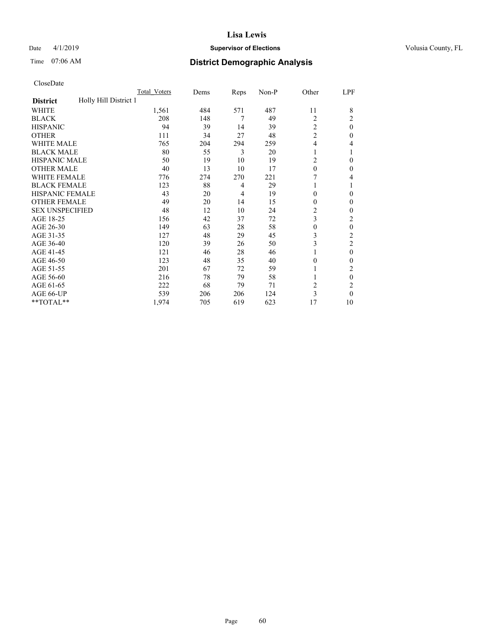## Date 4/1/2019 **Supervisor of Elections Supervisor of Elections** Volusia County, FL

## Time 07:06 AM **District Demographic Analysis**

|                                          | Total Voters | Dems | Reps | Non-P | Other          | LPF            |
|------------------------------------------|--------------|------|------|-------|----------------|----------------|
| Holly Hill District 1<br><b>District</b> |              |      |      |       |                |                |
| WHITE                                    | 1,561        | 484  | 571  | 487   | 11             | 8              |
| <b>BLACK</b>                             | 208          | 148  | 7    | 49    | 2              | 2              |
| <b>HISPANIC</b>                          | 94           | 39   | 14   | 39    | $\overline{2}$ | $\theta$       |
| <b>OTHER</b>                             | 111          | 34   | 27   | 48    | $\overline{c}$ | 0              |
| <b>WHITE MALE</b>                        | 765          | 204  | 294  | 259   | $\overline{4}$ | 4              |
| <b>BLACK MALE</b>                        | 80           | 55   | 3    | 20    | 1              |                |
| <b>HISPANIC MALE</b>                     | 50           | 19   | 10   | 19    | $\overline{c}$ | 0              |
| <b>OTHER MALE</b>                        | 40           | 13   | 10   | 17    | $\theta$       | $\mathbf{0}$   |
| <b>WHITE FEMALE</b>                      | 776          | 274  | 270  | 221   |                | 4              |
| <b>BLACK FEMALE</b>                      | 123          | 88   | 4    | 29    | 1              |                |
| <b>HISPANIC FEMALE</b>                   | 43           | 20   | 4    | 19    | $\theta$       | 0              |
| <b>OTHER FEMALE</b>                      | 49           | 20   | 14   | 15    | $\theta$       | 0              |
| <b>SEX UNSPECIFIED</b>                   | 48           | 12   | 10   | 24    | $\overline{c}$ | 0              |
| AGE 18-25                                | 156          | 42   | 37   | 72    | 3              | 2              |
| AGE 26-30                                | 149          | 63   | 28   | 58    | $\mathbf{0}$   | $\theta$       |
| AGE 31-35                                | 127          | 48   | 29   | 45    | 3              | $\overline{c}$ |
| AGE 36-40                                | 120          | 39   | 26   | 50    | 3              | 2              |
| AGE 41-45                                | 121          | 46   | 28   | 46    |                | $\theta$       |
| AGE 46-50                                | 123          | 48   | 35   | 40    | $\theta$       | 0              |
| AGE 51-55                                | 201          | 67   | 72   | 59    |                | 2              |
| AGE 56-60                                | 216          | 78   | 79   | 58    |                | $\theta$       |
| AGE 61-65                                | 222          | 68   | 79   | 71    | $\overline{2}$ | 2              |
| AGE 66-UP                                | 539          | 206  | 206  | 124   | 3              | 0              |
| **TOTAL**                                | 1,974        | 705  | 619  | 623   | 17             | 10             |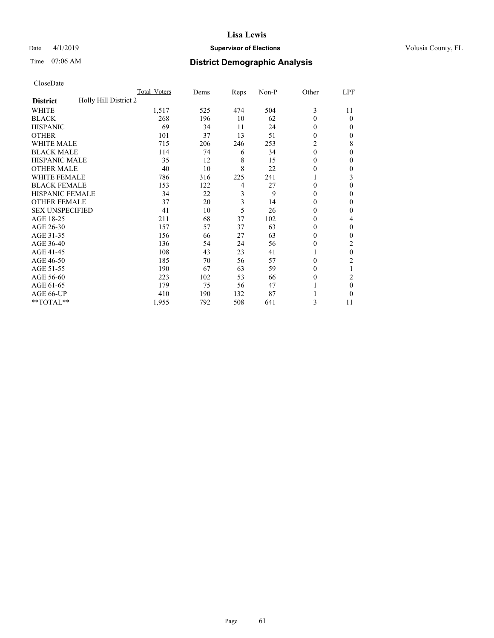## Date 4/1/2019 **Supervisor of Elections Supervisor of Elections** Volusia County, FL

## Time 07:06 AM **District Demographic Analysis**

|                                          | Total Voters | Dems | Reps | Non-P | Other    | LPF          |
|------------------------------------------|--------------|------|------|-------|----------|--------------|
| Holly Hill District 2<br><b>District</b> |              |      |      |       |          |              |
| WHITE                                    | 1,517        | 525  | 474  | 504   | 3        | 11           |
| <b>BLACK</b>                             | 268          | 196  | 10   | 62    | $\Omega$ | 0            |
| <b>HISPANIC</b>                          | 69           | 34   | 11   | 24    | $\Omega$ | $_{0}$       |
| <b>OTHER</b>                             | 101          | 37   | 13   | 51    | 0        | 0            |
| WHITE MALE                               | 715          | 206  | 246  | 253   | 2        | 8            |
| <b>BLACK MALE</b>                        | 114          | 74   | 6    | 34    | $\Omega$ | 0            |
| <b>HISPANIC MALE</b>                     | 35           | 12   | 8    | 15    | 0        | 0            |
| <b>OTHER MALE</b>                        | 40           | 10   | 8    | 22    | 0        | 0            |
| WHITE FEMALE                             | 786          | 316  | 225  | 241   |          | 3            |
| <b>BLACK FEMALE</b>                      | 153          | 122  | 4    | 27    | 0        | 0            |
| <b>HISPANIC FEMALE</b>                   | 34           | 22   | 3    | 9     | 0        | 0            |
| <b>OTHER FEMALE</b>                      | 37           | 20   | 3    | 14    | 0        | 0            |
| <b>SEX UNSPECIFIED</b>                   | 41           | 10   | 5    | 26    | 0        | 0            |
| AGE 18-25                                | 211          | 68   | 37   | 102   | 0        | 4            |
| AGE 26-30                                | 157          | 57   | 37   | 63    | $\theta$ | $\mathbf{0}$ |
| AGE 31-35                                | 156          | 66   | 27   | 63    | 0        | 0            |
| AGE 36-40                                | 136          | 54   | 24   | 56    | 0        | 2            |
| AGE 41-45                                | 108          | 43   | 23   | 41    |          | 0            |
| AGE 46-50                                | 185          | 70   | 56   | 57    | $\Omega$ | 2            |
| AGE 51-55                                | 190          | 67   | 63   | 59    | $_{0}$   | 1            |
| AGE 56-60                                | 223          | 102  | 53   | 66    | $_{0}$   | 2            |
| AGE 61-65                                | 179          | 75   | 56   | 47    |          | 0            |
| AGE 66-UP                                | 410          | 190  | 132  | 87    |          | 0            |
| **TOTAL**                                | 1,955        | 792  | 508  | 641   | 3        | 11           |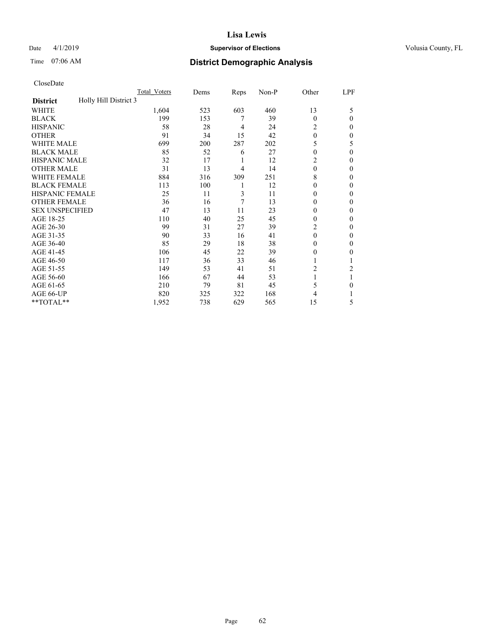## Date 4/1/2019 **Supervisor of Elections Supervisor of Elections** Volusia County, FL

## Time 07:06 AM **District Demographic Analysis**

|                                          | Total Voters | Dems | Reps | Non-P | Other    | LPF    |
|------------------------------------------|--------------|------|------|-------|----------|--------|
| Holly Hill District 3<br><b>District</b> |              |      |      |       |          |        |
| WHITE                                    | 1,604        | 523  | 603  | 460   | 13       | 5      |
| <b>BLACK</b>                             | 199          | 153  | 7    | 39    | $\Omega$ | 0      |
| <b>HISPANIC</b>                          | 58           | 28   | 4    | 24    | 2        | $_{0}$ |
| <b>OTHER</b>                             | 91           | 34   | 15   | 42    | $\theta$ | 0      |
| WHITE MALE                               | 699          | 200  | 287  | 202   | 5        | 5      |
| <b>BLACK MALE</b>                        | 85           | 52   | 6    | 27    | $\theta$ | 0      |
| <b>HISPANIC MALE</b>                     | 32           | 17   | 1    | 12    | 2        | 0      |
| <b>OTHER MALE</b>                        | 31           | 13   | 4    | 14    | $\theta$ | 0      |
| <b>WHITE FEMALE</b>                      | 884          | 316  | 309  | 251   | 8        | 0      |
| <b>BLACK FEMALE</b>                      | 113          | 100  | 1    | 12    | 0        | 0      |
| <b>HISPANIC FEMALE</b>                   | 25           | 11   | 3    | 11    | 0        | 0      |
| <b>OTHER FEMALE</b>                      | 36           | 16   | 7    | 13    | $\Omega$ | 0      |
| <b>SEX UNSPECIFIED</b>                   | 47           | 13   | 11   | 23    | 0        | 0      |
| AGE 18-25                                | 110          | 40   | 25   | 45    | 0        | 0      |
| AGE 26-30                                | 99           | 31   | 27   | 39    | 2        | 0      |
| AGE 31-35                                | 90           | 33   | 16   | 41    | 0        | 0      |
| AGE 36-40                                | 85           | 29   | 18   | 38    | 0        | 0      |
| AGE 41-45                                | 106          | 45   | 22   | 39    | 0        | 0      |
| AGE 46-50                                | 117          | 36   | 33   | 46    |          |        |
| AGE 51-55                                | 149          | 53   | 41   | 51    | 2        | 2      |
| AGE 56-60                                | 166          | 67   | 44   | 53    |          |        |
| AGE 61-65                                | 210          | 79   | 81   | 45    | 5        | 0      |
| AGE 66-UP                                | 820          | 325  | 322  | 168   | 4        |        |
| **TOTAL**                                | 1,952        | 738  | 629  | 565   | 15       | 5      |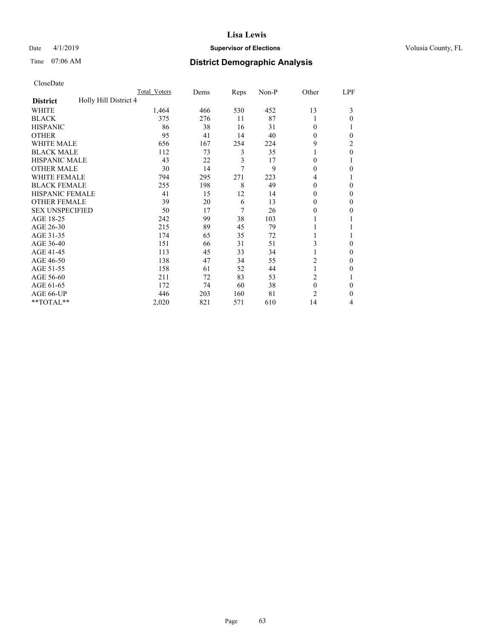## Date 4/1/2019 **Supervisor of Elections Supervisor of Elections** Volusia County, FL

## Time 07:06 AM **District Demographic Analysis**

|                                          | Total Voters | Dems | Reps | Non-P | Other          | LPF |
|------------------------------------------|--------------|------|------|-------|----------------|-----|
| Holly Hill District 4<br><b>District</b> |              |      |      |       |                |     |
| WHITE                                    | 1,464        | 466  | 530  | 452   | 13             | 3   |
| <b>BLACK</b>                             | 375          | 276  | 11   | 87    |                | 0   |
| <b>HISPANIC</b>                          | 86           | 38   | 16   | 31    | $\Omega$       |     |
| <b>OTHER</b>                             | 95           | 41   | 14   | 40    | 0              | 0   |
| WHITE MALE                               | 656          | 167  | 254  | 224   | 9              | 2   |
| <b>BLACK MALE</b>                        | 112          | 73   | 3    | 35    |                | 0   |
| <b>HISPANIC MALE</b>                     | 43           | 22   | 3    | 17    | 0              |     |
| <b>OTHER MALE</b>                        | 30           | 14   | 7    | 9     | $\theta$       | 0   |
| <b>WHITE FEMALE</b>                      | 794          | 295  | 271  | 223   | 4              |     |
| <b>BLACK FEMALE</b>                      | 255          | 198  | 8    | 49    | $\theta$       | 0   |
| <b>HISPANIC FEMALE</b>                   | 41           | 15   | 12   | 14    | 0              | 0   |
| <b>OTHER FEMALE</b>                      | 39           | 20   | 6    | 13    | $\Omega$       | 0   |
| <b>SEX UNSPECIFIED</b>                   | 50           | 17   | 7    | 26    | 0              | 0   |
| AGE 18-25                                | 242          | 99   | 38   | 103   |                |     |
| AGE 26-30                                | 215          | 89   | 45   | 79    |                |     |
| AGE 31-35                                | 174          | 65   | 35   | 72    |                |     |
| AGE 36-40                                | 151          | 66   | 31   | 51    | 3              | 0   |
| AGE 41-45                                | 113          | 45   | 33   | 34    |                | 0   |
| AGE 46-50                                | 138          | 47   | 34   | 55    | 2              | 0   |
| AGE 51-55                                | 158          | 61   | 52   | 44    |                | 0   |
| AGE 56-60                                | 211          | 72   | 83   | 53    | 2              |     |
| AGE 61-65                                | 172          | 74   | 60   | 38    | $\mathbf{0}$   | 0   |
| AGE 66-UP                                | 446          | 203  | 160  | 81    | $\overline{c}$ | 0   |
| **TOTAL**                                | 2,020        | 821  | 571  | 610   | 14             | 4   |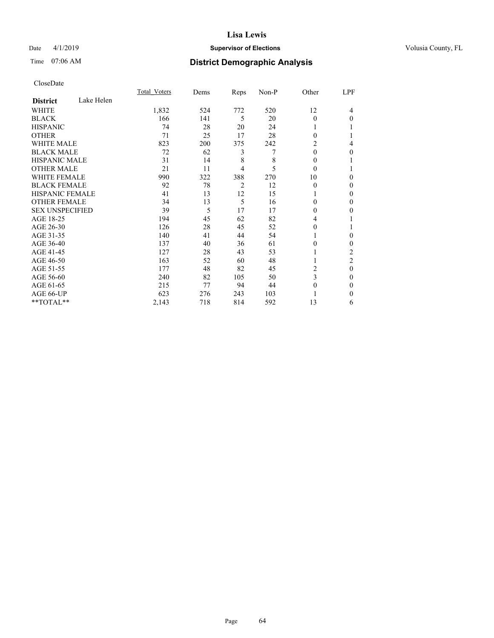## Date 4/1/2019 **Supervisor of Elections Supervisor of Elections** Volusia County, FL

## Time 07:06 AM **District Demographic Analysis**

|                        |            | Total Voters | Dems | Reps | Non-P | Other    | LPF            |
|------------------------|------------|--------------|------|------|-------|----------|----------------|
| <b>District</b>        | Lake Helen |              |      |      |       |          |                |
| WHITE                  |            | 1,832        | 524  | 772  | 520   | 12       | 4              |
| <b>BLACK</b>           |            | 166          | 141  | 5    | 20    | $\theta$ | $\Omega$       |
| <b>HISPANIC</b>        |            | 74           | 28   | 20   | 24    |          |                |
| <b>OTHER</b>           |            | 71           | 25   | 17   | 28    | $\Omega$ |                |
| WHITE MALE             |            | 823          | 200  | 375  | 242   | 2        | 4              |
| <b>BLACK MALE</b>      |            | 72           | 62   | 3    | 7     | $\theta$ | 0              |
| <b>HISPANIC MALE</b>   |            | 31           | 14   | 8    | 8     | $\Omega$ |                |
| <b>OTHER MALE</b>      |            | 21           | 11   | 4    | 5     | $\theta$ |                |
| <b>WHITE FEMALE</b>    |            | 990          | 322  | 388  | 270   | 10       | 0              |
| <b>BLACK FEMALE</b>    |            | 92           | 78   | 2    | 12    | $\theta$ | 0              |
| <b>HISPANIC FEMALE</b> |            | 41           | 13   | 12   | 15    |          | 0              |
| <b>OTHER FEMALE</b>    |            | 34           | 13   | 5    | 16    | 0        | 0              |
| <b>SEX UNSPECIFIED</b> |            | 39           | 5    | 17   | 17    | $\Omega$ | 0              |
| AGE 18-25              |            | 194          | 45   | 62   | 82    | 4        |                |
| AGE 26-30              |            | 126          | 28   | 45   | 52    | 0        |                |
| AGE 31-35              |            | 140          | 41   | 44   | 54    |          | 0              |
| AGE 36-40              |            | 137          | 40   | 36   | 61    | $\Omega$ | 0              |
| AGE 41-45              |            | 127          | 28   | 43   | 53    |          | 2              |
| AGE 46-50              |            | 163          | 52   | 60   | 48    |          | $\overline{c}$ |
| AGE 51-55              |            | 177          | 48   | 82   | 45    | 2        | $\theta$       |
| AGE 56-60              |            | 240          | 82   | 105  | 50    | 3        | $\Omega$       |
| AGE 61-65              |            | 215          | 77   | 94   | 44    | $\theta$ | $\mathbf{0}$   |
| AGE 66-UP              |            | 623          | 276  | 243  | 103   |          | 0              |
| **TOTAL**              |            | 2,143        | 718  | 814  | 592   | 13       | 6              |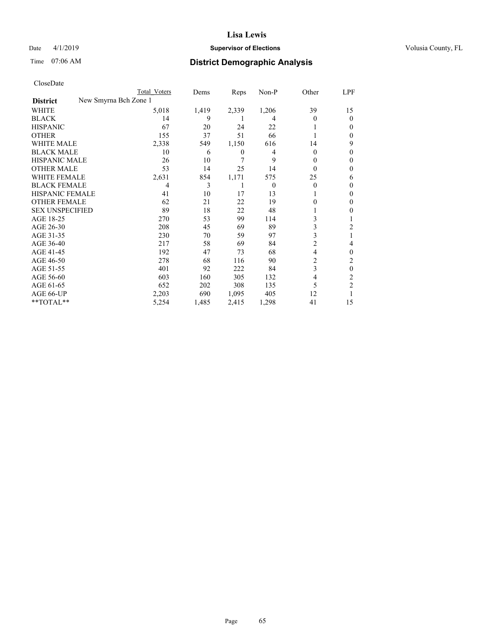## Date 4/1/2019 **Supervisor of Elections Supervisor of Elections** Volusia County, FL

| CloseDate |
|-----------|
|-----------|

|                                          | Total Voters | Dems  | Reps  | Non-P    | Other    | LPF            |
|------------------------------------------|--------------|-------|-------|----------|----------|----------------|
| New Smyrna Bch Zone 1<br><b>District</b> |              |       |       |          |          |                |
| WHITE                                    | 5,018        | 1,419 | 2,339 | 1,206    | 39       | 15             |
| BLACK                                    | 14           | 9     |       | 4        | 0        | 0              |
| HISPANIC                                 | 67           | 20    | 24    | 22       |          | $_{0}$         |
| OTHER                                    | 155          | 37    | 51    | 66       |          | 0              |
| WHITE MALE                               | 2,338        | 549   | 1,150 | 616      | 14       | 9              |
| BLACK MALE                               | 10           | 6     | 0     | 4        | $\theta$ | $_{0}$         |
| HISPANIC MALE                            | 26           | 10    | 7     | 9        | 0        | 0              |
| OTHER MALE                               | 53           | 14    | 25    | 14       | 0        | 0              |
| WHITE FEMALE                             | 2,631        | 854   | 1,171 | 575      | 25       | 6              |
| BLACK FEMALE                             | 4            | 3     | 1     | $\Omega$ | $\theta$ | $_{0}$         |
| HISPANIC FEMALE                          | 41           | 10    | 17    | 13       |          | $_{0}$         |
| OTHER FEMALE                             | 62           | 21    | 22    | 19       | 0        | 0              |
| <b>SEX UNSPECIFIED</b>                   | 89           | 18    | 22    | 48       |          | 0              |
| AGE 18-25                                | 270          | 53    | 99    | 114      | 3        |                |
| AGE 26-30                                | 208          | 45    | 69    | 89       | 3        | 2              |
| AGE 31-35                                | 230          | 70    | 59    | 97       | 3        |                |
| AGE 36-40                                | 217          | 58    | 69    | 84       | 2        | 4              |
| AGE 41-45                                | 192          | 47    | 73    | 68       | 4        | 0              |
| AGE 46-50                                | 278          | 68    | 116   | 90       | 2        |                |
| AGE 51-55                                | 401          | 92    | 222   | 84       | 3        | 0              |
| AGE 56-60                                | 603          | 160   | 305   | 132      | 4        | 2              |
| AGE 61-65                                | 652          | 202   | 308   | 135      | 5        | $\overline{2}$ |
| AGE 66-UP                                | 2,203        | 690   | 1,095 | 405      | 12       |                |
| $*$ $TOTAL**$                            | 5,254        | 1,485 | 2,415 | 1,298    | 41       | 15             |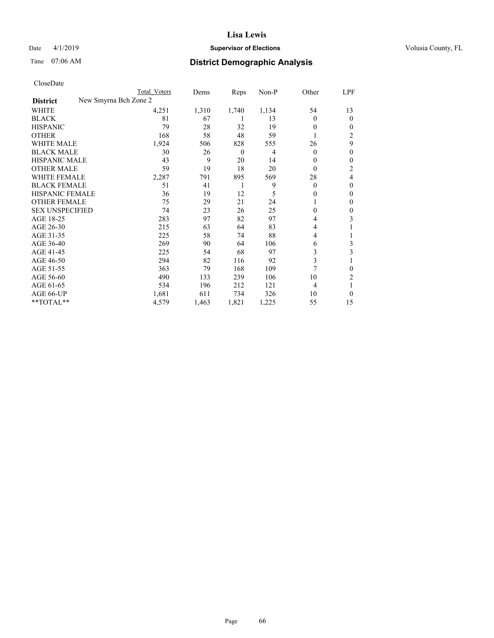## Date 4/1/2019 **Supervisor of Elections Supervisor of Elections** Volusia County, FL

|                                          | Total Voters | Dems  | Reps     | Non-P | Other          | LPF            |
|------------------------------------------|--------------|-------|----------|-------|----------------|----------------|
| New Smyrna Bch Zone 2<br><b>District</b> |              |       |          |       |                |                |
| WHITE                                    | 4,251        | 1,310 | 1,740    | 1,134 | 54             | 13             |
| <b>BLACK</b>                             | 81           | 67    | 1        | 13    | $\Omega$       | 0              |
| <b>HISPANIC</b>                          | 79           | 28    | 32       | 19    | $\Omega$       | 0              |
| <b>OTHER</b>                             | 168          | 58    | 48       | 59    |                | 2              |
| <b>WHITE MALE</b>                        | 1,924        | 506   | 828      | 555   | 26             | 9              |
| <b>BLACK MALE</b>                        | 30           | 26    | $\theta$ | 4     | $\overline{0}$ | 0              |
| <b>HISPANIC MALE</b>                     | 43           | 9     | 20       | 14    | $\theta$       | 0              |
| <b>OTHER MALE</b>                        | 59           | 19    | 18       | 20    | $\theta$       | 2              |
| <b>WHITE FEMALE</b>                      | 2,287        | 791   | 895      | 569   | 28             | 4              |
| <b>BLACK FEMALE</b>                      | 51           | 41    | 1        | 9     | $\theta$       | 0              |
| <b>HISPANIC FEMALE</b>                   | 36           | 19    | 12       | 5     | $\Omega$       | 0              |
| <b>OTHER FEMALE</b>                      | 75           | 29    | 21       | 24    | L              | 0              |
| <b>SEX UNSPECIFIED</b>                   | 74           | 23    | 26       | 25    | $\theta$       | 0              |
| AGE 18-25                                | 283          | 97    | 82       | 97    | 4              | 3              |
| AGE 26-30                                | 215          | 63    | 64       | 83    | 4              |                |
| AGE 31-35                                | 225          | 58    | 74       | 88    | 4              |                |
| AGE 36-40                                | 269          | 90    | 64       | 106   | 6              | 3              |
| AGE 41-45                                | 225          | 54    | 68       | 97    | 3              | 3              |
| AGE 46-50                                | 294          | 82    | 116      | 92    | 3              |                |
| AGE 51-55                                | 363          | 79    | 168      | 109   | 7              | 0              |
| AGE 56-60                                | 490          | 133   | 239      | 106   | 10             | $\overline{c}$ |
| AGE 61-65                                | 534          | 196   | 212      | 121   | $\overline{4}$ |                |
| AGE 66-UP                                | 1,681        | 611   | 734      | 326   | 10             | 0              |
| **TOTAL**                                | 4,579        | 1,463 | 1,821    | 1,225 | 55             | 15             |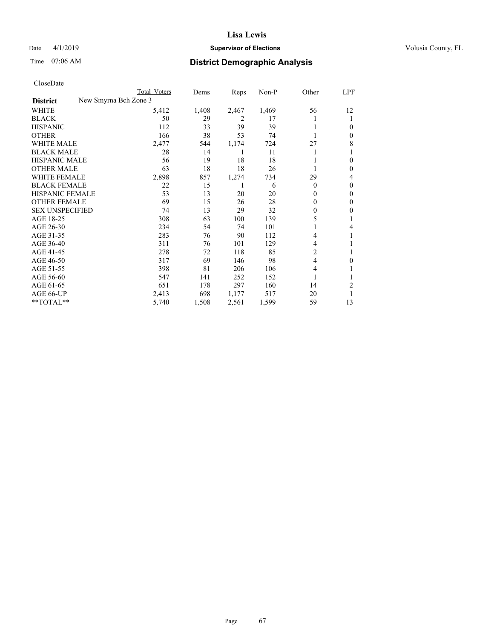## Date 4/1/2019 **Supervisor of Elections Supervisor of Elections** Volusia County, FL

|                        | Total Voters          | Dems  | Reps  | Non-P | Other    | LPF    |
|------------------------|-----------------------|-------|-------|-------|----------|--------|
| <b>District</b>        | New Smyrna Bch Zone 3 |       |       |       |          |        |
| WHITE                  | 5,412                 | 1,408 | 2,467 | 1,469 | 56       | 12     |
| BLACK                  | 50                    | 29    | 2     | 17    |          |        |
| HISPANIC               | 112                   | 33    | 39    | 39    |          | $_{0}$ |
| OTHER                  | 166                   | 38    | 53    | 74    |          | 0      |
| WHITE MALE             | 2,477                 | 544   | 1,174 | 724   | 27       | 8      |
| BLACK MALE             | 28                    | 14    | 1     | 11    |          |        |
| HISPANIC MALE          | 56                    | 19    | 18    | 18    |          | $_{0}$ |
| OTHER MALE             | 63                    | 18    | 18    | 26    |          | 0      |
| WHITE FEMALE           | 2,898                 | 857   | 1,274 | 734   | 29       | 4      |
| BLACK FEMALE           | 22                    | 15    |       | 6     | $\theta$ | 0      |
| HISPANIC FEMALE        | 53                    | 13    | 20    | 20    | 0        | 0      |
| OTHER FEMALE           | 69                    | 15    | 26    | 28    | 0        | 0      |
| <b>SEX UNSPECIFIED</b> | 74                    | 13    | 29    | 32    | 0        | 0      |
| AGE 18-25              | 308                   | 63    | 100   | 139   | 5        |        |
| AGE 26-30              | 234                   | 54    | 74    | 101   |          | 4      |
| AGE 31-35              | 283                   | 76    | 90    | 112   | 4        |        |
| AGE 36-40              | 311                   | 76    | 101   | 129   | 4        |        |
| AGE 41-45              | 278                   | 72    | 118   | 85    | 2        |        |
| AGE 46-50              | 317                   | 69    | 146   | 98    | 4        | 0      |
| AGE 51-55              | 398                   | 81    | 206   | 106   | 4        |        |
| AGE 56-60              | 547                   | 141   | 252   | 152   |          |        |
| AGE 61-65              | 651                   | 178   | 297   | 160   | 14       | 2      |
| AGE 66-UP              | 2,413                 | 698   | 1,177 | 517   | 20       |        |
| **TOTAL**              | 5,740                 | 1,508 | 2,561 | 1,599 | 59       | 13     |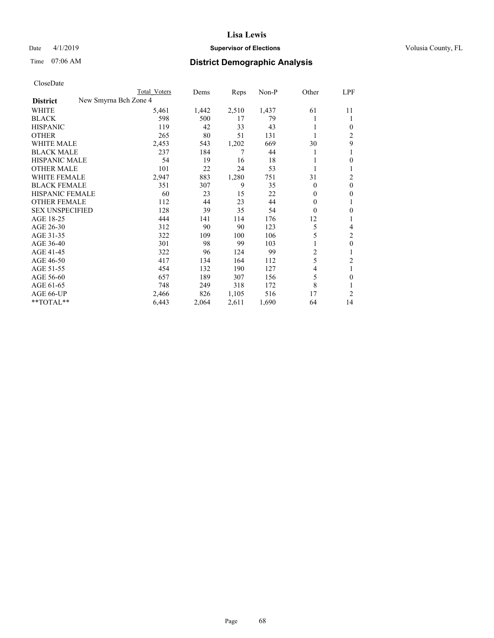## Date 4/1/2019 **Supervisor of Elections Supervisor of Elections** Volusia County, FL

|                        |                       | <b>Total Voters</b> | Dems  | Reps  | $Non-P$ | Other        | LPF            |
|------------------------|-----------------------|---------------------|-------|-------|---------|--------------|----------------|
| <b>District</b>        | New Smyrna Bch Zone 4 |                     |       |       |         |              |                |
| WHITE                  |                       | 5,461               | 1,442 | 2,510 | 1,437   | 61           | 11             |
| <b>BLACK</b>           |                       | 598                 | 500   | 17    | 79      |              | 1              |
| <b>HISPANIC</b>        |                       | 119                 | 42    | 33    | 43      |              | $\mathbf{0}$   |
| <b>OTHER</b>           |                       | 265                 | 80    | 51    | 131     |              | $\overline{c}$ |
| <b>WHITE MALE</b>      |                       | 2,453               | 543   | 1,202 | 669     | 30           | 9              |
| <b>BLACK MALE</b>      |                       | 237                 | 184   | 7     | 44      | 1            |                |
| <b>HISPANIC MALE</b>   |                       | 54                  | 19    | 16    | 18      |              | $\theta$       |
| <b>OTHER MALE</b>      |                       | 101                 | 22    | 24    | 53      |              | 1              |
| <b>WHITE FEMALE</b>    |                       | 2,947               | 883   | 1,280 | 751     | 31           | 2              |
| <b>BLACK FEMALE</b>    |                       | 351                 | 307   | 9     | 35      | 0            | $\mathbf{0}$   |
| HISPANIC FEMALE        |                       | 60                  | 23    | 15    | 22      | $\Omega$     | $\mathbf{0}$   |
| <b>OTHER FEMALE</b>    |                       | 112                 | 44    | 23    | 44      | $\mathbf{0}$ | 1              |
| <b>SEX UNSPECIFIED</b> |                       | 128                 | 39    | 35    | 54      | 0            | $\theta$       |
| AGE 18-25              |                       | 444                 | 141   | 114   | 176     | 12           | 1              |
| AGE 26-30              |                       | 312                 | 90    | 90    | 123     | 5            | 4              |
| AGE 31-35              |                       | 322                 | 109   | 100   | 106     | 5            | $\overline{c}$ |
| AGE 36-40              |                       | 301                 | 98    | 99    | 103     |              | $\mathbf{0}$   |
| AGE 41-45              |                       | 322                 | 96    | 124   | 99      | 2            | 1              |
| AGE 46-50              |                       | 417                 | 134   | 164   | 112     | 5            | $\overline{c}$ |
| AGE 51-55              |                       | 454                 | 132   | 190   | 127     | 4            | 1              |
| AGE 56-60              |                       | 657                 | 189   | 307   | 156     | 5            | $\theta$       |
| AGE 61-65              |                       | 748                 | 249   | 318   | 172     | 8            |                |
| AGE 66-UP              |                       | 2,466               | 826   | 1,105 | 516     | 17           | 2              |
| **TOTAL**              |                       | 6,443               | 2,064 | 2,611 | 1,690   | 64           | 14             |
|                        |                       |                     |       |       |         |              |                |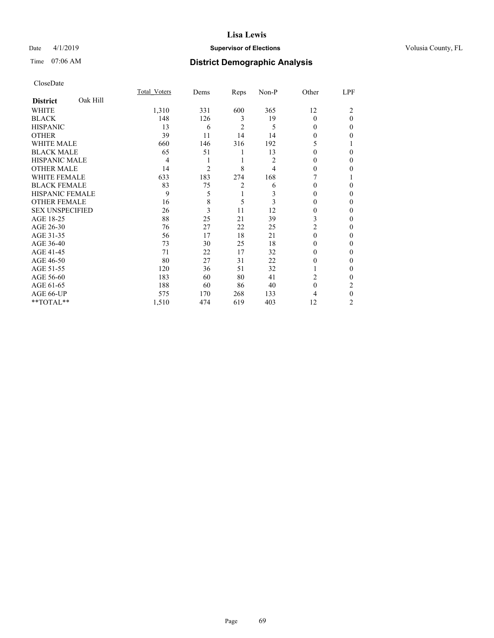## Date 4/1/2019 **Supervisor of Elections Supervisor of Elections** Volusia County, FL

## Time 07:06 AM **District Demographic Analysis**

|                        |          | Total Voters | Dems           | Reps           | Non-P | Other          | LPF      |
|------------------------|----------|--------------|----------------|----------------|-------|----------------|----------|
| <b>District</b>        | Oak Hill |              |                |                |       |                |          |
| WHITE                  |          | 1,310        | 331            | 600            | 365   | 12             | 2        |
| <b>BLACK</b>           |          | 148          | 126            | 3              | 19    | $\Omega$       | $\theta$ |
| <b>HISPANIC</b>        |          | 13           | 6              | $\overline{c}$ | 5     | $\Omega$       | $\Omega$ |
| <b>OTHER</b>           |          | 39           | 11             | 14             | 14    | 0              | 0        |
| WHITE MALE             |          | 660          | 146            | 316            | 192   | 5              |          |
| <b>BLACK MALE</b>      |          | 65           | 51             | 1              | 13    | $\Omega$       | $\Omega$ |
| <b>HISPANIC MALE</b>   |          | 4            | 1              | 1              | 2     | 0              | 0        |
| <b>OTHER MALE</b>      |          | 14           | $\overline{2}$ | 8              | 4     | $\Omega$       | 0        |
| WHITE FEMALE           |          | 633          | 183            | 274            | 168   |                |          |
| <b>BLACK FEMALE</b>    |          | 83           | 75             | 2              | 6     | $\Omega$       | 0        |
| <b>HISPANIC FEMALE</b> |          | 9            | 5              | 1              | 3     | $\theta$       | 0        |
| <b>OTHER FEMALE</b>    |          | 16           | 8              | 5              | 3     | $\Omega$       | 0        |
| <b>SEX UNSPECIFIED</b> |          | 26           | 3              | 11             | 12    | $\Omega$       | $\Omega$ |
| AGE 18-25              |          | 88           | 25             | 21             | 39    | 3              | 0        |
| AGE 26-30              |          | 76           | 27             | 22             | 25    | $\overline{c}$ | 0        |
| AGE 31-35              |          | 56           | 17             | 18             | 21    | $\theta$       | 0        |
| AGE 36-40              |          | 73           | 30             | 25             | 18    | $\Omega$       | 0        |
| AGE 41-45              |          | 71           | 22             | 17             | 32    | $\theta$       | 0        |
| AGE 46-50              |          | 80           | 27             | 31             | 22    | $\theta$       | 0        |
| AGE 51-55              |          | 120          | 36             | 51             | 32    | 1              | $\Omega$ |
| AGE 56-60              |          | 183          | 60             | 80             | 41    | $\overline{c}$ | 0        |
| AGE 61-65              |          | 188          | 60             | 86             | 40    | $\theta$       | 2        |
| AGE 66-UP              |          | 575          | 170            | 268            | 133   | 4              | $\theta$ |
| **TOTAL**              |          | 1,510        | 474            | 619            | 403   | 12             | 2        |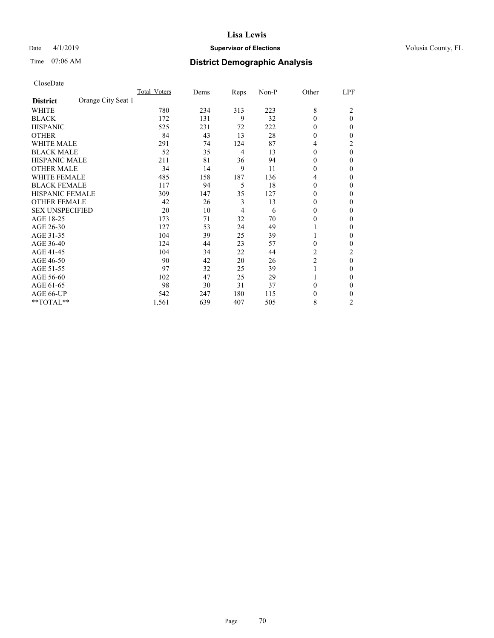## Date 4/1/2019 **Supervisor of Elections Supervisor of Elections** Volusia County, FL

## Time 07:06 AM **District Demographic Analysis**

|                        |                    | Total Voters | Dems | Reps | Non-P | Other          | LPF            |
|------------------------|--------------------|--------------|------|------|-------|----------------|----------------|
| <b>District</b>        | Orange City Seat 1 |              |      |      |       |                |                |
| WHITE                  |                    | 780          | 234  | 313  | 223   | 8              | 2              |
| <b>BLACK</b>           |                    | 172          | 131  | 9    | 32    | $\theta$       | $\theta$       |
| <b>HISPANIC</b>        |                    | 525          | 231  | 72   | 222   | $\theta$       | 0              |
| <b>OTHER</b>           |                    | 84           | 43   | 13   | 28    | $\theta$       | 0              |
| <b>WHITE MALE</b>      |                    | 291          | 74   | 124  | 87    | 4              | 2              |
| <b>BLACK MALE</b>      |                    | 52           | 35   | 4    | 13    | $\theta$       | $\theta$       |
| <b>HISPANIC MALE</b>   |                    | 211          | 81   | 36   | 94    | $\theta$       | 0              |
| <b>OTHER MALE</b>      |                    | 34           | 14   | 9    | 11    | $\theta$       | $\mathbf{0}$   |
| <b>WHITE FEMALE</b>    |                    | 485          | 158  | 187  | 136   | 4              | 0              |
| <b>BLACK FEMALE</b>    |                    | 117          | 94   | 5    | 18    | $\theta$       | 0              |
| <b>HISPANIC FEMALE</b> |                    | 309          | 147  | 35   | 127   | $\theta$       | 0              |
| <b>OTHER FEMALE</b>    |                    | 42           | 26   | 3    | 13    | $\theta$       | 0              |
| <b>SEX UNSPECIFIED</b> |                    | 20           | 10   | 4    | 6     | $\theta$       | 0              |
| AGE 18-25              |                    | 173          | 71   | 32   | 70    | $\theta$       | 0              |
| AGE 26-30              |                    | 127          | 53   | 24   | 49    | 1              | $\mathbf{0}$   |
| AGE 31-35              |                    | 104          | 39   | 25   | 39    | 1              | 0              |
| AGE 36-40              |                    | 124          | 44   | 23   | 57    | $\theta$       | 0              |
| AGE 41-45              |                    | 104          | 34   | 22   | 44    | 2              | 2              |
| AGE 46-50              |                    | 90           | 42   | 20   | 26    | $\overline{c}$ | $\theta$       |
| AGE 51-55              |                    | 97           | 32   | 25   | 39    | 1              | 0              |
| AGE 56-60              |                    | 102          | 47   | 25   | 29    |                | 0              |
| AGE 61-65              |                    | 98           | 30   | 31   | 37    | $\theta$       | 0              |
| AGE 66-UP              |                    | 542          | 247  | 180  | 115   | $\theta$       | 0              |
| **TOTAL**              |                    | 1,561        | 639  | 407  | 505   | 8              | $\overline{c}$ |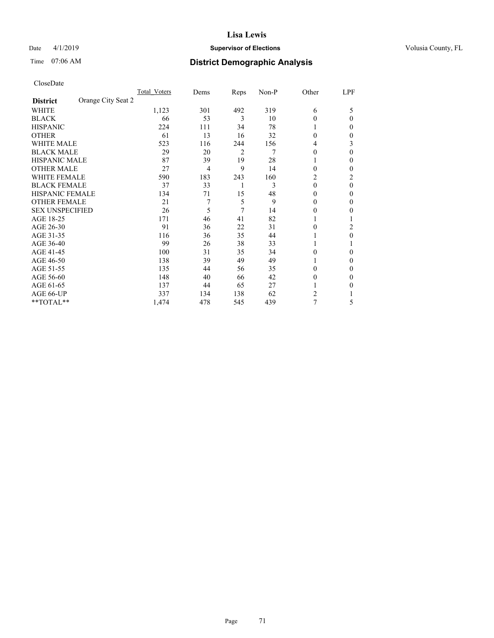## Date 4/1/2019 **Supervisor of Elections Supervisor of Elections** Volusia County, FL

## Time 07:06 AM **District Demographic Analysis**

|                                       | Total Voters | Dems           | Reps           | Non-P | Other    | LPF            |
|---------------------------------------|--------------|----------------|----------------|-------|----------|----------------|
| Orange City Seat 2<br><b>District</b> |              |                |                |       |          |                |
| WHITE                                 | 1,123        | 301            | 492            | 319   | 6        | 5              |
| <b>BLACK</b>                          | 66           | 53             | 3              | 10    | $\theta$ | $\Omega$       |
| <b>HISPANIC</b>                       | 224          | 111            | 34             | 78    | 1        | 0              |
| <b>OTHER</b>                          | 61           | 13             | 16             | 32    | $\theta$ | 0              |
| WHITE MALE                            | 523          | 116            | 244            | 156   | 4        | 3              |
| <b>BLACK MALE</b>                     | 29           | 20             | $\overline{2}$ | 7     | $\theta$ | $\Omega$       |
| <b>HISPANIC MALE</b>                  | 87           | 39             | 19             | 28    | 1        | 0              |
| <b>OTHER MALE</b>                     | 27           | $\overline{4}$ | 9              | 14    | $\theta$ | 0              |
| <b>WHITE FEMALE</b>                   | 590          | 183            | 243            | 160   | 2        | $\overline{c}$ |
| <b>BLACK FEMALE</b>                   | 37           | 33             | 1              | 3     | $\theta$ | $\theta$       |
| <b>HISPANIC FEMALE</b>                | 134          | 71             | 15             | 48    | $\Omega$ | 0              |
| <b>OTHER FEMALE</b>                   | 21           | 7              | 5              | 9     | $\theta$ | 0              |
| <b>SEX UNSPECIFIED</b>                | 26           | 5              | 7              | 14    | $\Omega$ | 0              |
| AGE 18-25                             | 171          | 46             | 41             | 82    |          |                |
| AGE 26-30                             | 91           | 36             | 22             | 31    | $\theta$ | 2              |
| AGE 31-35                             | 116          | 36             | 35             | 44    |          | 0              |
| AGE 36-40                             | 99           | 26             | 38             | 33    | 1        |                |
| AGE 41-45                             | 100          | 31             | 35             | 34    | 0        | 0              |
| AGE 46-50                             | 138          | 39             | 49             | 49    | 1        | 0              |
| AGE 51-55                             | 135          | 44             | 56             | 35    | 0        | 0              |
| AGE 56-60                             | 148          | 40             | 66             | 42    | $\theta$ | 0              |
| AGE 61-65                             | 137          | 44             | 65             | 27    |          | 0              |
| AGE 66-UP                             | 337          | 134            | 138            | 62    | 2        |                |
| **TOTAL**                             | 1,474        | 478            | 545            | 439   | 7        | 5              |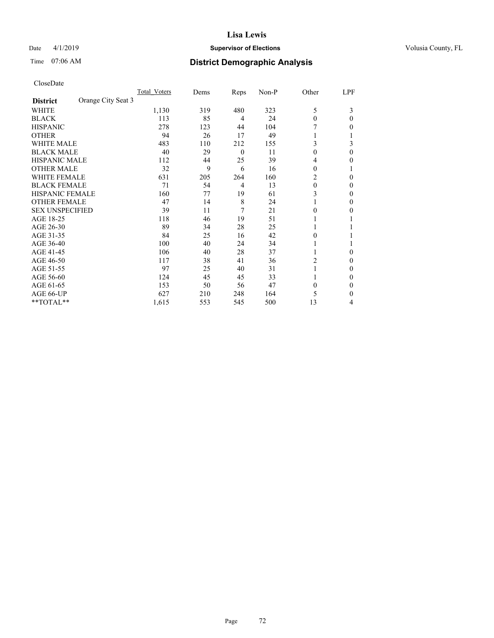## Date 4/1/2019 **Supervisor of Elections Supervisor of Elections** Volusia County, FL

## Time 07:06 AM **District Demographic Analysis**

|                        |                    | Total Voters | Dems | Reps           | Non-P | Other    | LPF      |
|------------------------|--------------------|--------------|------|----------------|-------|----------|----------|
| <b>District</b>        | Orange City Seat 3 |              |      |                |       |          |          |
| WHITE                  |                    | 1,130        | 319  | 480            | 323   | 5        | 3        |
| <b>BLACK</b>           |                    | 113          | 85   | 4              | 24    | $\theta$ | 0        |
| <b>HISPANIC</b>        |                    | 278          | 123  | 44             | 104   |          | 0        |
| <b>OTHER</b>           |                    | 94           | 26   | 17             | 49    |          |          |
| <b>WHITE MALE</b>      |                    | 483          | 110  | 212            | 155   | 3        | 3        |
| <b>BLACK MALE</b>      |                    | 40           | 29   | $\overline{0}$ | 11    | $\theta$ | $\Omega$ |
| HISPANIC MALE          |                    | 112          | 44   | 25             | 39    | 4        | 0        |
| <b>OTHER MALE</b>      |                    | 32           | 9    | 6              | 16    | $\theta$ | 1        |
| <b>WHITE FEMALE</b>    |                    | 631          | 205  | 264            | 160   | 2        | 0        |
| <b>BLACK FEMALE</b>    |                    | 71           | 54   | 4              | 13    | $\theta$ | 0        |
| <b>HISPANIC FEMALE</b> |                    | 160          | 77   | 19             | 61    | 3        | 0        |
| <b>OTHER FEMALE</b>    |                    | 47           | 14   | 8              | 24    | 1        | 0        |
| <b>SEX UNSPECIFIED</b> |                    | 39           | 11   | 7              | 21    | $\Omega$ | 0        |
| AGE 18-25              |                    | 118          | 46   | 19             | 51    |          |          |
| AGE 26-30              |                    | 89           | 34   | 28             | 25    | 1        |          |
| AGE 31-35              |                    | 84           | 25   | 16             | 42    | 0        |          |
| AGE 36-40              |                    | 100          | 40   | 24             | 34    | 1        |          |
| AGE 41-45              |                    | 106          | 40   | 28             | 37    |          | 0        |
| AGE 46-50              |                    | 117          | 38   | 41             | 36    | 2        | 0        |
| AGE 51-55              |                    | 97           | 25   | 40             | 31    |          | 0        |
| AGE 56-60              |                    | 124          | 45   | 45             | 33    |          | 0        |
| AGE 61-65              |                    | 153          | 50   | 56             | 47    | $\theta$ | 0        |
| AGE 66-UP              |                    | 627          | 210  | 248            | 164   | 5        | 0        |
| **TOTAL**              |                    | 1,615        | 553  | 545            | 500   | 13       | 4        |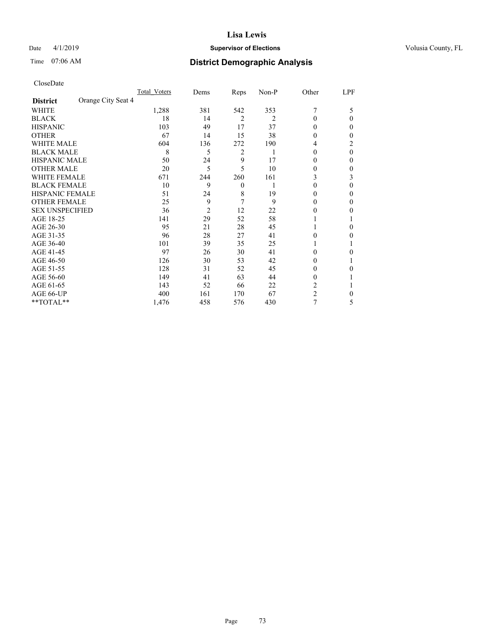## Date 4/1/2019 **Supervisor of Elections Supervisor of Elections** Volusia County, FL

# Time 07:06 AM **District Demographic Analysis**

|                        |                    | Total Voters | Dems           | Reps           | Non-P          | Other          | LPF      |
|------------------------|--------------------|--------------|----------------|----------------|----------------|----------------|----------|
| <b>District</b>        | Orange City Seat 4 |              |                |                |                |                |          |
| WHITE                  |                    | 1,288        | 381            | 542            | 353            | 7              | 5        |
| <b>BLACK</b>           |                    | 18           | 14             | $\overline{2}$ | $\overline{2}$ | $\theta$       | $\Omega$ |
| <b>HISPANIC</b>        |                    | 103          | 49             | 17             | 37             | $\Omega$       | 0        |
| <b>OTHER</b>           |                    | 67           | 14             | 15             | 38             | $\theta$       | 0        |
| WHITE MALE             |                    | 604          | 136            | 272            | 190            | 4              | 2        |
| <b>BLACK MALE</b>      |                    | 8            | 5              | 2              | 1              | $\theta$       | $\theta$ |
| <b>HISPANIC MALE</b>   |                    | 50           | 24             | 9              | 17             | 0              | 0        |
| <b>OTHER MALE</b>      |                    | 20           | 5              | 5              | 10             | 0              | 0        |
| <b>WHITE FEMALE</b>    |                    | 671          | 244            | 260            | 161            | 3              | 3        |
| <b>BLACK FEMALE</b>    |                    | 10           | 9              | $\mathbf{0}$   |                | $\theta$       | 0        |
| <b>HISPANIC FEMALE</b> |                    | 51           | 24             | 8              | 19             | 0              | 0        |
| <b>OTHER FEMALE</b>    |                    | 25           | 9              | 7              | 9              | $\Omega$       | 0        |
| <b>SEX UNSPECIFIED</b> |                    | 36           | $\overline{2}$ | 12             | 22             | 0              | 0        |
| AGE 18-25              |                    | 141          | 29             | 52             | 58             |                |          |
| AGE 26-30              |                    | 95           | 21             | 28             | 45             | 1              | 0        |
| AGE 31-35              |                    | 96           | 28             | 27             | 41             | 0              | 0        |
| AGE 36-40              |                    | 101          | 39             | 35             | 25             | 1              |          |
| AGE 41-45              |                    | 97           | 26             | 30             | 41             | 0              | 0        |
| AGE 46-50              |                    | 126          | 30             | 53             | 42             | $\Omega$       |          |
| AGE 51-55              |                    | 128          | 31             | 52             | 45             | 0              | 0        |
| AGE 56-60              |                    | 149          | 41             | 63             | 44             | $\theta$       |          |
| AGE 61-65              |                    | 143          | 52             | 66             | 22             | 2              |          |
| AGE 66-UP              |                    | 400          | 161            | 170            | 67             | $\overline{c}$ | 0        |
| **TOTAL**              |                    | 1,476        | 458            | 576            | 430            | 7              | 5        |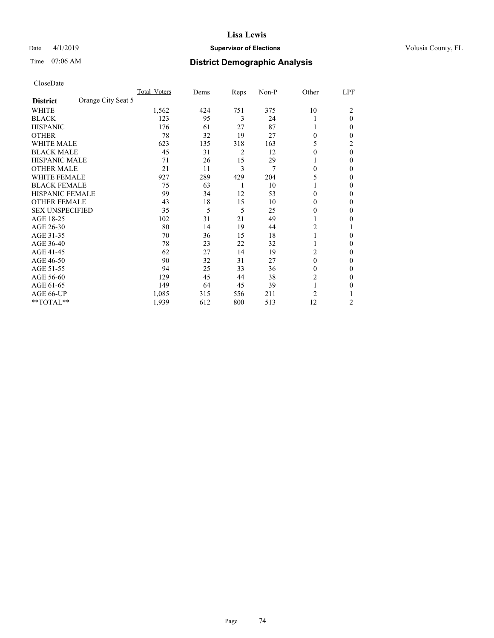## Date 4/1/2019 **Supervisor of Elections Supervisor of Elections** Volusia County, FL

# Time 07:06 AM **District Demographic Analysis**

|                        |                    | Total Voters | Dems | Reps | Non-P | Other    | LPF      |
|------------------------|--------------------|--------------|------|------|-------|----------|----------|
| <b>District</b>        | Orange City Seat 5 |              |      |      |       |          |          |
| WHITE                  |                    | 1,562        | 424  | 751  | 375   | 10       | 2        |
| <b>BLACK</b>           |                    | 123          | 95   | 3    | 24    |          | $\theta$ |
| <b>HISPANIC</b>        |                    | 176          | 61   | 27   | 87    | 1        | 0        |
| <b>OTHER</b>           |                    | 78           | 32   | 19   | 27    | 0        | 0        |
| WHITE MALE             |                    | 623          | 135  | 318  | 163   | 5        | 2        |
| <b>BLACK MALE</b>      |                    | 45           | 31   | 2    | 12    | 0        | $\theta$ |
| <b>HISPANIC MALE</b>   |                    | 71           | 26   | 15   | 29    |          | 0        |
| <b>OTHER MALE</b>      |                    | 21           | 11   | 3    | 7     | 0        | 0        |
| WHITE FEMALE           |                    | 927          | 289  | 429  | 204   | 5        | 0        |
| <b>BLACK FEMALE</b>    |                    | 75           | 63   | 1    | 10    |          | 0        |
| <b>HISPANIC FEMALE</b> |                    | 99           | 34   | 12   | 53    | 0        | 0        |
| <b>OTHER FEMALE</b>    |                    | 43           | 18   | 15   | 10    | 0        | 0        |
| <b>SEX UNSPECIFIED</b> |                    | 35           | 5    | 5    | 25    | 0        | 0        |
| AGE 18-25              |                    | 102          | 31   | 21   | 49    |          | 0        |
| AGE 26-30              |                    | 80           | 14   | 19   | 44    | 2        |          |
| AGE 31-35              |                    | 70           | 36   | 15   | 18    |          | 0        |
| AGE 36-40              |                    | 78           | 23   | 22   | 32    | 1        | 0        |
| AGE 41-45              |                    | 62           | 27   | 14   | 19    | 2        | 0        |
| AGE 46-50              |                    | 90           | 32   | 31   | 27    | $\theta$ | 0        |
| AGE 51-55              |                    | 94           | 25   | 33   | 36    | 0        | 0        |
| AGE 56-60              |                    | 129          | 45   | 44   | 38    | 2        | 0        |
| AGE 61-65              |                    | 149          | 64   | 45   | 39    | 1        | 0        |
| AGE 66-UP              |                    | 1,085        | 315  | 556  | 211   | 2        |          |
| **TOTAL**              |                    | 1,939        | 612  | 800  | 513   | 12       | 2        |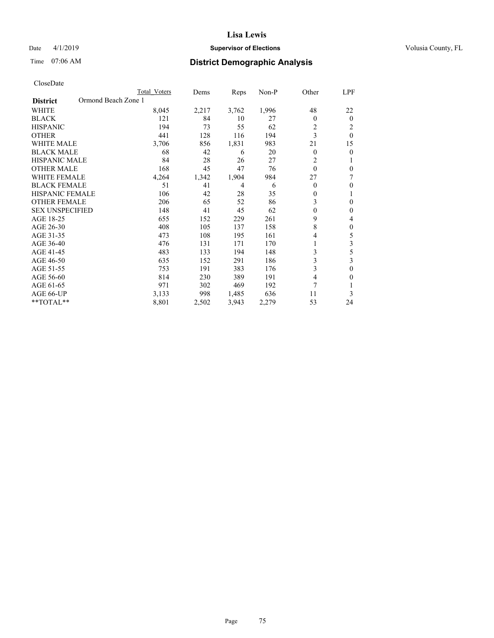## Date 4/1/2019 **Supervisor of Elections Supervisor of Elections** Volusia County, FL

# Time 07:06 AM **District Demographic Analysis**

|                                        | Total Voters | Dems  | Reps           | $Non-P$ | Other        | LPF      |
|----------------------------------------|--------------|-------|----------------|---------|--------------|----------|
| Ormond Beach Zone 1<br><b>District</b> |              |       |                |         |              |          |
| <b>WHITE</b>                           | 8,045        | 2,217 | 3,762          | 1,996   | 48           | 22       |
| <b>BLACK</b>                           | 121          | 84    | 10             | 27      | 0            | $\theta$ |
| <b>HISPANIC</b>                        | 194          | 73    | 55             | 62      | 2            | 2        |
| <b>OTHER</b>                           | 441          | 128   | 116            | 194     | 3            | $\theta$ |
| <b>WHITE MALE</b>                      | 3,706        | 856   | 1,831          | 983     | 21           | 15       |
| <b>BLACK MALE</b>                      | 68           | 42    | 6              | 20      | 0            | $\theta$ |
| HISPANIC MALE                          | 84           | 28    | 26             | 27      | 2            | 1        |
| <b>OTHER MALE</b>                      | 168          | 45    | 47             | 76      | $\theta$     | $\theta$ |
| <b>WHITE FEMALE</b>                    | 4,264        | 1,342 | 1,904          | 984     | 27           | 7        |
| <b>BLACK FEMALE</b>                    | 51           | 41    | $\overline{4}$ | 6       | 0            | $\theta$ |
| <b>HISPANIC FEMALE</b>                 | 106          | 42    | 28             | 35      | $\mathbf{0}$ | 1        |
| <b>OTHER FEMALE</b>                    | 206          | 65    | 52             | 86      | 3            | $\theta$ |
| <b>SEX UNSPECIFIED</b>                 | 148          | 41    | 45             | 62      | $\theta$     | $\theta$ |
| AGE 18-25                              | 655          | 152   | 229            | 261     | 9            | 4        |
| AGE 26-30                              | 408          | 105   | 137            | 158     | 8            | $\theta$ |
| AGE 31-35                              | 473          | 108   | 195            | 161     | 4            | 5        |
| AGE 36-40                              | 476          | 131   | 171            | 170     |              | 3        |
| AGE 41-45                              | 483          | 133   | 194            | 148     | 3            | 5        |
| AGE 46-50                              | 635          | 152   | 291            | 186     | 3            | 3        |
| AGE 51-55                              | 753          | 191   | 383            | 176     | 3            | $\theta$ |
| AGE 56-60                              | 814          | 230   | 389            | 191     | 4            | $\Omega$ |
| AGE 61-65                              | 971          | 302   | 469            | 192     | 7            |          |
| AGE 66-UP                              | 3,133        | 998   | 1,485          | 636     | 11           | 3        |
| $*$ TOTAL $*$                          | 8,801        | 2,502 | 3,943          | 2,279   | 53           | 24       |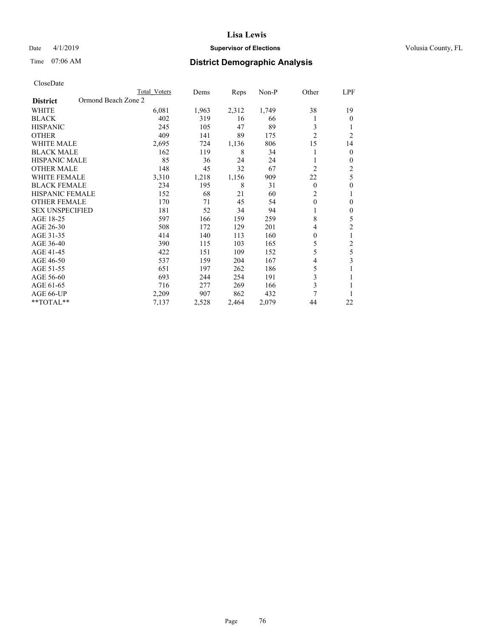## Date 4/1/2019 **Supervisor of Elections Supervisor of Elections** Volusia County, FL

# Time 07:06 AM **District Demographic Analysis**

|                                        | Total Voters | Dems  | Reps  | Non-P | Other          | LPF            |
|----------------------------------------|--------------|-------|-------|-------|----------------|----------------|
| Ormond Beach Zone 2<br><b>District</b> |              |       |       |       |                |                |
| WHITE                                  | 6,081        | 1,963 | 2,312 | 1,749 | 38             | 19             |
| <b>BLACK</b>                           | 402          | 319   | 16    | 66    |                | $\theta$       |
| <b>HISPANIC</b>                        | 245          | 105   | 47    | 89    | 3              | 1              |
| <b>OTHER</b>                           | 409          | 141   | 89    | 175   | $\overline{2}$ | $\overline{2}$ |
| <b>WHITE MALE</b>                      | 2,695        | 724   | 1,136 | 806   | 15             | 14             |
| <b>BLACK MALE</b>                      | 162          | 119   | 8     | 34    |                | $\mathbf{0}$   |
| <b>HISPANIC MALE</b>                   | 85           | 36    | 24    | 24    |                | $\mathbf{0}$   |
| <b>OTHER MALE</b>                      | 148          | 45    | 32    | 67    | $\overline{2}$ | 2              |
| <b>WHITE FEMALE</b>                    | 3,310        | 1,218 | 1,156 | 909   | 22             | 5              |
| <b>BLACK FEMALE</b>                    | 234          | 195   | 8     | 31    | $\theta$       | $\theta$       |
| <b>HISPANIC FEMALE</b>                 | 152          | 68    | 21    | 60    | $\overline{2}$ | 1              |
| <b>OTHER FEMALE</b>                    | 170          | 71    | 45    | 54    | $\theta$       | $\theta$       |
| <b>SEX UNSPECIFIED</b>                 | 181          | 52    | 34    | 94    |                | $\theta$       |
| AGE 18-25                              | 597          | 166   | 159   | 259   | 8              | 5              |
| AGE 26-30                              | 508          | 172   | 129   | 201   | 4              | $\overline{2}$ |
| AGE 31-35                              | 414          | 140   | 113   | 160   | 0              | 1              |
| AGE 36-40                              | 390          | 115   | 103   | 165   | 5              | 2              |
| AGE 41-45                              | 422          | 151   | 109   | 152   | 5              | 5              |
| AGE 46-50                              | 537          | 159   | 204   | 167   | 4              | 3              |
| AGE 51-55                              | 651          | 197   | 262   | 186   | 5              | 1              |
| AGE 56-60                              | 693          | 244   | 254   | 191   | 3              |                |
| AGE 61-65                              | 716          | 277   | 269   | 166   | 3              |                |
| AGE 66-UP                              | 2,209        | 907   | 862   | 432   | 7              |                |
| **TOTAL**                              | 7,137        | 2,528 | 2,464 | 2,079 | 44             | 22             |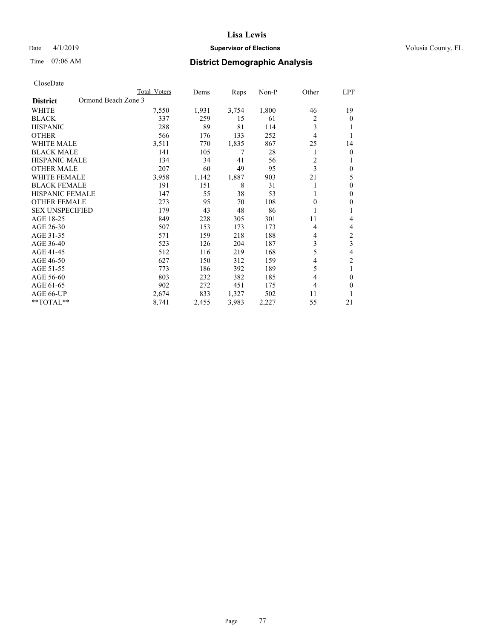## Date 4/1/2019 **Supervisor of Elections Supervisor of Elections** Volusia County, FL

# Time 07:06 AM **District Demographic Analysis**

|                                        | Total Voters | Dems  | Reps  | $Non-P$ | Other | LPF            |
|----------------------------------------|--------------|-------|-------|---------|-------|----------------|
| Ormond Beach Zone 3<br><b>District</b> |              |       |       |         |       |                |
| WHITE                                  | 7,550        | 1,931 | 3,754 | 1,800   | 46    | 19             |
| <b>BLACK</b>                           | 337          | 259   | 15    | 61      | 2     | $\theta$       |
| <b>HISPANIC</b>                        | 288          | 89    | 81    | 114     | 3     |                |
| <b>OTHER</b>                           | 566          | 176   | 133   | 252     | 4     |                |
| <b>WHITE MALE</b>                      | 3,511        | 770   | 1,835 | 867     | 25    | 14             |
| <b>BLACK MALE</b>                      | 141          | 105   | 7     | 28      | 1     | $\theta$       |
| <b>HISPANIC MALE</b>                   | 134          | 34    | 41    | 56      | 2     | 1              |
| <b>OTHER MALE</b>                      | 207          | 60    | 49    | 95      | 3     | $\theta$       |
| <b>WHITE FEMALE</b>                    | 3,958        | 1,142 | 1,887 | 903     | 21    | 5              |
| <b>BLACK FEMALE</b>                    | 191          | 151   | 8     | 31      |       | $\theta$       |
| <b>HISPANIC FEMALE</b>                 | 147          | 55    | 38    | 53      | 1     | $\mathbf{0}$   |
| <b>OTHER FEMALE</b>                    | 273          | 95    | 70    | 108     | 0     | 0              |
| <b>SEX UNSPECIFIED</b>                 | 179          | 43    | 48    | 86      |       |                |
| AGE 18-25                              | 849          | 228   | 305   | 301     | 11    | 4              |
| AGE 26-30                              | 507          | 153   | 173   | 173     | 4     | 4              |
| AGE 31-35                              | 571          | 159   | 218   | 188     | 4     | $\overline{c}$ |
| AGE 36-40                              | 523          | 126   | 204   | 187     | 3     | 3              |
| AGE 41-45                              | 512          | 116   | 219   | 168     | 5     | 4              |
| AGE 46-50                              | 627          | 150   | 312   | 159     | 4     | $\overline{2}$ |
| AGE 51-55                              | 773          | 186   | 392   | 189     | 5     | 1              |
| AGE 56-60                              | 803          | 232   | 382   | 185     | 4     | $\theta$       |
| AGE 61-65                              | 902          | 272   | 451   | 175     | 4     | $\theta$       |
| AGE 66-UP                              | 2,674        | 833   | 1,327 | 502     | 11    | 1              |
| $*$ TOTAL $*$                          | 8,741        | 2,455 | 3,983 | 2,227   | 55    | 21             |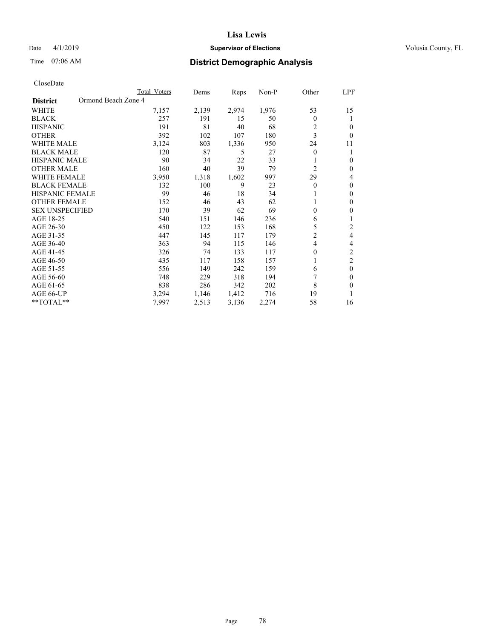## Date 4/1/2019 **Supervisor of Elections Supervisor of Elections** Volusia County, FL

# Time 07:06 AM **District Demographic Analysis**

|                                        | Total Voters | Dems  | Reps  | Non-P | Other          | LPF            |
|----------------------------------------|--------------|-------|-------|-------|----------------|----------------|
| Ormond Beach Zone 4<br><b>District</b> |              |       |       |       |                |                |
| WHITE                                  | 7,157        | 2,139 | 2,974 | 1,976 | 53             | 15             |
| <b>BLACK</b>                           | 257          | 191   | 15    | 50    | $\Omega$       |                |
| <b>HISPANIC</b>                        | 191          | 81    | 40    | 68    | 2              | $\Omega$       |
| <b>OTHER</b>                           | 392          | 102   | 107   | 180   | 3              | $\theta$       |
| <b>WHITE MALE</b>                      | 3,124        | 803   | 1,336 | 950   | 24             | 11             |
| <b>BLACK MALE</b>                      | 120          | 87    | 5     | 27    | $\mathbf{0}$   |                |
| <b>HISPANIC MALE</b>                   | 90           | 34    | 22    | 33    |                | $\theta$       |
| <b>OTHER MALE</b>                      | 160          | 40    | 39    | 79    | $\overline{c}$ | $\mathbf{0}$   |
| <b>WHITE FEMALE</b>                    | 3,950        | 1,318 | 1,602 | 997   | 29             | 4              |
| <b>BLACK FEMALE</b>                    | 132          | 100   | 9     | 23    | $\theta$       | $\mathbf{0}$   |
| <b>HISPANIC FEMALE</b>                 | 99           | 46    | 18    | 34    |                | $\theta$       |
| <b>OTHER FEMALE</b>                    | 152          | 46    | 43    | 62    |                | $\theta$       |
| <b>SEX UNSPECIFIED</b>                 | 170          | 39    | 62    | 69    | $\theta$       | $\theta$       |
| AGE 18-25                              | 540          | 151   | 146   | 236   | 6              |                |
| AGE 26-30                              | 450          | 122   | 153   | 168   | 5              | 2              |
| AGE 31-35                              | 447          | 145   | 117   | 179   | $\overline{c}$ | 4              |
| AGE 36-40                              | 363          | 94    | 115   | 146   | $\overline{4}$ | 4              |
| AGE 41-45                              | 326          | 74    | 133   | 117   | 0              | $\overline{c}$ |
| AGE 46-50                              | 435          | 117   | 158   | 157   | 1              | $\overline{c}$ |
| AGE 51-55                              | 556          | 149   | 242   | 159   | 6              | $\theta$       |
| AGE 56-60                              | 748          | 229   | 318   | 194   | 7              | $\theta$       |
| AGE 61-65                              | 838          | 286   | 342   | 202   | 8              | $\theta$       |
| AGE 66-UP                              | 3,294        | 1,146 | 1,412 | 716   | 19             |                |
| **TOTAL**                              | 7,997        | 2,513 | 3,136 | 2,274 | 58             | 16             |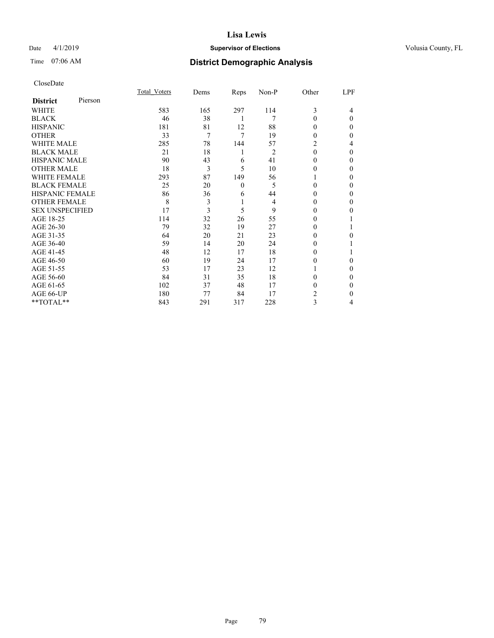## Date 4/1/2019 **Supervisor of Elections Supervisor of Elections** Volusia County, FL

# Time 07:06 AM **District Demographic Analysis**

|                        |         | Total Voters | Dems | Reps     | Non-P | Other    | LPF      |
|------------------------|---------|--------------|------|----------|-------|----------|----------|
| <b>District</b>        | Pierson |              |      |          |       |          |          |
| WHITE                  |         | 583          | 165  | 297      | 114   | 3        | 4        |
| <b>BLACK</b>           |         | 46           | 38   | 1        | 7     | 0        | $\Omega$ |
| <b>HISPANIC</b>        |         | 181          | 81   | 12       | 88    | 0        | 0        |
| <b>OTHER</b>           |         | 33           | 7    | 7        | 19    | 0        | 0        |
| WHITE MALE             |         | 285          | 78   | 144      | 57    | 2        | 4        |
| <b>BLACK MALE</b>      |         | 21           | 18   | 1        | 2     | $\theta$ | 0        |
| <b>HISPANIC MALE</b>   |         | 90           | 43   | 6        | 41    | 0        | 0        |
| <b>OTHER MALE</b>      |         | 18           | 3    | 5        | 10    | 0        | 0        |
| <b>WHITE FEMALE</b>    |         | 293          | 87   | 149      | 56    |          | 0        |
| <b>BLACK FEMALE</b>    |         | 25           | 20   | $\theta$ | 5     | 0        | 0        |
| <b>HISPANIC FEMALE</b> |         | 86           | 36   | 6        | 44    | 0        | 0        |
| <b>OTHER FEMALE</b>    |         | 8            | 3    | 1        | 4     | 0        | 0        |
| <b>SEX UNSPECIFIED</b> |         | 17           | 3    | 5        | 9     | 0        | 0        |
| AGE 18-25              |         | 114          | 32   | 26       | 55    | 0        |          |
| AGE 26-30              |         | 79           | 32   | 19       | 27    | 0        |          |
| AGE 31-35              |         | 64           | 20   | 21       | 23    | 0        | 0        |
| AGE 36-40              |         | 59           | 14   | 20       | 24    | 0        |          |
| AGE 41-45              |         | 48           | 12   | 17       | 18    | 0        |          |
| AGE 46-50              |         | 60           | 19   | 24       | 17    | 0        | $\Omega$ |
| AGE 51-55              |         | 53           | 17   | 23       | 12    |          | 0        |
| AGE 56-60              |         | 84           | 31   | 35       | 18    | 0        | 0        |
| AGE 61-65              |         | 102          | 37   | 48       | 17    | 0        | 0        |
| AGE 66-UP              |         | 180          | 77   | 84       | 17    | 2        | 0        |
| **TOTAL**              |         | 843          | 291  | 317      | 228   | 3        | 4        |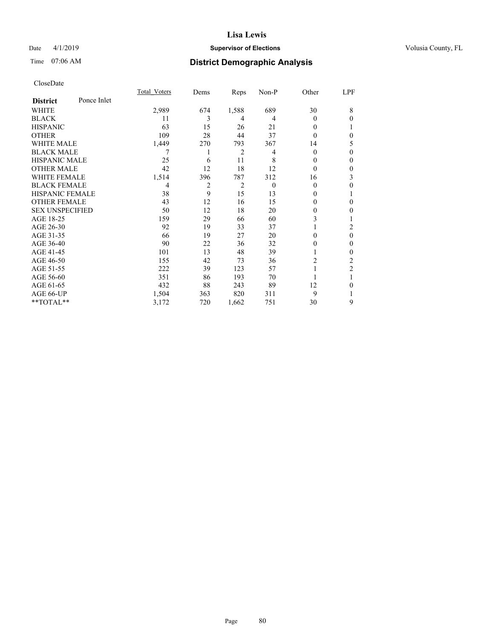## Date 4/1/2019 **Supervisor of Elections Supervisor of Elections** Volusia County, FL

# Time 07:06 AM **District Demographic Analysis**

|                        |             | Total Voters | Dems | Reps  | Non-P    | Other    | LPF            |
|------------------------|-------------|--------------|------|-------|----------|----------|----------------|
| <b>District</b>        | Ponce Inlet |              |      |       |          |          |                |
| WHITE                  |             | 2,989        | 674  | 1,588 | 689      | 30       | 8              |
| <b>BLACK</b>           |             | 11           | 3    | 4     | 4        | 0        | $\Omega$       |
| <b>HISPANIC</b>        |             | 63           | 15   | 26    | 21       | 0        |                |
| <b>OTHER</b>           |             | 109          | 28   | 44    | 37       | 0        | $\theta$       |
| WHITE MALE             |             | 1,449        | 270  | 793   | 367      | 14       | 5              |
| <b>BLACK MALE</b>      |             |              | 1    | 2     | 4        | $\theta$ | $\theta$       |
| <b>HISPANIC MALE</b>   |             | 25           | 6    | 11    | 8        | 0        | $\theta$       |
| <b>OTHER MALE</b>      |             | 42           | 12   | 18    | 12       | $\theta$ | $\mathbf{0}$   |
| <b>WHITE FEMALE</b>    |             | 1,514        | 396  | 787   | 312      | 16       | 3              |
| <b>BLACK FEMALE</b>    |             | 4            | 2    | 2     | $\theta$ | 0        | $\theta$       |
| <b>HISPANIC FEMALE</b> |             | 38           | 9    | 15    | 13       | $_{0}$   |                |
| <b>OTHER FEMALE</b>    |             | 43           | 12   | 16    | 15       | 0        | $\theta$       |
| <b>SEX UNSPECIFIED</b> |             | 50           | 12   | 18    | 20       | 0        | $\Omega$       |
| AGE 18-25              |             | 159          | 29   | 66    | 60       | 3        |                |
| AGE 26-30              |             | 92           | 19   | 33    | 37       |          | 2              |
| AGE 31-35              |             | 66           | 19   | 27    | 20       | 0        | $\mathbf{0}$   |
| AGE 36-40              |             | 90           | 22   | 36    | 32       | 0        | $\mathbf{0}$   |
| AGE 41-45              |             | 101          | 13   | 48    | 39       |          | $\theta$       |
| AGE 46-50              |             | 155          | 42   | 73    | 36       | 2        | 2              |
| AGE 51-55              |             | 222          | 39   | 123   | 57       |          | $\overline{2}$ |
| AGE 56-60              |             | 351          | 86   | 193   | 70       |          |                |
| AGE 61-65              |             | 432          | 88   | 243   | 89       | 12       | $\theta$       |
| AGE 66-UP              |             | 1,504        | 363  | 820   | 311      | 9        | 1              |
| **TOTAL**              |             | 3,172        | 720  | 1,662 | 751      | 30       | 9              |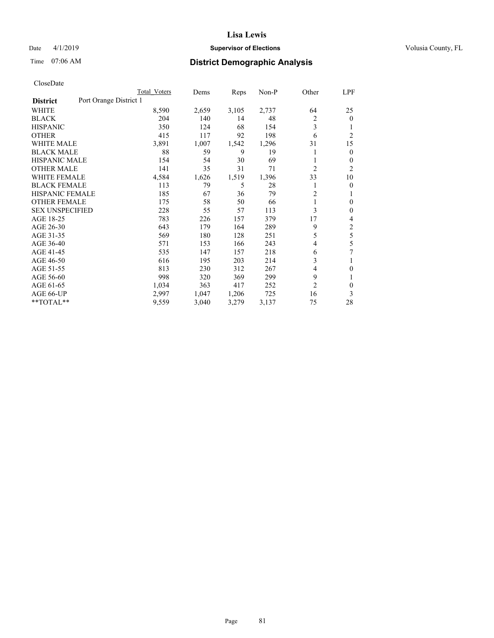## Date 4/1/2019 **Supervisor of Elections Supervisor of Elections** Volusia County, FL

# Time 07:06 AM **District Demographic Analysis**

|                        |                        | Total Voters | Dems  | Reps  | Non-P | Other          | LPF            |
|------------------------|------------------------|--------------|-------|-------|-------|----------------|----------------|
| <b>District</b>        | Port Orange District 1 |              |       |       |       |                |                |
| WHITE                  |                        | 8,590        | 2,659 | 3,105 | 2,737 | 64             | 25             |
| <b>BLACK</b>           |                        | 204          | 140   | 14    | 48    | 2              | $\mathbf{0}$   |
| <b>HISPANIC</b>        |                        | 350          | 124   | 68    | 154   | 3              | 1              |
| <b>OTHER</b>           |                        | 415          | 117   | 92    | 198   | 6              | $\overline{2}$ |
| <b>WHITE MALE</b>      |                        | 3,891        | 1,007 | 1,542 | 1,296 | 31             | 15             |
| <b>BLACK MALE</b>      |                        | 88           | 59    | 9     | 19    |                | $\mathbf{0}$   |
| <b>HISPANIC MALE</b>   |                        | 154          | 54    | 30    | 69    |                | 0              |
| <b>OTHER MALE</b>      |                        | 141          | 35    | 31    | 71    | 2              | 2              |
| WHITE FEMALE           |                        | 4,584        | 1,626 | 1,519 | 1,396 | 33             | 10             |
| <b>BLACK FEMALE</b>    |                        | 113          | 79    | 5     | 28    |                | 0              |
| <b>HISPANIC FEMALE</b> |                        | 185          | 67    | 36    | 79    | $\overline{c}$ | 1              |
| <b>OTHER FEMALE</b>    |                        | 175          | 58    | 50    | 66    | 1              | 0              |
| <b>SEX UNSPECIFIED</b> |                        | 228          | 55    | 57    | 113   | 3              | $\theta$       |
| AGE 18-25              |                        | 783          | 226   | 157   | 379   | 17             | 4              |
| AGE 26-30              |                        | 643          | 179   | 164   | 289   | 9              | $\overline{c}$ |
| AGE 31-35              |                        | 569          | 180   | 128   | 251   | 5              | 5              |
| AGE 36-40              |                        | 571          | 153   | 166   | 243   | 4              | 5              |
| AGE 41-45              |                        | 535          | 147   | 157   | 218   | 6              | 7              |
| AGE 46-50              |                        | 616          | 195   | 203   | 214   | 3              | 1              |
| AGE 51-55              |                        | 813          | 230   | 312   | 267   | 4              | 0              |
| AGE 56-60              |                        | 998          | 320   | 369   | 299   | 9              |                |
| AGE 61-65              |                        | 1,034        | 363   | 417   | 252   | 2              | $\theta$       |
| AGE 66-UP              |                        | 2,997        | 1,047 | 1,206 | 725   | 16             | 3              |
| **TOTAL**              |                        | 9,559        | 3,040 | 3,279 | 3,137 | 75             | 28             |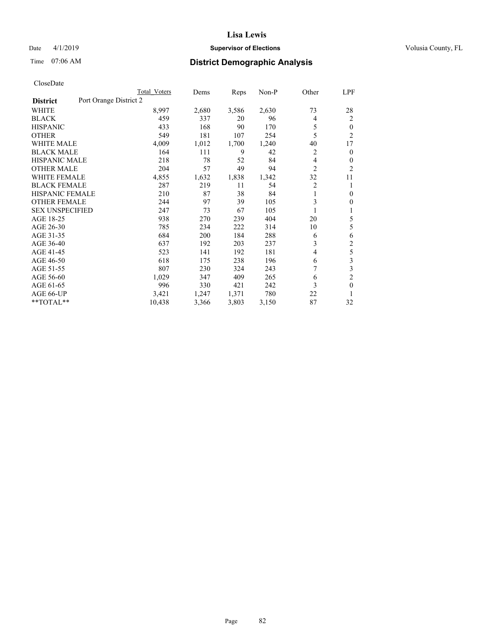## Date 4/1/2019 **Supervisor of Elections Supervisor of Elections** Volusia County, FL

# Time 07:06 AM **District Demographic Analysis**

|                        |                        | <b>Total Voters</b> | Dems  | Reps  | Non-P | Other | LPF            |
|------------------------|------------------------|---------------------|-------|-------|-------|-------|----------------|
| <b>District</b>        | Port Orange District 2 |                     |       |       |       |       |                |
| WHITE                  |                        | 8,997               | 2,680 | 3,586 | 2,630 | 73    | 28             |
| <b>BLACK</b>           |                        | 459                 | 337   | 20    | 96    | 4     | 2              |
| <b>HISPANIC</b>        |                        | 433                 | 168   | 90    | 170   | 5     | $\theta$       |
| <b>OTHER</b>           |                        | 549                 | 181   | 107   | 254   | 5     | $\overline{2}$ |
| <b>WHITE MALE</b>      |                        | 4,009               | 1,012 | 1,700 | 1,240 | 40    | 17             |
| <b>BLACK MALE</b>      |                        | 164                 | 111   | 9     | 42    | 2     | $\mathbf{0}$   |
| <b>HISPANIC MALE</b>   |                        | 218                 | 78    | 52    | 84    | 4     | $\mathbf{0}$   |
| <b>OTHER MALE</b>      |                        | 204                 | 57    | 49    | 94    | 2     | $\overline{2}$ |
| WHITE FEMALE           |                        | 4,855               | 1,632 | 1,838 | 1,342 | 32    | 11             |
| <b>BLACK FEMALE</b>    |                        | 287                 | 219   | 11    | 54    | 2     | 1              |
| <b>HISPANIC FEMALE</b> |                        | 210                 | 87    | 38    | 84    | 1     | $\theta$       |
| <b>OTHER FEMALE</b>    |                        | 244                 | 97    | 39    | 105   | 3     | $\theta$       |
| <b>SEX UNSPECIFIED</b> |                        | 247                 | 73    | 67    | 105   | 1     | 1              |
| AGE 18-25              |                        | 938                 | 270   | 239   | 404   | 20    | 5              |
| AGE 26-30              |                        | 785                 | 234   | 222   | 314   | 10    | 5              |
| AGE 31-35              |                        | 684                 | 200   | 184   | 288   | 6     | 6              |
| AGE 36-40              |                        | 637                 | 192   | 203   | 237   | 3     | $\overline{c}$ |
| AGE 41-45              |                        | 523                 | 141   | 192   | 181   | 4     | 5              |
| AGE 46-50              |                        | 618                 | 175   | 238   | 196   | 6     | 3              |
| AGE 51-55              |                        | 807                 | 230   | 324   | 243   |       | 3              |
| AGE 56-60              |                        | 1,029               | 347   | 409   | 265   | 6     | $\overline{c}$ |
| AGE 61-65              |                        | 996                 | 330   | 421   | 242   | 3     | $\mathbf{0}$   |
| AGE 66-UP              |                        | 3,421               | 1,247 | 1,371 | 780   | 22    | 1              |
| **TOTAL**              |                        | 10,438              | 3,366 | 3,803 | 3,150 | 87    | 32             |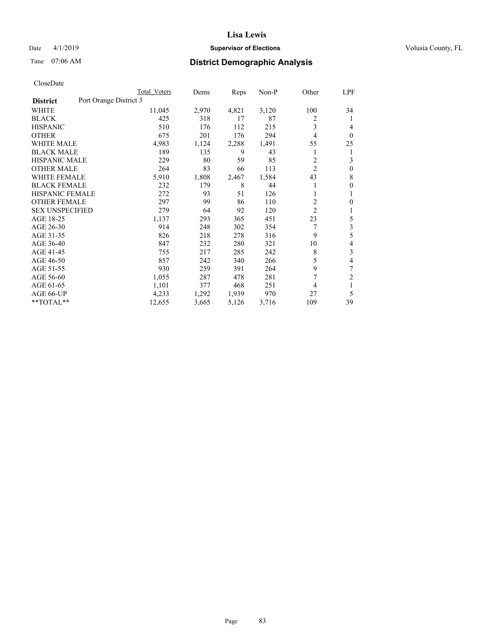## Date 4/1/2019 **Supervisor of Elections Supervisor of Elections** Volusia County, FL

# Time 07:06 AM **District Demographic Analysis**

|                        | Total Voters           | Dems  | Reps  | Non-P | Other          | LPF          |
|------------------------|------------------------|-------|-------|-------|----------------|--------------|
| <b>District</b>        | Port Orange District 3 |       |       |       |                |              |
| <b>WHITE</b>           | 11,045                 | 2,970 | 4,821 | 3,120 | 100            | 34           |
| <b>BLACK</b>           | 425                    | 318   | 17    | 87    | 2              | 1            |
| <b>HISPANIC</b>        | 510                    | 176   | 112   | 215   | 3              | 4            |
| <b>OTHER</b>           | 675                    | 201   | 176   | 294   | 4              | $\theta$     |
| <b>WHITE MALE</b>      | 4,983                  | 1,124 | 2,288 | 1,491 | 55             | 25           |
| <b>BLACK MALE</b>      | 189                    | 135   | 9     | 43    | 1              | 1            |
| <b>HISPANIC MALE</b>   | 229                    | 80    | 59    | 85    | 2              | 3            |
| <b>OTHER MALE</b>      | 264                    | 83    | 66    | 113   | $\overline{2}$ | $\mathbf{0}$ |
| <b>WHITE FEMALE</b>    | 5,910                  | 1,808 | 2,467 | 1,584 | 43             | 8            |
| <b>BLACK FEMALE</b>    | 232                    | 179   | 8     | 44    |                | $\mathbf{0}$ |
| HISPANIC FEMALE        | 272                    | 93    | 51    | 126   |                | 1            |
| <b>OTHER FEMALE</b>    | 297                    | 99    | 86    | 110   | $\overline{2}$ | $\theta$     |
| <b>SEX UNSPECIFIED</b> | 279                    | 64    | 92    | 120   | $\overline{2}$ | 1            |
| AGE 18-25              | 1,137                  | 293   | 365   | 451   | 23             | 5            |
| AGE 26-30              | 914                    | 248   | 302   | 354   | 7              | 3            |
| AGE 31-35              | 826                    | 218   | 278   | 316   | 9              | 5            |
| AGE 36-40              | 847                    | 232   | 280   | 321   | 10             | 4            |
| AGE 41-45              | 755                    | 217   | 285   | 242   | 8              | 3            |
| AGE 46-50              | 857                    | 242   | 340   | 266   | 5              | 4            |
| AGE 51-55              | 930                    | 259   | 391   | 264   | 9              | 7            |
| AGE 56-60              | 1,055                  | 287   | 478   | 281   | 7              | 2            |
| AGE 61-65              | 1,101                  | 377   | 468   | 251   | 4              | 1            |
| AGE 66-UP              | 4,233                  | 1,292 | 1,939 | 970   | 27             | 5            |
| **TOTAL**              | 12,655                 | 3,665 | 5,126 | 3,716 | 109            | 39           |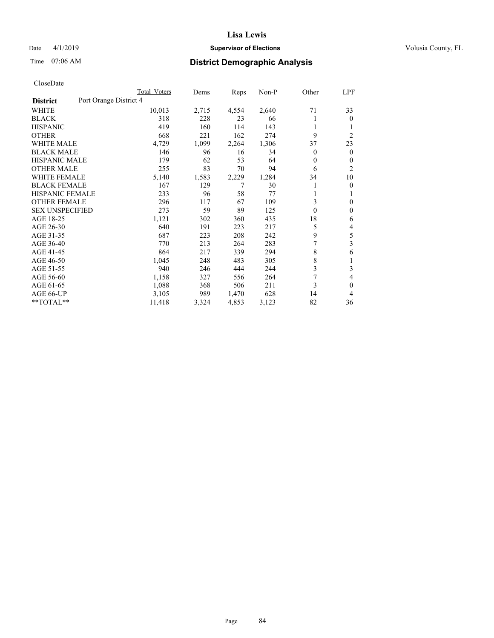## Date 4/1/2019 **Supervisor of Elections Supervisor of Elections** Volusia County, FL

# Time 07:06 AM **District Demographic Analysis**

|                        |                        | Total Voters | Dems  | Reps  | Non-P | Other    | LPF            |
|------------------------|------------------------|--------------|-------|-------|-------|----------|----------------|
| <b>District</b>        | Port Orange District 4 |              |       |       |       |          |                |
| WHITE                  |                        | 10,013       | 2,715 | 4,554 | 2,640 | 71       | 33             |
| <b>BLACK</b>           |                        | 318          | 228   | 23    | 66    |          | $\theta$       |
| <b>HISPANIC</b>        |                        | 419          | 160   | 114   | 143   | 1        | 1              |
| <b>OTHER</b>           |                        | 668          | 221   | 162   | 274   | 9        | $\overline{2}$ |
| <b>WHITE MALE</b>      |                        | 4,729        | 1,099 | 2,264 | 1,306 | 37       | 23             |
| <b>BLACK MALE</b>      |                        | 146          | 96    | 16    | 34    | 0        | $\theta$       |
| <b>HISPANIC MALE</b>   |                        | 179          | 62    | 53    | 64    | 0        | $\mathbf{0}$   |
| <b>OTHER MALE</b>      |                        | 255          | 83    | 70    | 94    | 6        | $\overline{2}$ |
| WHITE FEMALE           |                        | 5,140        | 1,583 | 2,229 | 1,284 | 34       | 10             |
| <b>BLACK FEMALE</b>    |                        | 167          | 129   |       | 30    |          | $\mathbf{0}$   |
| <b>HISPANIC FEMALE</b> |                        | 233          | 96    | 58    | 77    |          | 1              |
| <b>OTHER FEMALE</b>    |                        | 296          | 117   | 67    | 109   | 3        | $\theta$       |
| <b>SEX UNSPECIFIED</b> |                        | 273          | 59    | 89    | 125   | $\theta$ | $\mathbf{0}$   |
| AGE 18-25              |                        | 1,121        | 302   | 360   | 435   | 18       | 6              |
| AGE 26-30              |                        | 640          | 191   | 223   | 217   | 5        | 4              |
| AGE 31-35              |                        | 687          | 223   | 208   | 242   | 9        | 5              |
| AGE 36-40              |                        | 770          | 213   | 264   | 283   | 7        | 3              |
| AGE 41-45              |                        | 864          | 217   | 339   | 294   | 8        | 6              |
| AGE 46-50              |                        | 1,045        | 248   | 483   | 305   | 8        | 1              |
| AGE 51-55              |                        | 940          | 246   | 444   | 244   | 3        | 3              |
| AGE 56-60              |                        | 1,158        | 327   | 556   | 264   | 7        | 4              |
| AGE 61-65              |                        | 1,088        | 368   | 506   | 211   | 3        | $\mathbf{0}$   |
| AGE 66-UP              |                        | 3,105        | 989   | 1,470 | 628   | 14       | 4              |
| $*$ TOTAL $*$          |                        | 11,418       | 3,324 | 4,853 | 3,123 | 82       | 36             |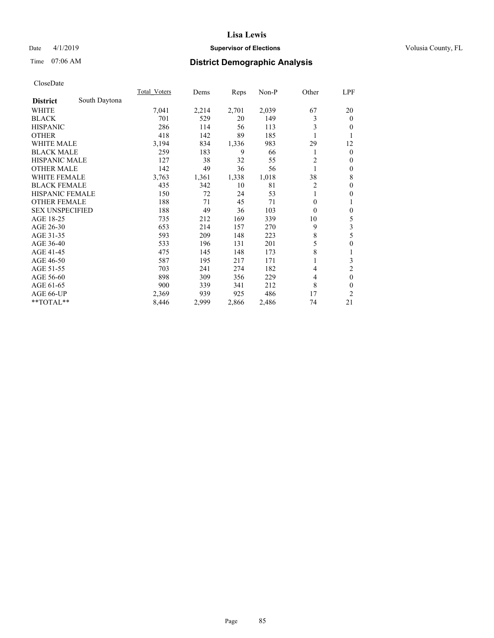## Date 4/1/2019 **Supervisor of Elections Supervisor of Elections** Volusia County, FL

# Time 07:06 AM **District Demographic Analysis**

|                        |               | Total Voters | Dems  | Reps  | Non-P | Other    | <u>LPF</u>     |
|------------------------|---------------|--------------|-------|-------|-------|----------|----------------|
| <b>District</b>        | South Daytona |              |       |       |       |          |                |
| WHITE                  |               | 7,041        | 2,214 | 2,701 | 2,039 | 67       | 20             |
| <b>BLACK</b>           |               | 701          | 529   | 20    | 149   | 3        | $\mathbf{0}$   |
| <b>HISPANIC</b>        |               | 286          | 114   | 56    | 113   | 3        | $\theta$       |
| <b>OTHER</b>           |               | 418          | 142   | 89    | 185   |          | 1              |
| WHITE MALE             |               | 3,194        | 834   | 1,336 | 983   | 29       | 12             |
| <b>BLACK MALE</b>      |               | 259          | 183   | 9     | 66    |          | $\mathbf{0}$   |
| <b>HISPANIC MALE</b>   |               | 127          | 38    | 32    | 55    | 2        | $\mathbf{0}$   |
| <b>OTHER MALE</b>      |               | 142          | 49    | 36    | 56    | 1        | $\mathbf{0}$   |
| <b>WHITE FEMALE</b>    |               | 3,763        | 1,361 | 1,338 | 1,018 | 38       | 8              |
| <b>BLACK FEMALE</b>    |               | 435          | 342   | 10    | 81    | 2        | $\mathbf{0}$   |
| HISPANIC FEMALE        |               | 150          | 72    | 24    | 53    |          | $\theta$       |
| <b>OTHER FEMALE</b>    |               | 188          | 71    | 45    | 71    | $\theta$ | 1              |
| <b>SEX UNSPECIFIED</b> |               | 188          | 49    | 36    | 103   | $\theta$ | $\mathbf{0}$   |
| AGE 18-25              |               | 735          | 212   | 169   | 339   | 10       | 5              |
| AGE 26-30              |               | 653          | 214   | 157   | 270   | 9        | 3              |
| AGE 31-35              |               | 593          | 209   | 148   | 223   | 8        | 5              |
| AGE 36-40              |               | 533          | 196   | 131   | 201   | 5        | $\mathbf{0}$   |
| AGE 41-45              |               | 475          | 145   | 148   | 173   | 8        | 1              |
| AGE 46-50              |               | 587          | 195   | 217   | 171   |          | 3              |
| AGE 51-55              |               | 703          | 241   | 274   | 182   | 4        | $\overline{2}$ |
| AGE 56-60              |               | 898          | 309   | 356   | 229   | 4        | $\mathbf{0}$   |
| AGE 61-65              |               | 900          | 339   | 341   | 212   | 8        | $\theta$       |
| AGE 66-UP              |               | 2,369        | 939   | 925   | 486   | 17       | 2              |
| **TOTAL**              |               | 8,446        | 2,999 | 2,866 | 2,486 | 74       | 21             |